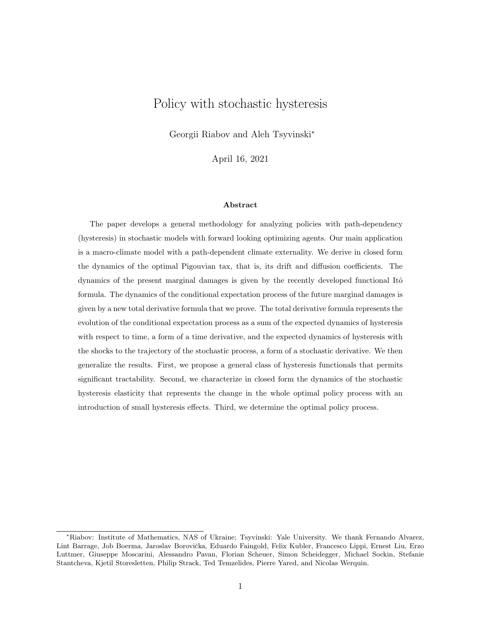# Policy with stochastic hysteresis

Georgii Riabov and Aleh Tsyvinski<sup>∗</sup>

April 16, 2021

#### Abstract

The paper develops a general methodology for analyzing policies with path-dependency (hysteresis) in stochastic models with forward looking optimizing agents. Our main application is a macro-climate model with a path-dependent climate externality. We derive in closed form the dynamics of the optimal Pigouvian tax, that is, its drift and diffusion coefficients. The dynamics of the present marginal damages is given by the recently developed functional Itô formula. The dynamics of the conditional expectation process of the future marginal damages is given by a new total derivative formula that we prove. The total derivative formula represents the evolution of the conditional expectation process as a sum of the expected dynamics of hysteresis with respect to time, a form of a time derivative, and the expected dynamics of hysteresis with the shocks to the trajectory of the stochastic process, a form of a stochastic derivative. We then generalize the results. First, we propose a general class of hysteresis functionals that permits significant tractability. Second, we characterize in closed form the dynamics of the stochastic hysteresis elasticity that represents the change in the whole optimal policy process with an introduction of small hysteresis effects. Third, we determine the optimal policy process.

<sup>∗</sup>Riabov: Institute of Mathematics, NAS of Ukraine; Tsyvinski: Yale University. We thank Fernando Alvarez, Lint Barrage, Job Boerma, Jaroslav Borovička, Eduardo Faingold, Felix Kubler, Francesco Lippi, Ernest Liu, Erzo Luttmer, Giuseppe Moscarini, Alessandro Pavan, Florian Scheuer, Simon Scheidegger, Michael Sockin, Stefanie Stantcheva, Kjetil Storesletten, Philip Strack, Ted Temzelides, Pierre Yared, and Nicolas Werquin.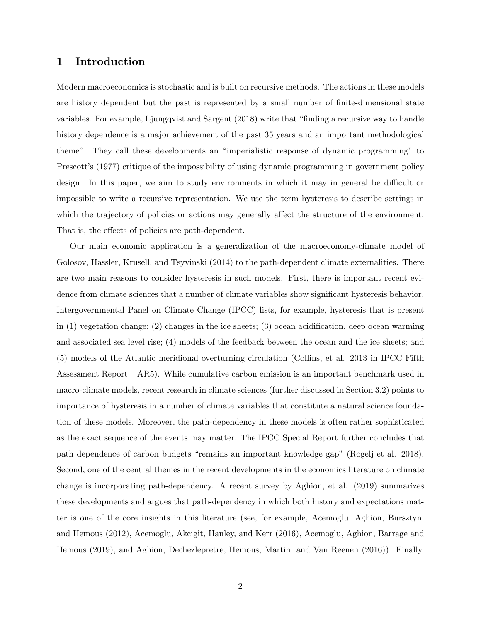# 1 Introduction

Modern macroeconomics is stochastic and is built on recursive methods. The actions in these models are history dependent but the past is represented by a small number of finite-dimensional state variables. For example, Ljungqvist and Sargent (2018) write that "finding a recursive way to handle history dependence is a major achievement of the past 35 years and an important methodological theme". They call these developments an "imperialistic response of dynamic programming" to Prescott's (1977) critique of the impossibility of using dynamic programming in government policy design. In this paper, we aim to study environments in which it may in general be difficult or impossible to write a recursive representation. We use the term hysteresis to describe settings in which the trajectory of policies or actions may generally affect the structure of the environment. That is, the effects of policies are path-dependent.

Our main economic application is а generalization of the macroeconomy-climate model of Golosov, Hassler, Krusell, and Tsyvinski (2014) to the path-dependent climate externalities. There are two main reasons to consider hysteresis in such models. First, there is important recent evidence from climate sciences that a number of climate variables show significant hysteresis behavior. Intergovernmental Panel on Climate Change (IPCC) lists, for example, hysteresis that is present in (1) vegetation change; (2) changes in the ice sheets; (3) ocean acidification, deep ocean warming and associated sea level rise; (4) models of the feedback between the ocean and the ice sheets; and (5) models of the Atlantic meridional overturning circulation (Collins, et al. 2013 in IPCC Fifth Assessment Report – AR5). While cumulative carbon emission is an important benchmark used in macro-climate models, recent research in climate sciences (further discussed in Section 3.2) points to importance of hysteresis in a number of climate variables that constitute a natural science foundation of these models. Moreover, the path-dependency in these models is often rather sophisticated as the exact sequence of the events may matter. The IPCC Special Report further concludes that path dependence of carbon budgets "remains an important knowledge gap" (Rogelj et al. 2018). Second, one of the central themes in the recent developments in the economics literature on climate change is incorporating path-dependency. A recent survey by Aghion, et al. (2019) summarizes these developments and argues that path-dependency in which both history and expectations matter is one of the core insights in this literature (see, for example, Acemoglu, Aghion, Bursztyn, and Hemous (2012), Acemoglu, Akcigit, Hanley, and Kerr (2016), Acemoglu, Aghion, Barrage and Hemous (2019), and Aghion, Dechezlepretre, Hemous, Martin, and Van Reenen (2016)). Finally,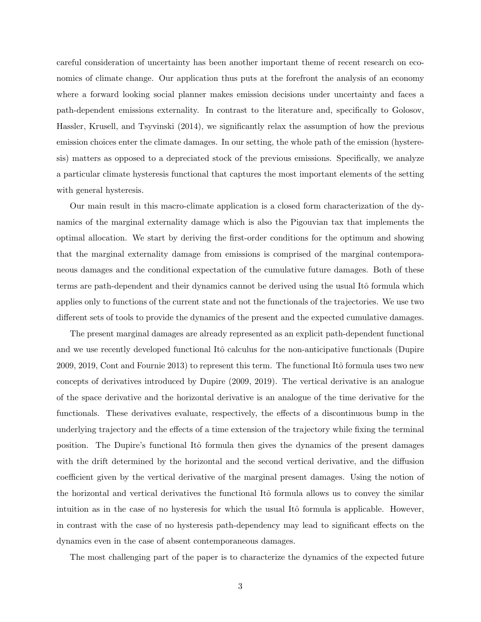careful consideration of uncertainty has been another important theme of recent research on economics of climate change. Our application thus puts at the forefront the analysis of an economy where а forward looking social planner makes emission decisions under uncertainty and faces a path-dependent emissions externality. In contrast to the literature and, specifically to Golosov, Hassler, Krusell, and Tsyvinski (2014), we significantly relax the assumption of how the previous emission choices enter the climate damages. In our setting, the whole path of the emission (hysteresis) matters as opposed to a depreciated stock of the previous emissions. Specifically, we analyze a particular climate hysteresis functional that captures the most important elements of the setting with general hysteresis.

Our main result in this macro-climate application is a closed form characterization of the dynamics of the marginal externality damage which is also the Pigouvian tax that implements the optimal allocation. We start by deriving the first-order conditions for the optimum and showing that the marginal externality damage from emissions is comprised of the marginal contemporaneous damages and the conditional expectation of the cumulative future damages. Both of these terms are path-dependent and their dynamics cannot be derived using the usual Itô formula which applies only to functions of the current state and not the functionals of the trajectories. We use two different sets of tools to provide the dynamics of the present and the expected cumulative damages.

The present marginal damages are already represented as an explicit path-dependent functional and we use recently developed functional Itô calculus for the non-anticipative functionals (Dupire 2009, 2019, Cont and Fournie 2013) to represent this term. The functional Itô formula uses two new concepts of derivatives introduced by Dupire (2009, 2019). The vertical derivative is an analogue of the space derivative and the horizontal derivative is an analogue of the time derivative for the functionals. These derivatives evaluate, respectively, the effects of a discontinuous bump in the underlying trajectory and the effects of a time extension of the trajectory while fixing the terminal position. The Dupire's functional Itô formula then gives the dynamics of the present damages with the drift determined by the horizontal and the second vertical derivative, and the diffusion coefficient given by the vertical derivative of the marginal present damages. Using the notion of the horizontal and vertical derivatives the functional Itô formula allows us to convey the similar intuition as in the case of no hysteresis for which the usual Itô formula is applicable. However, in contrast with the case of no hysteresis path-dependency may lead to significant effects on the dynamics even in the case of absent contemporaneous damages.

The most challenging part of the paper is to characterize the dynamics of the expected future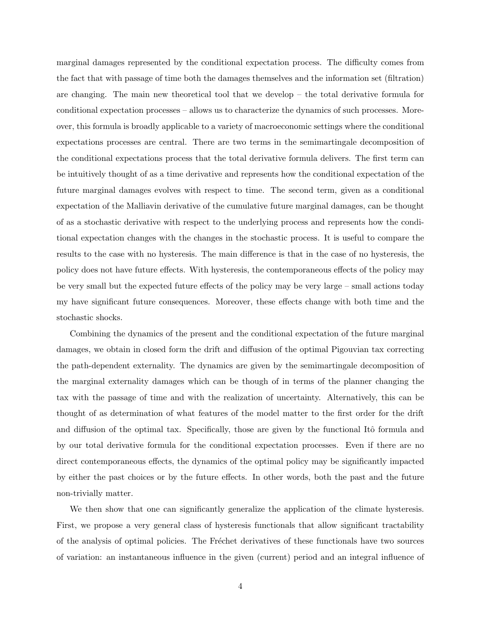marginal damages represented by the conditional expectation process. The difficulty comes from the fact that with passage of time both the damages themselves and the information set (filtration) are changing. The main new theoretical tool that we develop – the total derivative formula for conditional expectation processes – allows us to characterize the dynamics of such processes. Moreover, this formula is broadly applicable to a variety of macroeconomic settings where the conditional expectations processes are central. There are two terms in the semimartingale decomposition of the conditional expectations process that the total derivative formula delivers. The first term can be intuitively thought of as а time derivative and represents how the conditional expectation of the future marginal damages evolves with respect to time. The second term, given as a conditional expectation of the Malliavin derivative of the cumulative future marginal damages, can be thought of as a stochastic derivative with respect to the underlying process and represents how the conditional expectation changes with the changes in the stochastic process. It is useful to compare the results to the case with no hysteresis. The main difference is that in the case of no hysteresis, the policy does not have future effects. With hysteresis, the contemporaneous effects of the policy may be very small but the expected future effects of the policy may be very large – small actions today my have significant future consequences. Moreover, these effects change with both time and the stochastic shocks.

Combining the dynamics of the present and the conditional expectation of the future marginal damages, we obtain in closed form the drift and diffusion of the optimal Pigouvian tax correcting the path-dependent externality. The dynamics are given by the semimartingale decomposition of the marginal externality damages which can be though of in terms of the planner changing the tax with the passage of time and with the realization of uncertainty. Alternatively, this can be thought of as determination of what features of the model matter to the first order for the drift and diffusion of the optimal tax. Specifically, those are given by the functional Itô formula and by our total derivative formula for the conditional expectation processes. Even if there are no direct contemporaneous effects, the dynamics of the optimal policy may be significantly impacted by either the past choices or by the future effects. In other words, both the past and the future non-trivially matter.

We then show that one can significantly generalize the application of the climate hysteresis. First, we propose a very general class of hysteresis functionals that allow significant tractability of the analysis of optimal policies. The Fréchet derivatives of these functionals have two sources of variation: an instantaneous influence in the given (current) period and an integral influence of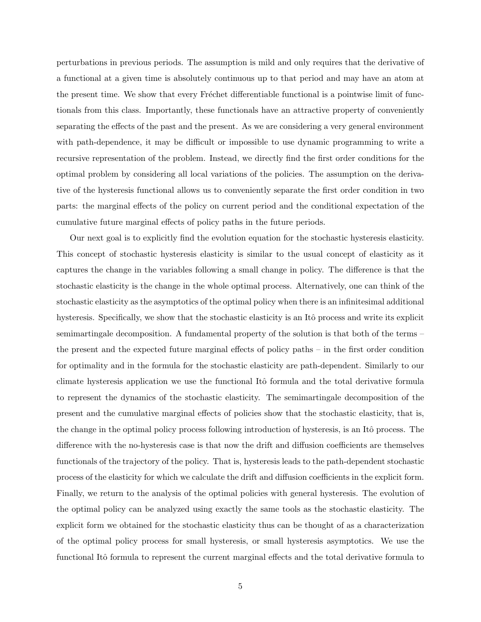perturbations in previous periods. The assumption is mild and only requires that the derivative of a functional at a given time is absolutely continuous up to that period and may have an atom at the present time. We show that every Fréchet differentiable functional is a pointwise limit of functionals from this class. Importantly, these functionals have an attractive property of conveniently separating the effects of the past and the present. As we are considering a very general environment with path-dependence, it may be difficult or impossible to use dynamic programming to write a recursive representation of the problem. Instead, we directly find the first order conditions for the optimal problem by considering all local variations of the policies. The assumption on the derivative of the hysteresis functional allows us to conveniently separate the first order condition in two parts: the marginal effects of the policy on current period and the conditional expectation of the cumulative future marginal effects of policy paths in the future periods.

Our next goal is to explicitly find the evolution equation for the stochastic hysteresis elasticity. This concept of stochastic hysteresis elasticity is similar to the usual concept of elasticity as it captures the change in the variables following a small change in policy. The difference is that the stochastic elasticity is the change in the whole optimal process. Alternatively, one can think of the stochastic elasticity as the asymptotics of the optimal policy when there is an infinitesimal additional hysteresis. Specifically, we show that the stochastic elasticity is an Itô process and write its explicit semimartingale decomposition. A fundamental property of the solution is that both of the terms – the present and the expected future marginal effects of policy paths – in the first order condition for optimality and in the formula for the stochastic elasticity are path-dependent. Similarly to our climate hysteresis application we use the functional Itô formula and the total derivative formula to represent the dynamics of the stochastic elasticity. The semimartingale decomposition of the present and the cumulative marginal effects of policies show that the stochastic elasticity, that is, the change in the optimal policy process following introduction of hysteresis, is an Itô process. The difference with the no-hysteresis case is that now the drift and diffusion coefficients are themselves functionals of the trajectory of the policy. That is, hysteresis leads to the path-dependent stochastic process of the elasticity for which we calculate the drift and diffusion coefficients in the explicit form. Finally, we return to the analysis of the optimal policies with general hysteresis. The evolution of the optimal policy can be analyzed using exactly the same tools as the stochastic elasticity. The explicit form we obtained for the stochastic elasticity thus can be thought of as a characterization of the optimal policy process for small hysteresis, or small hysteresis asymptotics. We use the functional Itô formula to represent the current marginal effects and the total derivative formula to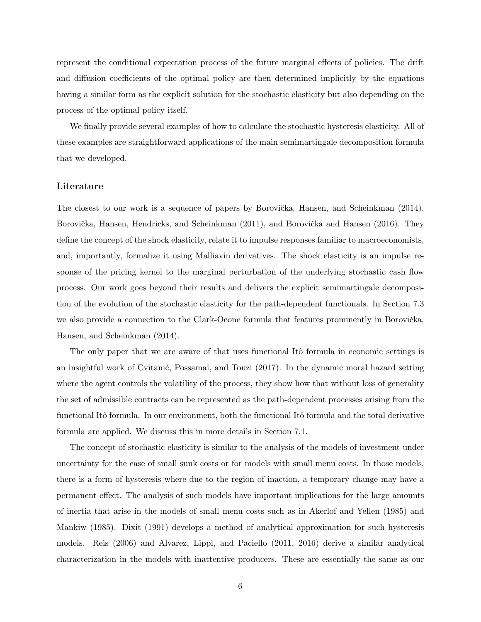represent the conditional expectation process of the future marginal effects of policies. The drift and diffusion coefficients of the optimal policy are then determined implicitly by the equations having a similar form as the explicit solution for the stochastic elasticity but also depending on the process of the optimal policy itself.

We finally provide several examples of how to calculate the stochastic hysteresis elasticity. All of these examples are straightforward applications of the main semimartingale decomposition formula that we developed.

#### Literature

The closest to our work is a sequence of papers by Borovička, Hansen, and Scheinkman (2014), Borovička, Hansen, Hendricks, and Scheinkman (2011), and Borovička and Hansen (2016). They define the concept of the shock elasticity, relate it to impulse responses familiar to macroeconomists, and, importantly, formalize it using Malliavin derivatives. The shock elasticity is an impulse response of the pricing kernel to the marginal perturbation of the underlying stochastic cash flow process. Our work goes beyond their results and delivers the explicit semimartingale decomposition of the evolution of the stochastic elasticity for the path-dependent functionals. In Section 7.3 we also provide a connection to the Clark-Ocone formula that features prominently in Borovička, Hansen, and Scheinkman (2014).

The only paper that we are aware of that uses functional Itô formula in economic settings is an insightful work of Cvitanić, Possamaï, and Touzi (2017). In the dynamic moral hazard setting where the agent controls the volatility of the process, they show how that without loss of generality the set of admissible contracts can be represented as the path-dependent processes arising from the functional Itô formula. In our environment, both the functional Itô formula and the total derivative formula are applied. We discuss this in more details in Section 7.1.

The concept of stochastic elasticity is similar to the analysis of the models of investment under uncertainty for the case of small sunk costs or for models with small menu costs. In those models, there is a form of hysteresis where due to the region of inaction, a temporary change may have a permanent effect. The analysis of such models have important implications for the large amounts of inertia that arise in the models of small menu costs such as in Akerlof and Yellen (1985) and Mankiw (1985). Dixit (1991) develops a method of analytical approximation for such hysteresis models. Reis (2006) and Alvarez, Lippi, and Paciello (2011, 2016) derive a similar analytical characterization in the models with inattentive producers. These are essentially the same as our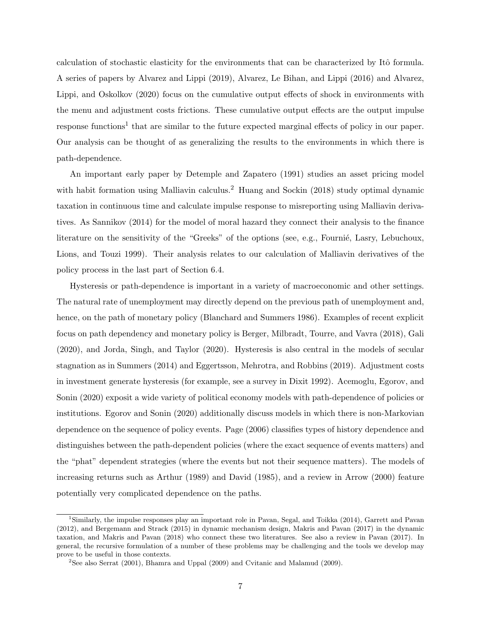calculation of stochastic elasticity for the environments that can be characterized by Itô formula. A series of papers by Alvarez and Lippi (2019), Alvarez, Le Bihan, and Lippi (2016) and Alvarez, Lippi, and Oskolkov (2020) focus on the cumulative output effects of shock in environments with the menu and adjustment costs frictions. These cumulative output effects are the output impulse response functions<sup>1</sup> that are similar to the future expected marginal effects of policy in our paper. Our analysis can be thought of as generalizing the results to the environments in which there is path-dependence.

An important early paper by Detemple and Zapatero (1991) studies an asset pricing model with habit formation using Malliavin calculus.<sup>2</sup> Huang and Sockin (2018) study optimal dynamic taxation in continuous time and calculate impulse response to misreporting using Malliavin derivatives. As Sannikov (2014) for the model of moral hazard they connect their analysis to the finance literature on the sensitivity of the "Greeks" of the options (see, e.g., Fournié, Lasry, Lebuchoux, Lions, and Touzi 1999). Their analysis relates to our calculation of Malliavin derivatives of the policy process in the last part of Section 6.4.

Hysteresis or path-dependence is important in a variety of macroeconomic and other settings. The natural rate of unemployment may directly depend on the previous path of unemployment and, hence, on the path of monetary policy (Blanchard and Summers 1986). Examples of recent explicit focus on path dependency and monetary policy is Berger, Milbradt, Tourre, and Vavra (2018), Gali (2020), and Jorda, Singh, and Taylor (2020). Hysteresis is also central in the models of secular stagnation as in Summers (2014) and Eggertsson, Mehrotra, and Robbins (2019). Adjustment costs in investment generate hysteresis (for example, see a survey in Dixit 1992). Acemoglu, Egorov, and Sonin (2020) exposit a wide variety of political economy models with path-dependence of policies or institutions. Egorov and Sonin (2020) additionally discuss models in which there is non-Markovian dependence on the sequence of policy events. Page (2006) classifies types of history dependence and distinguishes between the path-dependent policies (where the exact sequence of events matters) and the "phat" dependent strategies (where the events but not their sequence matters). The models of increasing returns such as Arthur (1989) and David (1985), and a review in Arrow (2000) feature potentially very complicated dependence on the paths.

<sup>1</sup>Similarly, the impulse responses play an important role in Pavan, Segal, and Toikka (2014), Garrett and Pavan (2012), and Bergemann and Strack (2015) in dynamic mechanism design, Makris and Pavan (2017) in the dynamic taxation, and Makris and Pavan (2018) who connect these two literatures. See also a review in Pavan (2017). In general, the recursive formulation of a number of these problems may be challenging and the tools we develop may prove to be useful in those contexts.

 $2$ See also Serrat (2001), Bhamra and Uppal (2009) and Cvitanic and Malamud (2009).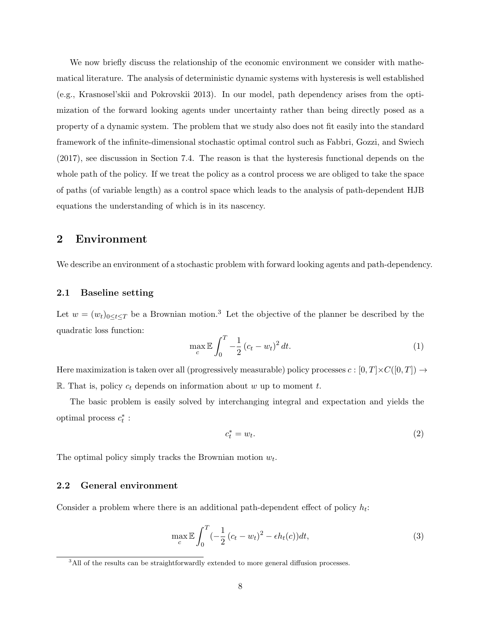We now briefly discuss the relationship of the economic environment we consider with mathematical literature. The analysis of deterministic dynamic systems with hysteresis is well established (e.g., Krasnosel'skii and Pokrovskii 2013). In our model, path dependency arises from the optimization of the forward looking agents under uncertainty rather than being directly posed as a property of a dynamic system. The problem that we study also does not fit easily into the standard framework of the infinite-dimensional stochastic optimal control such as Fabbri, Gozzi, and Swiech (2017), see discussion in Section 7.4. The reason is that the hysteresis functional depends on the whole path of the policy. If we treat the policy as a control process we are obliged to take the space of paths (of variable length) as a control space which leads to the analysis of path-dependent HJB equations the understanding of which is in its nascency.

# 2 Environment

We describe an environment of a stochastic problem with forward looking agents and path-dependency.

### 2.1 Baseline setting

Let  $w = (w_t)_{0 \le t \le T}$  be a Brownian motion.<sup>3</sup> Let the objective of the planner be described by the quadratic loss function:

$$
\max_{c} \mathbb{E} \int_{0}^{T} -\frac{1}{2} (c_{t} - w_{t})^{2} dt.
$$
 (1)

Here maximization is taken over all (progressively measurable) policy processes  $c : [0, T] \times C([0, T]) \rightarrow$ R. That is, policy  $c_t$  depends on information about w up to moment t.

The basic problem is easily solved by interchanging integral and expectation and yields the optimal process  $c_t^*$ :

$$
c_t^* = w_t. \tag{2}
$$

The optimal policy simply tracks the Brownian motion  $w_t$ .

### 2.2 General environment

Consider a problem where there is an additional path-dependent effect of policy  $h_t$ :

$$
\max_{c} \mathbb{E} \int_0^T \left(-\frac{1}{2}\left(c_t - w_t\right)^2 - \epsilon h_t(c)\right) dt,\tag{3}
$$

<sup>&</sup>lt;sup>3</sup>All of the results can be straightforwardly extended to more general diffusion processes.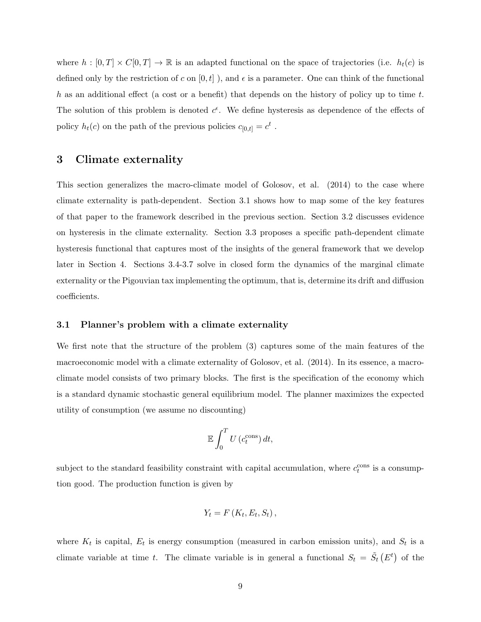where  $h : [0, T] \times C[0, T] \rightarrow \mathbb{R}$  is an adapted functional on the space of trajectories (i.e.  $h_t(c)$  is defined only by the restriction of c on  $[0, t]$ ), and  $\epsilon$  is a parameter. One can think of the functional h as an additional effect (a cost or a benefit) that depends on the history of policy up to time  $t$ . The solution of this problem is denoted  $c^{\epsilon}$ . We define hysteresis as dependence of the effects of policy  $h_t(c)$  on the path of the previous policies  $c_{[0,t]} = c^t$ .

# 3 Climate externality

This section generalizes the macro-climate model of Golosov, et al. (2014) to the case where climate externality is path-dependent. Section 3.1 shows how to map some of the key features of that paper to the framework described in the previous section. Section 3.2 discusses evidence on hysteresis in the climate externality. Section 3.3 proposes a specific path-dependent climate hysteresis functional that captures most of the insights of the general framework that we develop later in Section 4. Sections 3.4-3.7 solve in closed form the dynamics of the marginal climate externality or the Pigouvian tax implementing the optimum, that is, determine its drift and diffusion coefficients.

### 3.1 Planner's problem with a climate externality

We first note that the structure of the problem (3) captures some of the main features of the macroeconomic model with a climate externality of Golosov, et al. (2014). In its essence, a macroclimate model consists of two primary blocks. The first is the specification of the economy which is a standard dynamic stochastic general equilibrium model. The planner maximizes the expected utility of consumption (we assume no discounting)

$$
\mathbb{E}\int_0^T U\left(c_t^{\text{cons}}\right)dt,
$$

subject to the standard feasibility constraint with capital accumulation, where  $c_t^{\text{cons}}$  is a consumption good. The production function is given by

$$
Y_t = F\left(K_t, E_t, S_t\right),
$$

where  $K_t$  is capital,  $E_t$  is energy consumption (measured in carbon emission units), and  $S_t$  is a climate variable at time t. The climate variable is in general a functional  $S_t = \tilde{S}_t(E^t)$  of the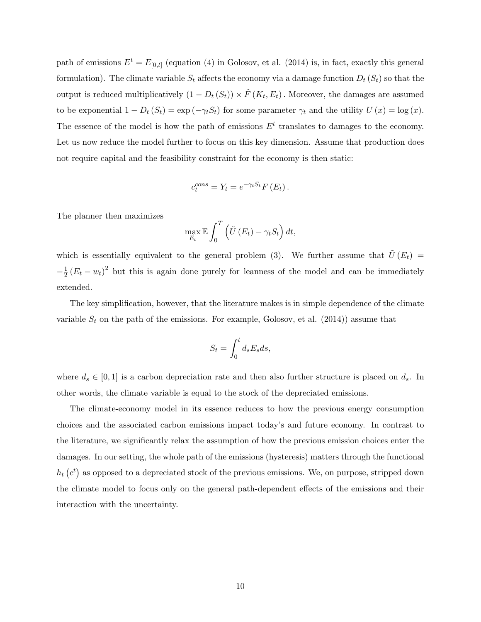path of emissions  $E^t = E_{[0,t]}$  (equation (4) in Golosov, et al. (2014) is, in fact, exactly this general formulation). The climate variable  $S_t$  affects the economy via a damage function  $D_t(S_t)$  so that the output is reduced multiplicatively  $(1 - D_t(S_t)) \times \tilde{F}(K_t, E_t)$ . Moreover, the damages are assumed to be exponential  $1 - D_t (S_t) = \exp(-\gamma_t S_t)$  for some parameter  $\gamma_t$  and the utility  $U(x) = \log(x)$ . The essence of the model is how the path of emissions  $E<sup>t</sup>$  translates to damages to the economy. Let us now reduce the model further to focus on this key dimension. Assume that production does not require capital and the feasibility constraint for the economy is then static:

$$
c_t^{cons} = Y_t = e^{-\gamma_t S_t} F(E_t).
$$

The planner then maximizes

$$
\max_{E_t} \mathbb{E} \int_0^T \left( \tilde{U} \left( E_t \right) - \gamma_t S_t \right) dt,
$$

which is essentially equivalent to the general problem (3). We further assume that  $\tilde{U}(E_t)$  =  $-\frac{1}{2}$  $\frac{1}{2}(E_t - w_t)^2$  but this is again done purely for leanness of the model and can be immediately extended.

The key simplification, however, that the literature makes is in simple dependence of the climate variable  $S_t$  on the path of the emissions. For example, Golosov, et al. (2014)) assume that

$$
S_t = \int_0^t d_s E_s ds,
$$

where  $d_s \in [0,1]$  is a carbon depreciation rate and then also further structure is placed on  $d_s$ . In other words, the climate variable is equal to the stock of the depreciated emissions.

The climate-economy model in its essence reduces to how the previous energy consumption choices and the associated carbon emissions impact today's and future economy. In contrast to the literature, we significantly relax the assumption of how the previous emission choices enter the damages. In our setting, the whole path of the emissions (hysteresis) matters through the functional  $h_t$  ( $c^t$ ) as opposed to a depreciated stock of the previous emissions. We, on purpose, stripped down the climate model to focus only on the general path-dependent effects of the emissions and their interaction with the uncertainty.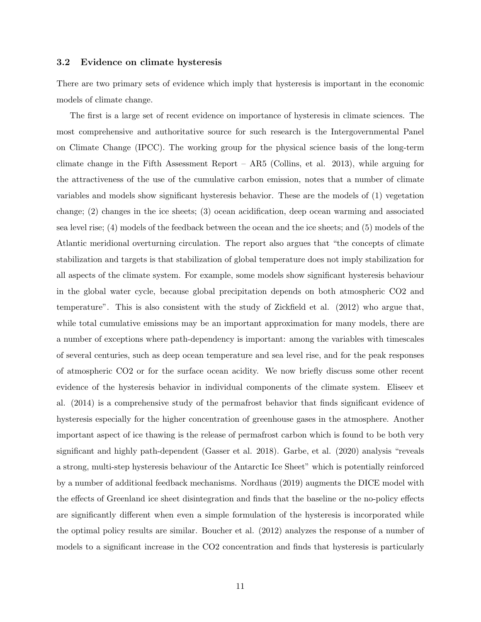### 3.2 Evidence on climate hysteresis

There are two primary sets of evidence which imply that hysteresis is important in the economic models of climate change.

The first is a large set of recent evidence on importance of hysteresis in climate sciences. The most comprehensive and authoritative source for such research is the Intergovernmental Panel on Climate Change (IPCC). The working group for the physical science basis of the long-term climate change in the Fifth Assessment Report – AR5 (Collins, et al. 2013), while arguing for the attractiveness of the use of the cumulative carbon emission, notes that a number of climate variables and models show significant hysteresis behavior. These are the models of (1) vegetation change; (2) changes in the ice sheets; (3) ocean acidification, deep ocean warming and associated sea level rise; (4) models of the feedback between the ocean and the ice sheets; and (5) models of the Atlantic meridional overturning circulation. The report also argues that "the concepts of climate stabilization and targets is that stabilization of global temperature does not imply stabilization for all aspects of the climate system. For example, some models show significant hysteresis behaviour in the global water cycle, because global precipitation depends on both atmospheric CO2 and temperature". This is also consistent with the study of Zickfield et al. (2012) who argue that, while total cumulative emissions may be an important approximation for many models, there are a number of exceptions where path-dependency is important: among the variables with timescales of several centuries, such as deep ocean temperature and sea level rise, and for the peak responses of atmospheric CO2 or for the surface ocean acidity. We now briefly discuss some other recent evidence of the hysteresis behavior in individual components of the climate system. Eliseev et al. (2014) is a comprehensive study of the permafrost behavior that finds significant evidence of hysteresis especially for the higher concentration of greenhouse gases in the atmosphere. Another important aspect of ice thawing is the release of permafrost carbon which is found to be both very significant and highly path-dependent (Gasser et al. 2018). Garbe, et al. (2020) analysis "reveals a strong, multi-step hysteresis behaviour of the Antarctic Ice Sheet" which is potentially reinforced by a number of additional feedback mechanisms. Nordhaus (2019) augments the DICE model with the effects of Greenland ice sheet disintegration and finds that the baseline or the no-policy effects are significantly different when even a simple formulation of the hysteresis is incorporated while the optimal policy results are similar. Boucher et al. (2012) analyzes the response of a number of models to a significant increase in the CO2 concentration and finds that hysteresis is particularly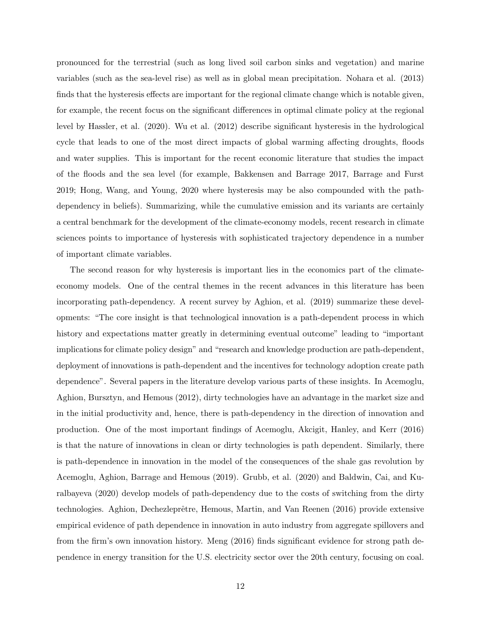pronounced for the terrestrial (such as long lived soil carbon sinks and vegetation) and marine variables (such as the sea-level rise) as well as in global mean precipitation. Nohara et al. (2013) finds that the hysteresis effects are important for the regional climate change which is notable given, for example, the recent focus on the significant differences in optimal climate policy at the regional level by Hassler, et al. (2020). Wu et al. (2012) describe significant hysteresis in the hydrological cycle that leads to one of the most direct impacts of global warming affecting droughts, floods and water supplies. This is important for the recent economic literature that studies the impact of the floods and the sea level (for example, Bakkensen and Barrage 2017, Barrage and Furst 2019; Hong, Wang, and Young, 2020 where hysteresis may be also compounded with the pathdependency in beliefs). Summarizing, while the cumulative emission and its variants are certainly a central benchmark for the development of the climate-economy models, recent research in climate sciences points to importance of hysteresis with sophisticated trajectory dependence in a number of important climate variables.

The second reason for why hysteresis is important lies in the economics part of the climateeconomy models. One of the central themes in the recent advances in this literature has been incorporating path-dependency. A recent survey by Aghion, et al. (2019) summarize these developments: "The core insight is that technological innovation is a path-dependent process in which history and expectations matter greatly in determining eventual outcome" leading to "important" implications for climate policy design" and "research and knowledge production are path-dependent, deployment of innovations is path-dependent and the incentives for technology adoption create path dependence". Several papers in the literature develop various parts of these insights. In Acemoglu, Aghion, Bursztyn, and Hemous (2012), dirty technologies have an advantage in the market size and in the initial productivity and, hence, there is path-dependency in the direction of innovation and production. One of the most important findings of Acemoglu, Akcigit, Hanley, and Kerr (2016) is that the nature of innovations in clean or dirty technologies is path dependent. Similarly, there is path-dependence in innovation in the model of the consequences of the shale gas revolution by Acemoglu, Aghion, Barrage and Hemous (2019). Grubb, et al. (2020) and Baldwin, Cai, and Kuralbayeva (2020) develop models of path-dependency due to the costs of switching from the dirty technologies. Aghion, Dechezleprêtre, Hemous, Martin, and Van Reenen (2016) provide extensive empirical evidence of path dependence in innovation in auto industry from aggregate spillovers and from the firm's own innovation history. Meng (2016) finds significant evidence for strong path dependence in energy transition for the U.S. electricity sector over the 20th century, focusing on coal.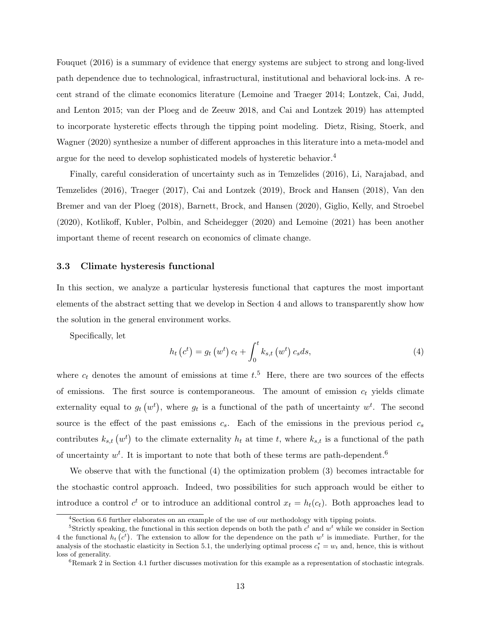Fouquet (2016) is a summary of evidence that energy systems are subject to strong and long-lived path dependence due to technological, infrastructural, institutional and behavioral lock-ins. A recent strand of the climate economics literature (Lemoine and Traeger 2014; Lontzek, Cai, Judd, and Lenton 2015; van der Ploeg and de Zeeuw 2018, and Cai and Lontzek 2019) has attempted to incorporate hysteretic effects through the tipping point modeling. Dietz, Rising, Stoerk, and Wagner (2020) synthesize a number of different approaches in this literature into a meta-model and argue for the need to develop sophisticated models of hysteretic behavior.<sup>4</sup>

Finally, careful consideration of uncertainty such as in Temzelides (2016), Li, Narajabad, and Temzelides (2016), Traeger (2017), Cai and Lontzek (2019), Brock and Hansen (2018), Van den Bremer and van der Ploeg (2018), Barnett, Brock, and Hansen (2020), Giglio, Kelly, and Stroebel (2020), Kotlikoff, Kubler, Polbin, and Scheidegger (2020) and Lemoine (2021) has been another important theme of recent research on economics of climate change.

### 3.3 Climate hysteresis functional

In this section, we analyze a particular hysteresis functional that captures the most important elements of the abstract setting that we develop in Section 4 and allows to transparently show how the solution in the general environment works.

Specifically, let

$$
h_t(c^t) = g_t(w^t) c_t + \int_0^t k_{s,t}(w^t) c_s ds,
$$
\n(4)

where  $c_t$  denotes the amount of emissions at time  $t$ <sup>5</sup>. Here, there are two sources of the effects of emissions. The first source is contemporaneous. The amount of emission  $c_t$  yields climate externality equal to  $g_t(w^t)$ , where  $g_t$  is a functional of the path of uncertainty  $w^t$ . The second source is the effect of the past emissions  $c_s$ . Each of the emissions in the previous period  $c_s$ contributes  $k_{s,t} (w^t)$  to the climate externality  $h_t$  at time t, where  $k_{s,t}$  is a functional of the path of uncertainty  $w^t$ . It is important to note that both of these terms are path-dependent.<sup>6</sup>

We observe that with the functional (4) the optimization problem (3) becomes intractable for the stochastic control approach. Indeed, two possibilities for such approach would be either to introduce a control  $c^t$  or to introduce an additional control  $x_t = h_t(c_t)$ . Both approaches lead to

<sup>&</sup>lt;sup>4</sup>Section 6.6 further elaborates on an example of the use of our methodology with tipping points.

<sup>&</sup>lt;sup>5</sup>Strictly speaking, the functional in this section depends on both the path  $c<sup>t</sup>$  and  $w<sup>t</sup>$  while we consider in Section 4 the functional  $h_t(c^t)$ . The extension to allow for the dependence on the path  $w^t$  is immediate. Further, for the analysis of the stochastic elasticity in Section 5.1, the underlying optimal process  $c_t^* = w_t$  and, hence, this is without loss of generality.

 ${}^{6}$ Remark 2 in Section 4.1 further discusses motivation for this example as a representation of stochastic integrals.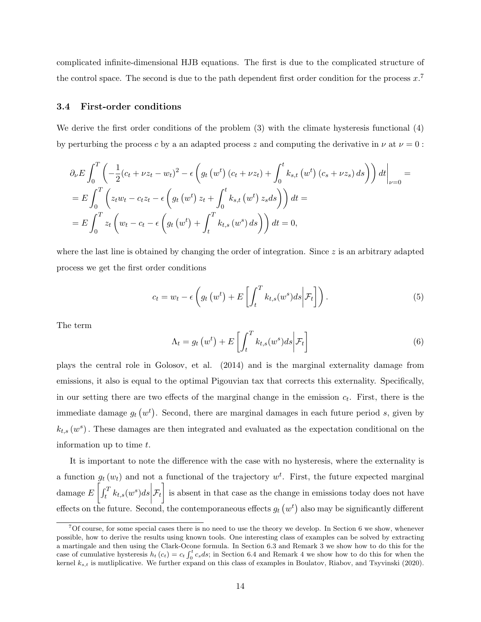complicated infinite-dimensional HJB equations. The first is due to the complicated structure of the control space. The second is due to the path dependent first order condition for the process  $x^7$ 

#### 3.4 First-order conditions

We derive the first order conditions of the problem (3) with the climate hysteresis functional (4) by perturbing the process c by a an adapted process z and computing the derivative in  $\nu$  at  $\nu = 0$ :

$$
\partial_{\nu}E \int_{0}^{T} \left( -\frac{1}{2}(c_{t} + \nu z_{t} - w_{t})^{2} - \epsilon \left( g_{t} \left(w^{t}\right)(c_{t} + \nu z_{t}) + \int_{0}^{t} k_{s,t} \left(w^{t}\right)(c_{s} + \nu z_{s}) ds \right) \right) dt \Big|_{\nu=0} =
$$
  
\n
$$
= E \int_{0}^{T} \left( z_{t}w_{t} - c_{t}z_{t} - \epsilon \left( g_{t} \left(w^{t}\right) z_{t} + \int_{0}^{t} k_{s,t} \left(w^{t}\right) z_{s} ds \right) \right) dt =
$$
  
\n
$$
= E \int_{0}^{T} z_{t} \left( w_{t} - c_{t} - \epsilon \left( g_{t} \left(w^{t}\right) + \int_{t}^{T} k_{t,s} \left(w^{s}\right) ds \right) \right) dt = 0,
$$

where the last line is obtained by changing the order of integration. Since  $z$  is an arbitrary adapted process we get the first order conditions

$$
c_t = w_t - \epsilon \left( g_t \left( w^t \right) + E \left[ \int_t^T k_{t,s}(w^s) ds \middle| \mathcal{F}_t \right] \right). \tag{5}
$$

The term

$$
\Lambda_t = g_t\left(w^t\right) + E\left[\int_t^T k_{t,s}(w^s)ds \middle| \mathcal{F}_t\right] \tag{6}
$$

plays the central role in Golosov, et al. (2014) and is the marginal externality damage from emissions, it also is equal to the optimal Pigouvian tax that corrects this externality. Specifically, in our setting there are two effects of the marginal change in the emission  $c_t$ . First, there is the immediate damage  $g_t(w^t)$ . Second, there are marginal damages in each future period s, given by  $k_{t,s}(w^s)$ . These damages are then integrated and evaluated as the expectation conditional on the information up to time  $t$ .

It is important to note the difference with the case with no hysteresis, where the externality is a function  $g_t(w_t)$  and not a functional of the trajectory  $w^t$ . First, the future expected marginal damage  $E\left[\int_t^T k_{t,s}(w^s)ds\right]$  $\mathcal{F}_t$  is absent in that case as the change in emissions today does not have effects on the future. Second, the contemporaneous effects  $g_t(w^t)$  also may be significantly different

 $7$ Of course, for some special cases there is no need to use the theory we develop. In Section 6 we show, whenever possible, how to derive the results using known tools. One interesting class of examples can be solved by extracting a martingale and then using the Clark-Ocone formula. In Section 6.3 and Remark 3 we show how to do this for the case of cumulative hysteresis  $h_t(c_t) = c_t \int_0^t c_s ds$ ; in Section 6.4 and Remark 4 we show how to do this for when the kernel  $k_{s,t}$  is mutliplicative. We further expand on this class of examples in Boulatov, Riabov, and Tsyvinski (2020).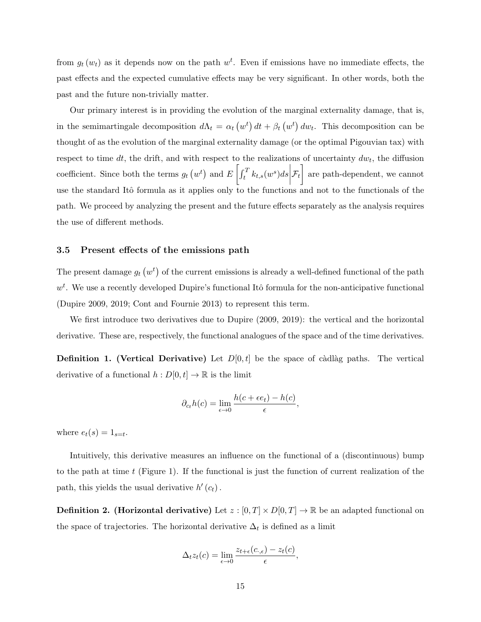from  $g_t(w_t)$  as it depends now on the path  $w^t$ . Even if emissions have no immediate effects, the past effects and the expected cumulative effects may be very significant. In other words, both the past and the future non-trivially matter.

Our primary interest is in providing the evolution of the marginal externality damage, that is, in the semimartingale decomposition  $d\Lambda_t = \alpha_t (w^t) dt + \beta_t (w^t) dw_t$ . This decomposition can be thought of as the evolution of the marginal externality damage (or the optimal Pigouvian tax) with respect to time dt, the drift, and with respect to the realizations of uncertainty  $dw_t$ , the diffusion coefficient. Since both the terms  $g_t(w^t)$  and  $E\left[\int_t^T k_{t,s}(w^s)ds\right]$  $\mathcal{F}_t$  are path-dependent, we cannot use the standard Itô formula as it applies only to the functions and not to the functionals of the path. We proceed by analyzing the present and the future effects separately as the analysis requires the use of different methods.

### 3.5 Present effects of the emissions path

The present damage  $g_t(u^t)$  of the current emissions is already a well-defined functional of the path  $w<sup>t</sup>$ . We use a recently developed Dupire's functional Itô formula for the non-anticipative functional (Dupire 2009, 2019; Cont and Fournie 2013) to represent this term.

We first introduce two derivatives due to Dupire (2009, 2019): the vertical and the horizontal derivative. These are, respectively, the functional analogues of the space and of the time derivatives.

**Definition 1. (Vertical Derivative)** Let  $D[0, t]$  be the space of càdlàg paths. The vertical derivative of a functional  $h: D[0, t] \to \mathbb{R}$  is the limit

$$
\partial_{c_t} h(c) = \lim_{\epsilon \to 0} \frac{h(c + \epsilon e_t) - h(c)}{\epsilon},
$$

where  $e_t(s) = 1_{s=t}$ .

Intuitively, this derivative measures an influence on the functional of a (discontinuous) bump to the path at time  $t$  (Figure 1). If the functional is just the function of current realization of the path, this yields the usual derivative  $h'(c_t)$ .

**Definition 2. (Horizontal derivative)** Let  $z : [0, T] \times D[0, T] \rightarrow \mathbb{R}$  be an adapted functional on the space of trajectories. The horizontal derivative  $\Delta_t$  is defined as a limit

$$
\Delta_t z_t(c) = \lim_{\epsilon \to 0} \frac{z_{t+\epsilon}(c_{\cdot,\epsilon}) - z_t(c)}{\epsilon},
$$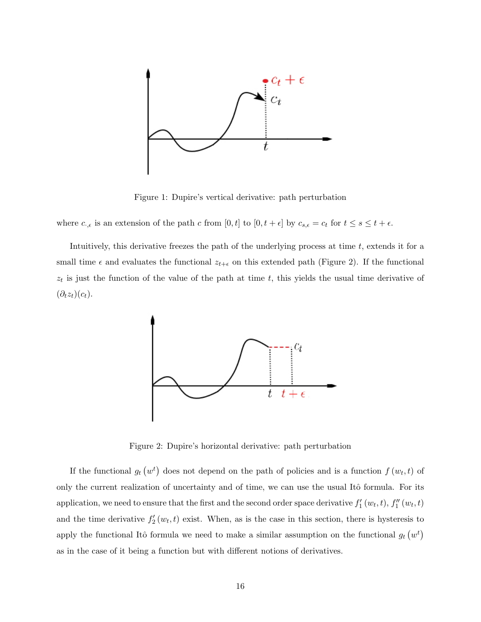

Figure 1: Dupire's vertical derivative: path perturbation

where  $c_{\cdot,\epsilon}$  is an extension of the path c from  $[0, t]$  to  $[0, t + \epsilon]$  by  $c_{s,\epsilon} = c_t$  for  $t \leq s \leq t + \epsilon$ .

Intuitively, this derivative freezes the path of the underlying process at time  $t$ , extends it for a small time  $\epsilon$  and evaluates the functional  $z_{t+\epsilon}$  on this extended path (Figure 2). If the functional  $z_t$  is just the function of the value of the path at time t, this yields the usual time derivative of  $(\partial_t z_t)(c_t).$ 



Figure 2: Dupire's horizontal derivative: path perturbation

If the functional  $g_t(v^t)$  does not depend on the path of policies and is a function  $f(v_t, t)$  of only the current realization of uncertainty and of time, we can use the usual Itô formula. For its application, we need to ensure that the first and the second order space derivative  $f'_1(w_t, t)$ ,  $f''_1(w_t, t)$ and the time derivative  $f'_{2}(w_{t}, t)$  exist. When, as is the case in this section, there is hysteresis to apply the functional Itô formula we need to make a similar assumption on the functional  $g_t(w^t)$ as in the case of it being a function but with different notions of derivatives.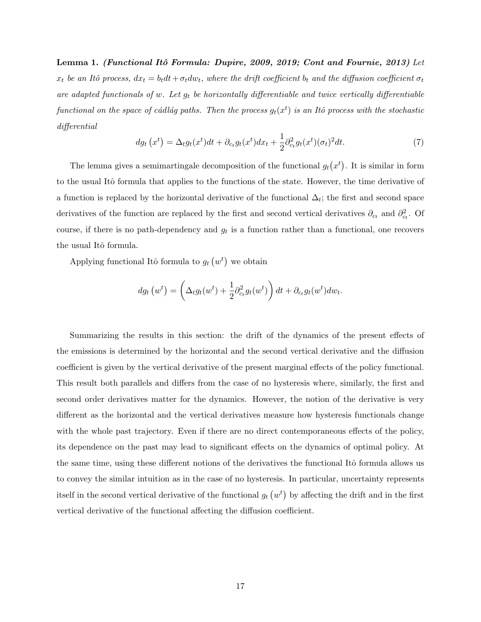Lemma 1. (Functional Itô Formula: Dupire, 2009, 2019; Cont and Fournie, 2013) Let  $x_t$  be an Itô process,  $dx_t = b_t dt + \sigma_t dw_t$ , where the drift coefficient  $b_t$  and the diffusion coefficient  $\sigma_t$ are adapted functionals of w. Let  $g_t$  be horizontally differentiable and twice vertically differentiable functional on the space of cádlág paths. Then the process  $g_t(x^t)$  is an Itô process with the stochastic differential

$$
dg_t\left(x^t\right) = \Delta_t g_t(x^t)dt + \partial_{ct}g_t(x^t)dx_t + \frac{1}{2}\partial_{ct}^2 g_t(x^t)(\sigma_t)^2 dt. \tag{7}
$$

The lemma gives a semimartingale decomposition of the functional  $g_t(x^t)$ . It is similar in form to the usual Itô formula that applies to the functions of the state. However, the time derivative of a function is replaced by the horizontal derivative of the functional  $\Delta_t$ ; the first and second space derivatives of the function are replaced by the first and second vertical derivatives  $\partial_{c_t}$  and  $\partial_{c_t}^2$ . Of course, if there is no path-dependency and  $g_t$  is a function rather than a functional, one recovers the usual Itô formula.

Applying functional Itô formula to  $g_t(w^t)$  we obtain

$$
dg_t(v^t) = \left(\Delta_t g_t(w^t) + \frac{1}{2}\partial_{c_t}^2 g_t(w^t)\right)dt + \partial_{c_t}g_t(w^t)dw_t.
$$

Summarizing the results in this section: the drift of the dynamics of the present effects of the emissions is determined by the horizontal and the second vertical derivative and the diffusion coefficient is given by the vertical derivative of the present marginal effects of the policy functional. This result both parallels and differs from the case of no hysteresis where, similarly, the first and second order derivatives matter for the dynamics. However, the notion of the derivative is very different as the horizontal and the vertical derivatives measure how hysteresis functionals change with the whole past trajectory. Even if there are no direct contemporaneous effects of the policy, its dependence on the past may lead to significant effects on the dynamics of optimal policy. At the same time, using these different notions of the derivatives the functional Itô formula allows us to convey the similar intuition as in the case of no hysteresis. In particular, uncertainty represents itself in the second vertical derivative of the functional  $g_t(w^t)$  by affecting the drift and in the first vertical derivative of the functional affecting the diffusion coefficient.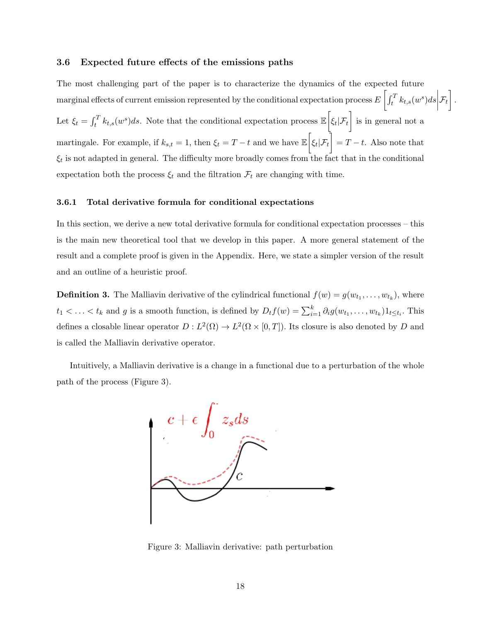### 3.6 Expected future effects of the emissions paths

The most challenging part of the paper is to characterize the dynamics of the expected future marginal effects of current emission represented by the conditional expectation process  $E\left[\int_t^T k_{t,s}(w^s)ds\right]$  $\mathcal{F}_t\Big]$  . Let  $\xi_t = \int_t^T k_{t,s}(w^s)ds$ . Note that the conditional expectation process  $\mathbb{E}\left[\xi_t|\mathcal{F}_t\right]$  is in general not a martingale. For example, if  $k_{s,t} = 1$ , then  $\xi_t = T - t$  and we have  $\mathbb{E} \Big[ \xi_t | \mathcal{F}_t \Big] = T - t$ . Also note that  $\xi_t$  is not adapted in general. The difficulty more broadly comes from the fact that in the conditional expectation both the process  $\xi_t$  and the filtration  $\mathcal{F}_t$  are changing with time.

### 3.6.1 Total derivative formula for conditional expectations

In this section, we derive a new total derivative formula for conditional expectation processes – this is the main new theoretical tool that we develop in this paper. A more general statement of the result and a complete proof is given in the Appendix. Here, we state a simpler version of the result and an outline of a heuristic proof.

**Definition 3.** The Malliavin derivative of the cylindrical functional  $f(w) = g(w_{t_1}, \ldots, w_{t_k})$ , where  $t_1 < \ldots < t_k$  and g is a smooth function, is defined by  $D_t f(w) = \sum_{i=1}^k \partial_i g(w_{t_1}, \ldots, w_{t_k}) 1_{t \le t_i}$ . This defines a closable linear operator  $D: L^2(\Omega) \to L^2(\Omega \times [0,T])$ . Its closure is also denoted by D and is called the Malliavin derivative operator.

Intuitively, a Malliavin derivative is a change in a functional due to a perturbation of the whole path of the process (Figure 3).



Figure 3: Malliavin derivative: path perturbation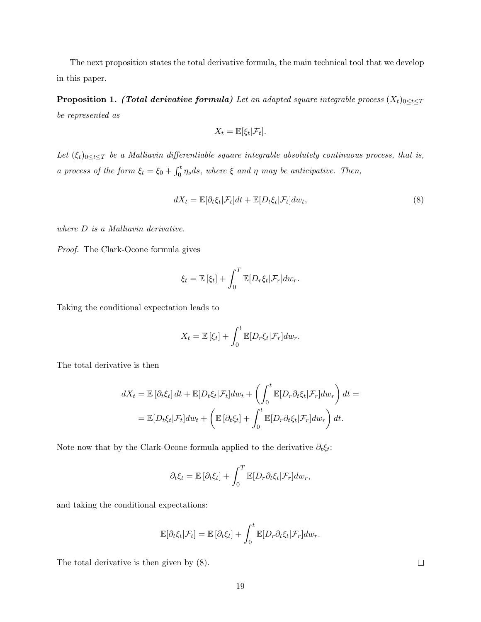The next proposition states the total derivative formula, the main technical tool that we develop in this paper.

**Proposition 1.** (Total derivative formula) Let an adapted square integrable process  $(X_t)_{0 \leq t \leq T}$ be represented as

$$
X_t = \mathbb{E}[\xi_t|\mathcal{F}_t].
$$

Let  $(\xi_t)_{0 \leq t \leq T}$  be a Malliavin differentiable square integrable absolutely continuous process, that is, a process of the form  $\xi_t = \xi_0 + \int_0^t \eta_s ds$ , where  $\xi$  and  $\eta$  may be anticipative. Then,

$$
dX_t = \mathbb{E}[\partial_t \xi_t | \mathcal{F}_t] dt + \mathbb{E}[D_t \xi_t | \mathcal{F}_t] dw_t,
$$
\n(8)

where  $D$  is a Malliavin derivative.

Proof. The Clark-Ocone formula gives

$$
\xi_t = \mathbb{E} [\xi_t] + \int_0^T \mathbb{E} [D_r \xi_t | \mathcal{F}_r] dw_r.
$$

Taking the conditional expectation leads to

$$
X_t = \mathbb{E} \left[ \xi_t \right] + \int_0^t \mathbb{E} \left[ D_r \xi_t | \mathcal{F}_r \right] dw_r.
$$

The total derivative is then

$$
dX_t = \mathbb{E} \left[ \partial_t \xi_t \right] dt + \mathbb{E} \left[ D_t \xi_t | \mathcal{F}_t \right] dw_t + \left( \int_0^t \mathbb{E} \left[ D_r \partial_t \xi_t | \mathcal{F}_r \right] dw_r \right) dt =
$$
  
= 
$$
\mathbb{E} \left[ D_t \xi_t | \mathcal{F}_t \right] dw_t + \left( \mathbb{E} \left[ \partial_t \xi_t \right] + \int_0^t \mathbb{E} \left[ D_r \partial_t \xi_t | \mathcal{F}_r \right] dw_r \right) dt.
$$

Note now that by the Clark-Ocone formula applied to the derivative  $\partial_t \xi_t$ :

$$
\partial_t \xi_t = \mathbb{E} \left[ \partial_t \xi_t \right] + \int_0^T \mathbb{E} \left[ D_r \partial_t \xi_t \middle| \mathcal{F}_r \right] dw_r,
$$

and taking the conditional expectations:

$$
\mathbb{E}[\partial_t \xi_t | \mathcal{F}_t] = \mathbb{E}[\partial_t \xi_t] + \int_0^t \mathbb{E}[D_r \partial_t \xi_t | \mathcal{F}_r] dw_r.
$$

The total derivative is then given by (8).

 $\Box$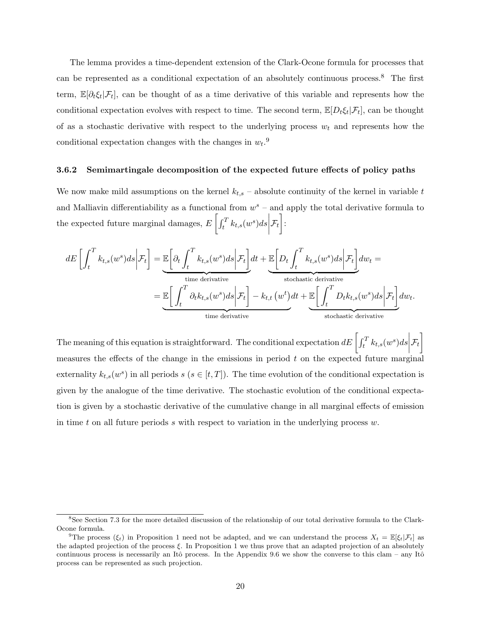The lemma provides a time-dependent extension of the Clark-Ocone formula for processes that can be represented as a conditional expectation of an absolutely continuous process.<sup>8</sup> The first term,  $\mathbb{E}[\partial_t \xi_t | \mathcal{F}_t]$ , can be thought of as a time derivative of this variable and represents how the conditional expectation evolves with respect to time. The second term,  $\mathbb{E}[D_t \xi_t | \mathcal{F}_t]$ , can be thought of as a stochastic derivative with respect to the underlying process  $w_t$  and represents how the conditional expectation changes with the changes in  $w_t$ <sup>9</sup>

#### 3.6.2 Semimartingale decomposition of the expected future effects of policy paths

We now make mild assumptions on the kernel  $k_{t,s}$  – absolute continuity of the kernel in variable t and Malliavin differentiability as a functional from  $w^s$  – and apply the total derivative formula to the expected future marginal damages,  $E\left[\int_t^T k_{t,s}(w^s)ds\right]$  $\mathcal{F}_t \Big]$  :

$$
dE\left[\int_{t}^{T} k_{t,s}(w^{s})ds \middle| \mathcal{F}_{t}\right] = \underbrace{\mathbb{E}\left[\partial_{t} \int_{t}^{T} k_{t,s}(w^{s})ds \middle| \mathcal{F}_{t}\right]}_{\text{time derivative}} dt + \underbrace{\mathbb{E}\left[D_{t} \int_{t}^{T} k_{t,s}(w^{s})ds \middle| \mathcal{F}_{t}\right]}_{\text{stochastic derivative}}
$$
\n
$$
= \underbrace{\mathbb{E}\left[\int_{t}^{T} \partial_{t} k_{t,s}(w^{s})ds \middle| \mathcal{F}_{t}\right]}_{\text{time derivative}} - k_{t,t}\left(w^{t}\right)dt + \underbrace{\mathbb{E}\left[\int_{t}^{T} D_{t} k_{t,s}(w^{s})ds \middle| \mathcal{F}_{t}\right]}_{\text{stochastic derivative}}
$$

The meaning of this equation is straightforward. The conditional expectation  $dE\left[\int_t^T k_{t,s}(w^s)ds\right]$  $\mathcal{F}_t\Big]$ measures the effects of the change in the emissions in period  $t$  on the expected future marginal externality  $k_{t,s}(w^s)$  in all periods  $s$   $(s \in [t,T])$ . The time evolution of the conditional expectation is given by the analogue of the time derivative. The stochastic evolution of the conditional expectation is given by a stochastic derivative of the cumulative change in all marginal effects of emission in time t on all future periods s with respect to variation in the underlying process  $w$ .

<sup>8</sup>See Section 7.3 for the more detailed discussion of the relationship of our total derivative formula to the Clark-Ocone formula.

<sup>&</sup>lt;sup>9</sup>The process  $(\xi_t)$  in Proposition 1 need not be adapted, and we can understand the process  $X_t = \mathbb{E}[\xi_t|\mathcal{F}_t]$  as the adapted projection of the process ξ. In Proposition 1 we thus prove that an adapted projection of an absolutely continuous process is necessarily an Itô process. In the Appendix 9.6 we show the converse to this clam – any Itô process can be represented as such projection.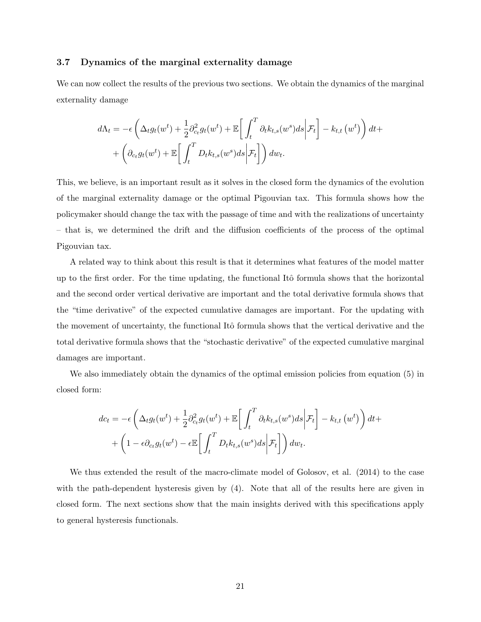### 3.7 Dynamics of the marginal externality damage

We can now collect the results of the previous two sections. We obtain the dynamics of the marginal externality damage

$$
d\Lambda_t = -\epsilon \left( \Delta_t g_t(w^t) + \frac{1}{2} \partial_{ct}^2 g_t(w^t) + \mathbb{E} \left[ \int_t^T \partial_t k_{t,s}(w^s) ds \middle| \mathcal{F}_t \right] - k_{t,t}(w^t) \right) dt +
$$
  
+ 
$$
\left( \partial_{ct} g_t(w^t) + \mathbb{E} \left[ \int_t^T D_t k_{t,s}(w^s) ds \middle| \mathcal{F}_t \right] \right) dw_t.
$$

This, we believe, is an important result as it solves in the closed form the dynamics of the evolution of the marginal externality damage or the optimal Pigouvian tax. This formula shows how the policymaker should change the tax with the passage of time and with the realizations of uncertainty – that is, we determined the drift and the diffusion coefficients of the process of the optimal Pigouvian tax.

A related way to think about this result is that it determines what features of the model matter up to the first order. For the time updating, the functional Itô formula shows that the horizontal and the second order vertical derivative are important and the total derivative formula shows that the "time derivative" of the expected cumulative damages are important. For the updating with the movement of uncertainty, the functional Itô formula shows that the vertical derivative and the total derivative formula shows that the "stochastic derivative" of the expected cumulative marginal damages are important.

We also immediately obtain the dynamics of the optimal emission policies from equation (5) in closed form:

$$
dc_t = -\epsilon \left( \Delta_t g_t(w^t) + \frac{1}{2} \partial_{c_t}^2 g_t(w^t) + \mathbb{E} \left[ \int_t^T \partial_t k_{t,s}(w^s) ds \middle| \mathcal{F}_t \right] - k_{t,t}(w^t) \right) dt +
$$
  
+ 
$$
\left( 1 - \epsilon \partial_{c_t} g_t(w^t) - \epsilon \mathbb{E} \left[ \int_t^T D_t k_{t,s}(w^s) ds \middle| \mathcal{F}_t \right] \right) dw_t.
$$

We thus extended the result of the macro-climate model of Golosov, et al. (2014) to the case with the path-dependent hysteresis given by (4). Note that all of the results here are given in closed form. The next sections show that the main insights derived with this specifications apply to general hysteresis functionals.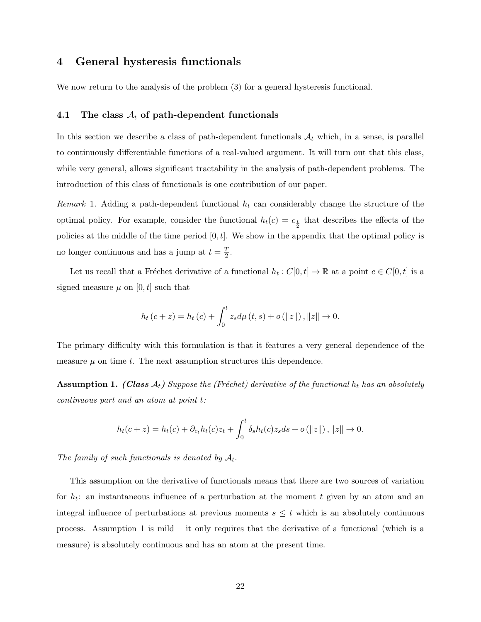### 4 General hysteresis functionals

We now return to the analysis of the problem (3) for a general hysteresis functional.

### 4.1 The class  $A_t$  of path-dependent functionals

In this section we describe a class of path-dependent functionals  $A_t$  which, in a sense, is parallel to continuously differentiable functions of a real-valued argument. It will turn out that this class, while very general, allows significant tractability in the analysis of path-dependent problems. The introduction of this class of functionals is one contribution of our paper.

Remark 1. Adding a path-dependent functional  $h_t$  can considerably change the structure of the optimal policy. For example, consider the functional  $h_t(c) = c_{\frac{t}{2}}$  that describes the effects of the policies at the middle of the time period  $[0, t]$ . We show in the appendix that the optimal policy is no longer continuous and has a jump at  $t=\frac{T}{2}$  $\frac{T}{2}$ .

Let us recall that a Fréchet derivative of a functional  $h_t: C[0, t] \to \mathbb{R}$  at a point  $c \in C[0, t]$  is a signed measure  $\mu$  on [0, t] such that

$$
h_t (c + z) = h_t (c) + \int_0^t z_s d\mu (t, s) + o(||z||), ||z|| \to 0.
$$

The primary difficulty with this formulation is that it features a very general dependence of the measure  $\mu$  on time t. The next assumption structures this dependence.

**Assumption 1.** (Class  $A_t$ ) Suppose the (Fréchet) derivative of the functional  $h_t$  has an absolutely continuous part and an atom at point t:

$$
h_t(c+z) = h_t(c) + \partial_{c_t} h_t(c) z_t + \int_0^t \delta_s h_t(c) z_s ds + o(||z||), ||z|| \to 0.
$$

The family of such functionals is denoted by  $A_t$ .

This assumption on the derivative of functionals means that there are two sources of variation for  $h_t$ : an instantaneous influence of a perturbation at the moment t given by an atom and an integral influence of perturbations at previous moments  $s \leq t$  which is an absolutely continuous process. Assumption 1 is mild – it only requires that the derivative of a functional (which is a measure) is absolutely continuous and has an atom at the present time.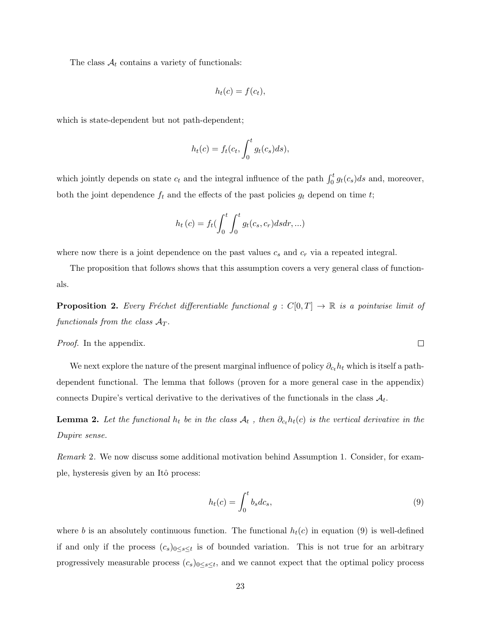The class  $A_t$  contains a variety of functionals:

$$
h_t(c) = f(c_t),
$$

which is state-dependent but not path-dependent;

$$
h_t(c) = f_t(c_t, \int_0^t g_t(c_s)ds),
$$

which jointly depends on state  $c_t$  and the integral influence of the path  $\int_0^t g_t(c_s)ds$  and, moreover, both the joint dependence  $f_t$  and the effects of the past policies  $g_t$  depend on time t;

$$
h_t(c) = f_t \left(\int_0^t \int_0^t g_t(c_s, c_r) ds dr, \ldots\right)
$$

where now there is a joint dependence on the past values  $c_s$  and  $c_r$  via a repeated integral.

The proposition that follows shows that this assumption covers a very general class of functionals.

**Proposition 2.** Every Fréchet differentiable functional  $g : C[0,T] \to \mathbb{R}$  is a pointwise limit of functionals from the class  $A_T$ .

Proof. In the appendix.

We next explore the nature of the present marginal influence of policy  $\partial_{c_t} h_t$  which is itself a pathdependent functional. The lemma that follows (proven for a more general case in the appendix) connects Dupire's vertical derivative to the derivatives of the functionals in the class  $A_t$ .

**Lemma 2.** Let the functional  $h_t$  be in the class  $A_t$ , then  $\partial_{c_t}h_t(c)$  is the vertical derivative in the Dupire sense.

Remark 2. We now discuss some additional motivation behind Assumption 1. Consider, for example, hysteresis given by an Itô process:

$$
h_t(c) = \int_0^t b_s dc_s,\tag{9}
$$

where b is an absolutely continuous function. The functional  $h_t(c)$  in equation (9) is well-defined if and only if the process  $(c_s)_{0\leq s\leq t}$  is of bounded variation. This is not true for an arbitrary progressively measurable process  $(c_s)_{0 \le s \le t}$ , and we cannot expect that the optimal policy process

 $\Box$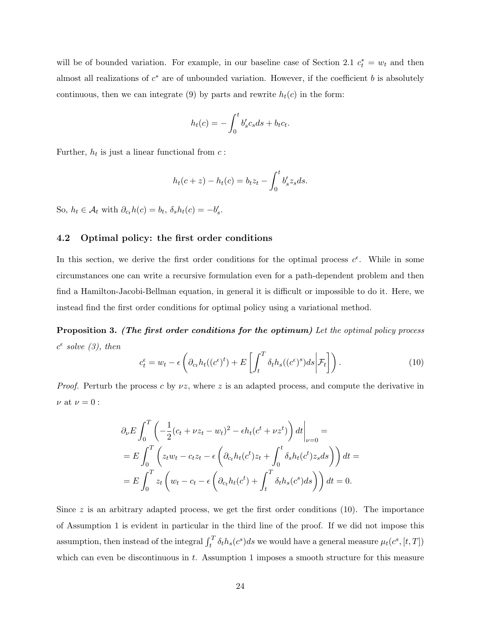will be of bounded variation. For example, in our baseline case of Section 2.1  $c_t^* = w_t$  and then almost all realizations of  $c^*$  are of unbounded variation. However, if the coefficient b is absolutely continuous, then we can integrate (9) by parts and rewrite  $h_t(c)$  in the form:

$$
h_t(c) = -\int_0^t b'_s c_s ds + b_t c_t.
$$

Further,  $h_t$  is just a linear functional from  $c$ :

$$
h_t(c+z) - h_t(c) = b_t z_t - \int_0^t b'_s z_s ds.
$$

So,  $h_t \in \mathcal{A}_t$  with  $\partial_{c_t} h(c) = b_t, \delta_s h_t(c) = -b'_s$ .

### 4.2 Optimal policy: the first order conditions

In this section, we derive the first order conditions for the optimal process  $c^{\epsilon}$ . While in some circumstances one can write a recursive formulation even for a path-dependent problem and then find a Hamilton-Jacobi-Bellman equation, in general it is difficult or impossible to do it. Here, we instead find the first order conditions for optimal policy using a variational method.

Proposition 3. (The first order conditions for the optimum) Let the optimal policy process  $c^{\epsilon}$  solve (3), then

$$
c_t^{\epsilon} = w_t - \epsilon \left( \partial_{c_t} h_t((c^{\epsilon})^t) + E \left[ \int_t^T \delta_t h_s((c^{\epsilon})^s) ds \middle| \mathcal{F}_t \right] \right). \tag{10}
$$

*Proof.* Perturb the process c by  $\nu z$ , where z is an adapted process, and compute the derivative in  $\nu$  at  $\nu=0$  :

$$
\partial_{\nu}E \int_{0}^{T} \left( -\frac{1}{2}(c_t + \nu z_t - w_t)^2 - \epsilon h_t (c^t + \nu z^t) \right) dt \Big|_{\nu=0} =
$$
  
= 
$$
E \int_{0}^{T} \left( z_t w_t - c_t z_t - \epsilon \left( \partial_{c_t} h_t (c^t) z_t + \int_{0}^{t} \delta_s h_t (c^t) z_s ds \right) \right) dt =
$$
  
= 
$$
E \int_{0}^{T} z_t \left( w_t - c_t - \epsilon \left( \partial_{c_t} h_t (c^t) + \int_{t}^{T} \delta_t h_s (c^s) ds \right) \right) dt = 0.
$$

Since  $z$  is an arbitrary adapted process, we get the first order conditions (10). The importance of Assumption 1 is evident in particular in the third line of the proof. If we did not impose this assumption, then instead of the integral  $\int_t^T \delta_t h_s(c^s) ds$  we would have a general measure  $\mu_t(c^s, [t, T])$ which can even be discontinuous in  $t$ . Assumption 1 imposes a smooth structure for this measure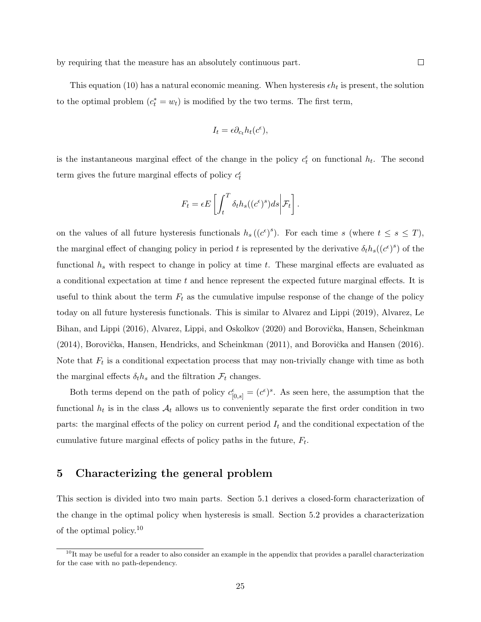This equation (10) has a natural economic meaning. When hysteresis  $\epsilon h_t$  is present, the solution to the optimal problem  $(c_t^* = w_t)$  is modified by the two terms. The first term,

$$
I_t = \epsilon \partial_{c_t} h_t(c^{\epsilon}),
$$

is the instantaneous marginal effect of the change in the policy  $c_t^{\epsilon}$  on functional  $h_t$ . The second term gives the future marginal effects of policy  $c_t^{\epsilon}$ 

$$
F_t = \epsilon E \left[ \int_t^T \delta_t h_s((c^{\epsilon})^s) ds \middle| \mathcal{F}_t \right].
$$

on the values of all future hysteresis functionals  $h_s((c^{\epsilon})^s)$ . For each time s (where  $t \leq s \leq T$ ), the marginal effect of changing policy in period t is represented by the derivative  $\delta_t h_s((c^{\epsilon})^s)$  of the functional  $h_s$  with respect to change in policy at time t. These marginal effects are evaluated as a conditional expectation at time t and hence represent the expected future marginal effects. It is useful to think about the term  $F_t$  as the cumulative impulse response of the change of the policy today on all future hysteresis functionals. This is similar to Alvarez and Lippi (2019), Alvarez, Le Bihan, and Lippi (2016), Alvarez, Lippi, and Oskolkov (2020) and Borovička, Hansen, Scheinkman  $(2014)$ , Borovička, Hansen, Hendricks, and Scheinkman  $(2011)$ , and Borovička and Hansen  $(2016)$ . Note that  $F_t$  is a conditional expectation process that may non-trivially change with time as both the marginal effects  $\delta_t h_s$  and the filtration  $\mathcal{F}_t$  changes.

Both terms depend on the path of policy  $c_{[0,s]}^{\epsilon} = (c^{\epsilon})^s$ . As seen here, the assumption that the functional  $h_t$  is in the class  $A_t$  allows us to conveniently separate the first order condition in two parts: the marginal effects of the policy on current period  $I_t$  and the conditional expectation of the cumulative future marginal effects of policy paths in the future,  $F_t$ .

### 5 Characterizing the general problem

This section is divided into two main parts. Section 5.1 derives a closed-form characterization of the change in the optimal policy when hysteresis is small. Section 5.2 provides a characterization of the optimal policy.<sup>10</sup>

 $10$ It may be useful for a reader to also consider an example in the appendix that provides a parallel characterization for the case with no path-dependency.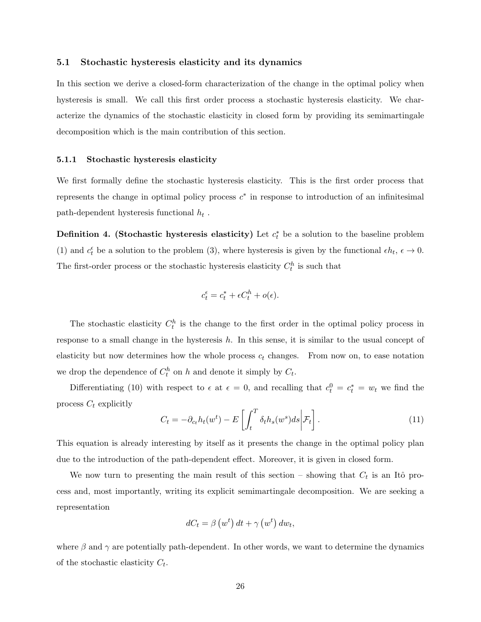### 5.1 Stochastic hysteresis elasticity and its dynamics

In this section we derive a closed-form characterization of the change in the optimal policy when hysteresis is small. We call this first order process a stochastic hysteresis elasticity. We characterize the dynamics of the stochastic elasticity in closed form by providing its semimartingale decomposition which is the main contribution of this section.

#### 5.1.1 Stochastic hysteresis elasticity

We first formally define the stochastic hysteresis elasticity. This is the first order process that represents the change in optimal policy process  $c^*$  in response to introduction of an infinitesimal path-dependent hysteresis functional  $h_t$ .

Definition 4. (Stochastic hysteresis elasticity) Let  $c_t^*$  be a solution to the baseline problem (1) and  $c_t^{\epsilon}$  be a solution to the problem (3), where hysteresis is given by the functional  $\epsilon h_t$ ,  $\epsilon \to 0$ . The first-order process or the stochastic hysteresis elasticity  $C_t^h$  is such that

$$
c_t^{\epsilon} = c_t^* + \epsilon C_t^h + o(\epsilon).
$$

The stochastic elasticity  $C_t^h$  is the change to the first order in the optimal policy process in response to a small change in the hysteresis  $h$ . In this sense, it is similar to the usual concept of elasticity but now determines how the whole process  $c_t$  changes. From now on, to ease notation we drop the dependence of  $C_t^h$  on h and denote it simply by  $C_t$ .

Differentiating (10) with respect to  $\epsilon$  at  $\epsilon = 0$ , and recalling that  $c_t^0 = c_t^* = w_t$  we find the process  $C_t$  explicitly

$$
C_t = -\partial_{c_t} h_t(w^t) - E\left[\int_t^T \delta_t h_s(w^s) ds \middle| \mathcal{F}_t\right].
$$
\n(11)

This equation is already interesting by itself as it presents the change in the optimal policy plan due to the introduction of the path-dependent effect. Moreover, it is given in closed form.

We now turn to presenting the main result of this section – showing that  $C_t$  is an Itô process and, most importantly, writing its explicit semimartingale decomposition. We are seeking a representation

$$
dC_t = \beta\left(w^t\right)dt + \gamma\left(w^t\right)dw_t,
$$

where  $\beta$  and  $\gamma$  are potentially path-dependent. In other words, we want to determine the dynamics of the stochastic elasticity  $C_t$ .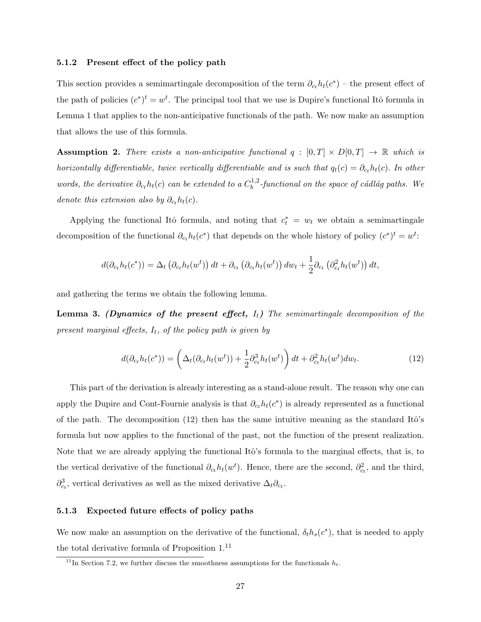#### 5.1.2 Present effect of the policy path

This section provides a semimartingale decomposition of the term  $\partial_{ct} h_t(c^*)$  – the present effect of the path of policies  $(c^*)^t = w^t$ . The principal tool that we use is Dupire's functional Itô formula in Lemma 1 that applies to the non-anticipative functionals of the path. We now make an assumption that allows the use of this formula.

**Assumption 2.** There exists a non-anticipative functional  $q : [0, T] \times D[0, T] \rightarrow \mathbb{R}$  which is horizontally differentiable, twice vertically differentiable and is such that  $q_t(c) = \partial_{c_t} h_t(c)$ . In other words, the derivative  $\partial_{c_t} h_t(c)$  can be extended to a  $C_b^{1,2}$  $b^{1,2}$ -functional on the space of cádlág paths. We denote this extension also by  $\partial_{c_1} h_t(c)$ .

Applying the functional Itô formula, and noting that  $c_t^* = w_t$  we obtain a semimartingale decomposition of the functional  $\partial_{c_t} h_t(c^*)$  that depends on the whole history of policy  $(c^*)^t = w^t$ :

$$
d(\partial_{c_t} h_t(c^*)) = \Delta_t \left( \partial_{c_t} h_t(w^t) \right) dt + \partial_{c_t} \left( \partial_{c_t} h_t(w^t) \right) dw_t + \frac{1}{2} \partial_{c_t} \left( \partial_{c_t}^2 h_t(w^t) \right) dt,
$$

and gathering the terms we obtain the following lemma.

**Lemma 3.** (Dynamics of the present effect,  $I_t$ ) The semimartingale decomposition of the present marginal effects,  $I_t$ , of the policy path is given by

$$
d(\partial_{c_t} h_t(c^*)) = \left(\Delta_t(\partial_{c_t} h_t(w^t)) + \frac{1}{2}\partial_{c_t}^3 h_t(w^t)\right)dt + \partial_{c_t}^2 h_t(w^t)dw_t.
$$
\n(12)

This part of the derivation is already interesting as a stand-alone result. The reason why one can apply the Dupire and Cont-Fournie analysis is that  $\partial_{c_t} h_t(c^*)$  is already represented as a functional of the path. The decomposition  $(12)$  then has the same intuitive meaning as the standard Itô's formula but now applies to the functional of the past, not the function of the present realization. Note that we are already applying the functional Itô's formula to the marginal effects, that is, to the vertical derivative of the functional  $\partial_{c_t} h_t(w^t)$ . Hence, there are the second,  $\partial_{c_t}^2$ , and the third,  $\partial_{c_t}^3$ , vertical derivatives as well as the mixed derivative  $\Delta_t \partial_{c_t}$ .

### 5.1.3 Expected future effects of policy paths

We now make an assumption on the derivative of the functional,  $\delta_t h_s(c^*)$ , that is needed to apply the total derivative formula of Proposition 1.<sup>11</sup>

<sup>&</sup>lt;sup>11</sup>In Section 7.2, we further discuss the smoothness assumptions for the functionals  $h_t$ .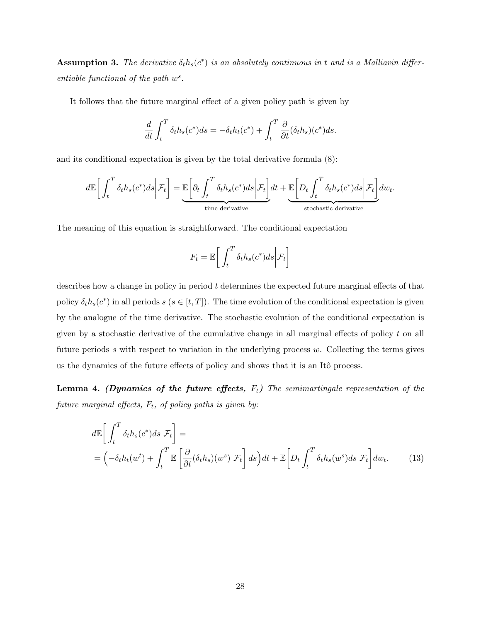**Assumption 3.** The derivative  $\delta_t h_s(c^*)$  is an absolutely continuous in t and is a Malliavin differentiable functional of the path  $w^s$ .

It follows that the future marginal effect of a given policy path is given by

$$
\frac{d}{dt} \int_t^T \delta_t h_s(c^*) ds = -\delta_t h_t(c^*) + \int_t^T \frac{\partial}{\partial t} (\delta_t h_s)(c^*) ds.
$$

and its conditional expectation is given by the total derivative formula (8):

$$
d\mathbb{E}\bigg[\int_t^T \delta_t h_s(c^*)ds\bigg|\mathcal{F}_t\bigg] = \underbrace{\mathbb{E}\bigg[\partial_t \int_t^T \delta_t h_s(c^*)ds\bigg|\mathcal{F}_t\bigg]}_{\text{time derivative}} dt + \underbrace{\mathbb{E}\bigg[D_t \int_t^T \delta_t h_s(c^*)ds\bigg|\mathcal{F}_t\bigg]}_{\text{stochastic derivative}}
$$

The meaning of this equation is straightforward. The conditional expectation

$$
F_t = \mathbb{E}\bigg[\int_t^T \delta_t h_s(c^*) ds \bigg|\mathcal{F}_t\bigg]
$$

describes how a change in policy in period t determines the expected future marginal effects of that policy  $\delta_t h_s(c^*)$  in all periods  $s$   $(s \in [t, T])$ . The time evolution of the conditional expectation is given by the analogue of the time derivative. The stochastic evolution of the conditional expectation is given by a stochastic derivative of the cumulative change in all marginal effects of policy t on all future periods  $s$  with respect to variation in the underlying process  $w$ . Collecting the terms gives us the dynamics of the future effects of policy and shows that it is an Itô process.

**Lemma 4.** (Dynamics of the future effects,  $F_t$ ) The semimartingale representation of the future marginal effects,  $F_t$ , of policy paths is given by:

$$
d\mathbb{E}\left[\int_t^T \delta_t h_s(c^*)ds \bigg|\mathcal{F}_t\right] =
$$
  
=  $\left(-\delta_t h_t(w^t) + \int_t^T \mathbb{E}\left[\frac{\partial}{\partial t}(\delta_t h_s)(w^s) \bigg|\mathcal{F}_t\right] ds\right) dt + \mathbb{E}\left[D_t \int_t^T \delta_t h_s(w^s) ds \bigg|\mathcal{F}_t\right] dw_t.$  (13)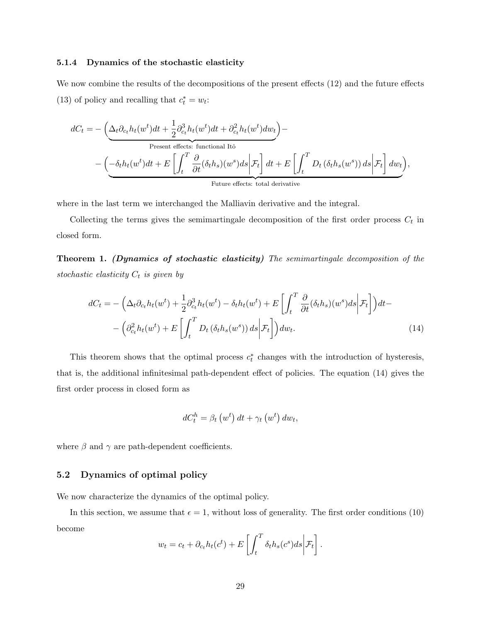#### 5.1.4 Dynamics of the stochastic elasticity

We now combine the results of the decompositions of the present effects (12) and the future effects (13) of policy and recalling that  $c_t^* = w_t$ :

$$
dC_t = -\left(\underbrace{\Delta_t \partial_{c_t} h_t(w^t) dt + \frac{1}{2} \partial_{c_t}^3 h_t(w^t) dt + \partial_{c_t}^2 h_t(w^t) dw_t}_{\text{Present effects: functional Itô}}\right) - \left(-\underbrace{\delta_t h_t(w^t) dt + E\left[\int_t^T \frac{\partial}{\partial t} (\delta_t h_s)(w^s) ds \middle| \mathcal{F}_t\right] dt + E\left[\int_t^T D_t \left(\delta_t h_s(w^s)\right) ds \middle| \mathcal{F}_t\right] dw_t}_{\text{Future effects: total derivative}}\right),
$$

where in the last term we interchanged the Malliavin derivative and the integral.

Collecting the terms gives the semimartingale decomposition of the first order process  $C_t$  in closed form.

Theorem 1. (Dynamics of stochastic elasticity) The semimartingale decomposition of the stochastic elasticity  $C_t$  is given by

$$
dC_t = -\left(\Delta_t \partial_{c_t} h_t(w^t) + \frac{1}{2} \partial_{c_t}^3 h_t(w^t) - \delta_t h_t(w^t) + E\left[\int_t^T \frac{\partial}{\partial t} (\delta_t h_s)(w^s) ds \middle| \mathcal{F}_t\right]\right) dt - \left(\partial_{c_t}^2 h_t(w^t) + E\left[\int_t^T D_t (\delta_t h_s(w^s)) ds \middle| \mathcal{F}_t\right]\right) dw_t.
$$
\n(14)

This theorem shows that the optimal process  $c_t^*$  changes with the introduction of hysteresis, that is, the additional infinitesimal path-dependent effect of policies. The equation (14) gives the first order process in closed form as

$$
dC_t^h = \beta_t \left(w^t\right) dt + \gamma_t \left(w^t\right) dw_t,
$$

where  $\beta$  and  $\gamma$  are path-dependent coefficients.

### 5.2 Dynamics of optimal policy

We now characterize the dynamics of the optimal policy.

In this section, we assume that  $\epsilon = 1$ , without loss of generality. The first order conditions (10) become

$$
w_t = c_t + \partial_{c_t} h_t(c^t) + E\left[\int_t^T \delta_t h_s(c^s) ds \middle| \mathcal{F}_t\right].
$$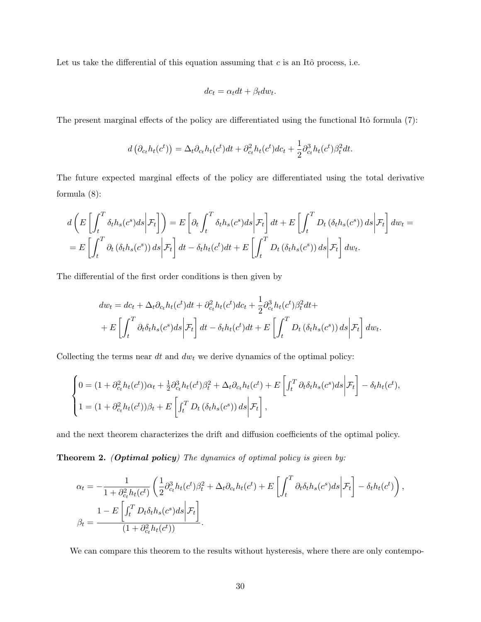Let us take the differential of this equation assuming that  $c$  is an Itô process, i.e.

$$
dc_t = \alpha_t dt + \beta_t dw_t.
$$

The present marginal effects of the policy are differentiated using the functional Itô formula  $(7)$ :

$$
d\left(\partial_{c_t}h_t(c^t)\right) = \Delta_t \partial_{c_t}h_t(c^t)dt + \partial_{c_t}^2h_t(c^t)dc_t + \frac{1}{2}\partial_{c_t}^3h_t(c^t)\beta_t^2dt.
$$

The future expected marginal effects of the policy are differentiated using the total derivative formula (8):

$$
d\left(E\left[\int_t^T \delta_t h_s(c^s)ds\middle|\mathcal{F}_t\right]\right) = E\left[\partial_t \int_t^T \delta_t h_s(c^s)ds\middle|\mathcal{F}_t\right]dt + E\left[\int_t^T D_t\left(\delta_t h_s(c^s)\right)ds\middle|\mathcal{F}_t\right]dw_t =
$$
  
= 
$$
E\left[\int_t^T \partial_t\left(\delta_t h_s(c^s)\right)ds\middle|\mathcal{F}_t\right]dt - \delta_t h_t(c^t)dt + E\left[\int_t^T D_t\left(\delta_t h_s(c^s)\right)ds\middle|\mathcal{F}_t\right]dw_t.
$$

The differential of the first order conditions is then given by

$$
dw_t = dc_t + \Delta_t \partial_{c_t} h_t(c^t) dt + \partial_{c_t}^2 h_t(c^t) dc_t + \frac{1}{2} \partial_{c_t}^3 h_t(c^t) \beta_t^2 dt +
$$
  
+ 
$$
E\left[\int_t^T \partial_t \delta_t h_s(c^s) ds \middle| \mathcal{F}_t\right] dt - \delta_t h_t(c^t) dt + E\left[\int_t^T D_t \left(\delta_t h_s(c^s)\right) ds \middle| \mathcal{F}_t\right] dw_t.
$$

Collecting the terms near  $dt$  and  $dw_t$  we derive dynamics of the optimal policy:

$$
\begin{cases}\n0 = (1 + \partial_{ct}^2 h_t(c^t))\alpha_t + \frac{1}{2}\partial_{ct}^3 h_t(c^t)\beta_t^2 + \Delta_t \partial_{ct} h_t(c^t) + E\left[\int_t^T \partial_t \delta_t h_s(c^s)ds \middle| \mathcal{F}_t\right] - \delta_t h_t(c^t), \\
1 = (1 + \partial_{ct}^2 h_t(c^t))\beta_t + E\left[\int_t^T D_t(\delta_t h_s(c^s)) ds \middle| \mathcal{F}_t\right],\n\end{cases}
$$

and the next theorem characterizes the drift and diffusion coefficients of the optimal policy.

Theorem 2. (Optimal policy) The dynamics of optimal policy is given by:

$$
\alpha_t = -\frac{1}{1 + \partial_{c_t}^2 h_t(c^t)} \left( \frac{1}{2} \partial_{c_t}^3 h_t(c^t) \beta_t^2 + \Delta_t \partial_{c_t} h_t(c^t) + E \left[ \int_t^T \partial_t \delta_t h_s(c^s) ds \Big| \mathcal{F}_t \right] - \delta_t h_t(c^t) \right),
$$
  

$$
\beta_t = \frac{1 - E \left[ \int_t^T D_t \delta_t h_s(c^s) ds \Big| \mathcal{F}_t \right]}{(1 + \partial_{c_t}^2 h_t(c^t))}.
$$

We can compare this theorem to the results without hysteresis, where there are only contempo-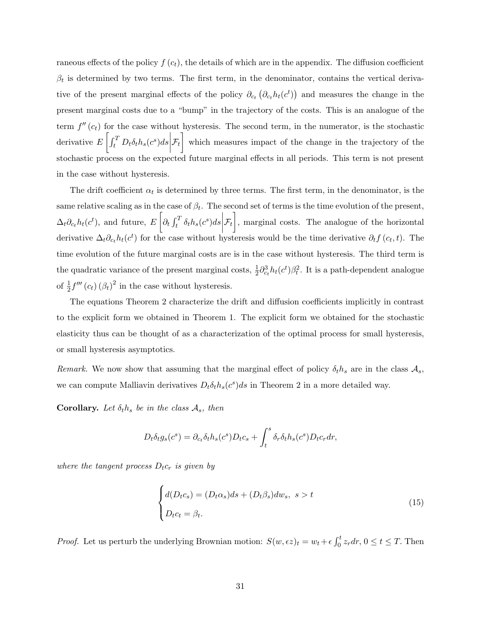raneous effects of the policy  $f(c_t)$ , the details of which are in the appendix. The diffusion coefficient  $\beta_t$  is determined by two terms. The first term, in the denominator, contains the vertical derivative of the present marginal effects of the policy  $\partial_{c_t}(\partial_{c_t} h_t(c^t))$  and measures the change in the present marginal costs due to a "bump" in the trajectory of the costs. This is an analogue of the term  $f''(c_t)$  for the case without hysteresis. The second term, in the numerator, is the stochastic derivative  $E\left[\int_t^T D_t \delta_t h_s(c^s) ds\right]$  $\mathcal{F}_t$  which measures impact of the change in the trajectory of the stochastic process on the expected future marginal effects in all periods. This term is not present in the case without hysteresis.

The drift coefficient  $\alpha_t$  is determined by three terms. The first term, in the denominator, is the same relative scaling as in the case of  $\beta_t$ . The second set of terms is the time evolution of the present,  $\Delta_t \partial_{c_t} h_t(c^t)$ , and future,  $E\left[\partial_t \int_t^T \delta_t h_s(c^s) ds\right]$  $\mathcal{F}_t$ , marginal costs. The analogue of the horizontal derivative  $\Delta_t \partial_{ct} h_t(c^t)$  for the case without hysteresis would be the time derivative  $\partial_t f(c_t, t)$ . The time evolution of the future marginal costs are is in the case without hysteresis. The third term is the quadratic variance of the present marginal costs,  $\frac{1}{2}\partial_{c_t}^3 h_t(c^t)\beta_t^2$ . It is a path-dependent analogue of  $\frac{1}{2}f'''(c_t)(\beta_t)^2$  in the case without hysteresis.

The equations Theorem 2 characterize the drift and diffusion coefficients implicitly in contrast to the explicit form we obtained in Theorem 1. The explicit form we obtained for the stochastic elasticity thus can be thought of as a characterization of the optimal process for small hysteresis, or small hysteresis asymptotics.

Remark. We now show that assuming that the marginal effect of policy  $\delta_t h_s$  are in the class  $\mathcal{A}_s$ , we can compute Malliavin derivatives  $D_t \delta_t h_s(c^s) ds$  in Theorem 2 in a more detailed way.

**Corollary.** Let  $\delta_t h_s$  be in the class  $A_s$ , then

$$
D_t \delta_t g_s(c^s) = \partial_{c_t} \delta_t h_s(c^s) D_t c_s + \int_t^s \delta_r \delta_t h_s(c^s) D_t c_r dr,
$$

where the tangent process  $D_t c_r$  is given by

$$
\begin{cases}\nd(D_t c_s) = (D_t \alpha_s) ds + (D_t \beta_s) dw_s, \ s > t \\
D_t c_t = \beta_t.\n\end{cases}
$$
\n(15)

*Proof.* Let us perturb the underlying Brownian motion:  $S(w, \epsilon z)_t = w_t + \epsilon \int_0^t z_r dr$ ,  $0 \le t \le T$ . Then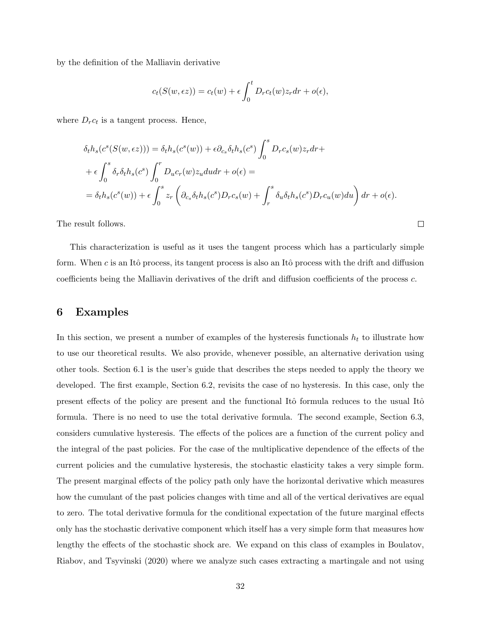by the definition of the Malliavin derivative

$$
c_t(S(w, \epsilon z)) = c_t(w) + \epsilon \int_0^t D_r c_t(w) z_r dr + o(\epsilon),
$$

where  $D_r c_t$  is a tangent process. Hence,

$$
\delta_t h_s(c^s(S(w, \epsilon z))) = \delta_t h_s(c^s(w)) + \epsilon \partial_{c_s} \delta_t h_s(c^s) \int_0^s D_r c_s(w) z_r dr +
$$
  
+ 
$$
\epsilon \int_0^s \delta_r \delta_t h_s(c^s) \int_0^r D_u c_r(w) z_u du dr + o(\epsilon) =
$$
  
= 
$$
\delta_t h_s(c^s(w)) + \epsilon \int_0^s z_r \left( \partial_{c_s} \delta_t h_s(c^s) D_r c_s(w) + \int_r^s \delta_u \delta_t h_s(c^s) D_r c_u(w) du \right) dr + o(\epsilon).
$$

 $\Box$ 

The result follows.

This characterization is useful as it uses the tangent process which has a particularly simple form. When c is an Itô process, its tangent process is also an Itô process with the drift and diffusion coefficients being the Malliavin derivatives of the drift and diffusion coefficients of the process c.

### 6 Examples

In this section, we present a number of examples of the hysteresis functionals  $h_t$  to illustrate how to use our theoretical results. We also provide, whenever possible, an alternative derivation using other tools. Section 6.1 is the user's guide that describes the steps needed to apply the theory we developed. The first example, Section 6.2, revisits the case of no hysteresis. In this case, only the present effects of the policy are present and the functional Itô formula reduces to the usual Itô formula. There is no need to use the total derivative formula. The second example, Section 6.3, considers cumulative hysteresis. The effects of the polices are a function of the current policy and the integral of the past policies. For the case of the multiplicative dependence of the effects of the current policies and the cumulative hysteresis, the stochastic elasticity takes a very simple form. The present marginal effects of the policy path only have the horizontal derivative which measures how the cumulant of the past policies changes with time and all of the vertical derivatives are equal to zero. The total derivative formula for the conditional expectation of the future marginal effects only has the stochastic derivative component which itself has a very simple form that measures how lengthy the effects of the stochastic shock are. We expand on this class of examples in Boulatov, Riabov, and Tsyvinski (2020) where we analyze such cases extracting a martingale and not using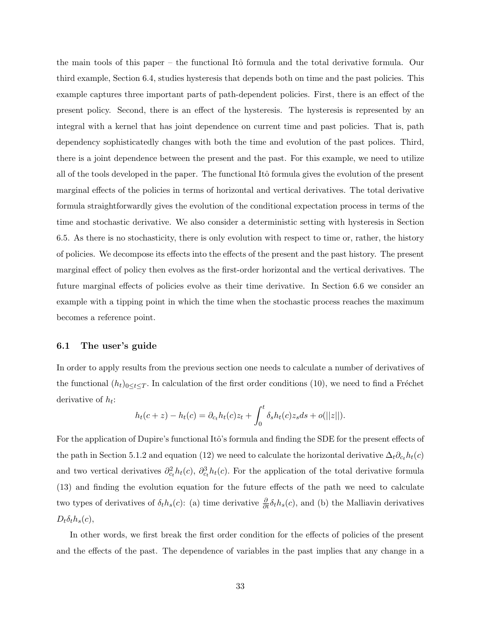the main tools of this paper – the functional Itô formula and the total derivative formula. Our third example, Section 6.4, studies hysteresis that depends both on time and the past policies. This example captures three important parts of path-dependent policies. First, there is an effect of the present policy. Second, there is an effect of the hysteresis. The hysteresis is represented by an integral with a kernel that has joint dependence on current time and past policies. That is, path dependency sophisticatedly changes with both the time and evolution of the past polices. Third, there is a joint dependence between the present and the past. For this example, we need to utilize all of the tools developed in the paper. The functional Itô formula gives the evolution of the present marginal effects of the policies in terms of horizontal and vertical derivatives. The total derivative formula straightforwardly gives the evolution of the conditional expectation process in terms of the time and stochastic derivative. We also consider a deterministic setting with hysteresis in Section 6.5. As there is no stochasticity, there is only evolution with respect to time or, rather, the history of policies. We decompose its effects into the effects of the present and the past history. The present marginal effect of policy then evolves as the first-order horizontal and the vertical derivatives. The future marginal effects of policies evolve as their time derivative. In Section 6.6 we consider an example with a tipping point in which the time when the stochastic process reaches the maximum becomes a reference point.

### 6.1 The user's guide

In order to apply results from the previous section one needs to calculate a number of derivatives of the functional  $(h_t)_{0\leq t\leq T}$ . In calculation of the first order conditions (10), we need to find a Fréchet derivative of  $h_t$ :

$$
h_t(c+z) - h_t(c) = \partial_{ct} h_t(c) z_t + \int_0^t \delta_s h_t(c) z_s ds + o(||z||).
$$

For the application of Dupire's functional Itô's formula and finding the SDE for the present effects of the path in Section 5.1.2 and equation (12) we need to calculate the horizontal derivative  $\Delta_t \partial_{c_t} h_t(c)$ and two vertical derivatives  $\partial_{c_t}^2 h_t(c)$ ,  $\partial_{c_t}^3 h_t(c)$ . For the application of the total derivative formula (13) and finding the evolution equation for the future effects of the path we need to calculate two types of derivatives of  $\delta_t h_s(c)$ : (a) time derivative  $\frac{\partial}{\partial t} \delta_t h_s(c)$ , and (b) the Malliavin derivatives  $D_t\delta_t h_s(c),$ 

In other words, we first break the first order condition for the effects of policies of the present and the effects of the past. The dependence of variables in the past implies that any change in a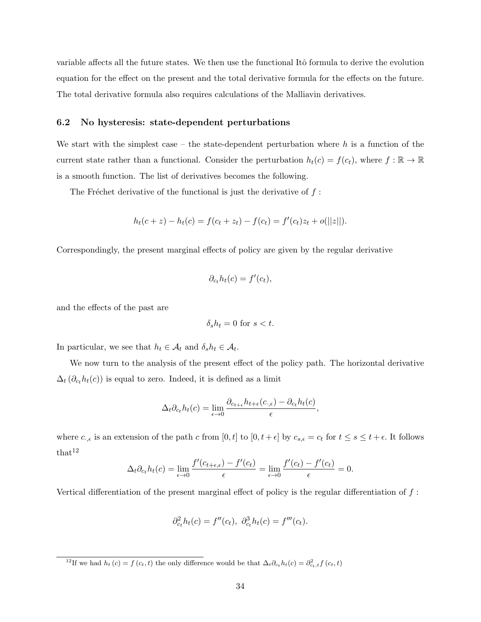variable affects all the future states. We then use the functional Itô formula to derive the evolution equation for the effect on the present and the total derivative formula for the effects on the future. The total derivative formula also requires calculations of the Malliavin derivatives.

### 6.2 No hysteresis: state-dependent perturbations

We start with the simplest case – the state-dependent perturbation where  $h$  is a function of the current state rather than a functional. Consider the perturbation  $h_t(c) = f(c_t)$ , where  $f : \mathbb{R} \to \mathbb{R}$ is a smooth function. The list of derivatives becomes the following.

The Fréchet derivative of the functional is just the derivative of  $f$ :

$$
h_t(c+z) - h_t(c) = f(c_t + z_t) - f(c_t) = f'(c_t)z_t + o(||z||).
$$

Correspondingly, the present marginal effects of policy are given by the regular derivative

$$
\partial_{c_t} h_t(c) = f'(c_t),
$$

and the effects of the past are

$$
\delta_s h_t = 0 \text{ for } s < t.
$$

In particular, we see that  $h_t \in \mathcal{A}_t$  and  $\delta_s h_t \in \mathcal{A}_t$ .

We now turn to the analysis of the present effect of the policy path. The horizontal derivative  $\Delta_t(\partial_{c_t}h_t(c))$  is equal to zero. Indeed, it is defined as a limit

$$
\Delta_t \partial_{c_t} h_t(c) = \lim_{\epsilon \to 0} \frac{\partial_{c_{t+\epsilon}} h_{t+\epsilon}(c_{\cdot,\epsilon}) - \partial_{c_t} h_t(c)}{\epsilon},
$$

where  $c_{\cdot,\epsilon}$  is an extension of the path c from  $[0,t]$  to  $[0,t+\epsilon]$  by  $c_{s,\epsilon} = c_t$  for  $t \leq s \leq t+\epsilon$ . It follows  $that<sup>12</sup>$ 

$$
\Delta_t \partial_{c_t} h_t(c) = \lim_{\epsilon \to 0} \frac{f'(c_{t+\epsilon,\epsilon}) - f'(c_t)}{\epsilon} = \lim_{\epsilon \to 0} \frac{f'(c_t) - f'(c_t)}{\epsilon} = 0.
$$

Vertical differentiation of the present marginal effect of policy is the regular differentiation of  $f$ :

$$
\partial_{c_t}^2 h_t(c) = f''(c_t), \ \partial_{c_t}^3 h_t(c) = f'''(c_t).
$$

<sup>&</sup>lt;sup>12</sup>If we had  $h_t(c) = f(c_t, t)$  the only difference would be that  $\Delta_t \partial_{ct} h_t(c) = \partial_{ct,t}^2 f(c_t, t)$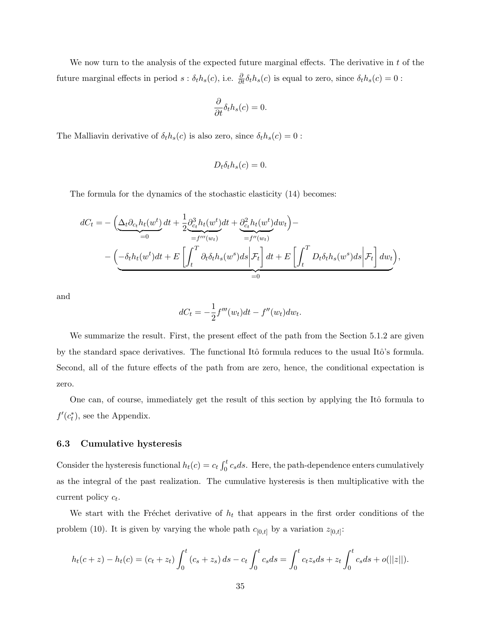We now turn to the analysis of the expected future marginal effects. The derivative in  $t$  of the future marginal effects in period  $s : \delta_t h_s(c)$ , i.e.  $\frac{\partial}{\partial t} \delta_t h_s(c)$  is equal to zero, since  $\delta_t h_s(c) = 0$ :

$$
\frac{\partial}{\partial t}\delta_{t}h_{s}(c)=0.
$$

The Malliavin derivative of  $\delta_t h_s(c)$  is also zero, since  $\delta_t h_s(c) = 0$  :

$$
D_t \delta_t h_s(c) = 0.
$$

The formula for the dynamics of the stochastic elasticity (14) becomes:

$$
dC_t = -\left(\underbrace{\Delta_t \partial_{c_t} h_t(w^t)}_{=0} dt + \frac{1}{2} \underbrace{\partial_{c_t}^3 h_t(w^t)}_{=f'''(w_t)} dt + \underbrace{\partial_{c_t}^2 h_t(w^t)}_{=f''(w_t)} dw_t\right) - \left(\underbrace{-\delta_t h_t(w^t) dt}_{=0} + E\left[\int_t^T \partial_t \delta_t h_s(w^s) ds \bigg| \mathcal{F}_t\right] dt + E\left[\int_t^T D_t \delta_t h_s(w^s) ds \bigg| \mathcal{F}_t\right] dw_t\right),
$$

and

$$
dC_t = -\frac{1}{2}f'''(w_t)dt - f''(w_t)dw_t.
$$

We summarize the result. First, the present effect of the path from the Section 5.1.2 are given by the standard space derivatives. The functional Itô formula reduces to the usual Itô's formula. Second, all of the future effects of the path from are zero, hence, the conditional expectation is zero.

One can, of course, immediately get the result of this section by applying the Itô formula to  $f'(c_t^*)$ , see the Appendix.

### 6.3 Cumulative hysteresis

Consider the hysteresis functional  $h_t(c) = c_t \int_0^t c_s ds$ . Here, the path-dependence enters cumulatively as the integral of the past realization. The cumulative hysteresis is then multiplicative with the current policy  $c_t$ .

We start with the Fréchet derivative of  $h_t$  that appears in the first order conditions of the problem (10). It is given by varying the whole path  $c_{[0,t]}$  by a variation  $z_{[0,t]}$ :

$$
h_t(c+z) - h_t(c) = (c_t + z_t) \int_0^t (c_s + z_s) ds - c_t \int_0^t c_s ds = \int_0^t c_t z_s ds + z_t \int_0^t c_s ds + o(||z||).
$$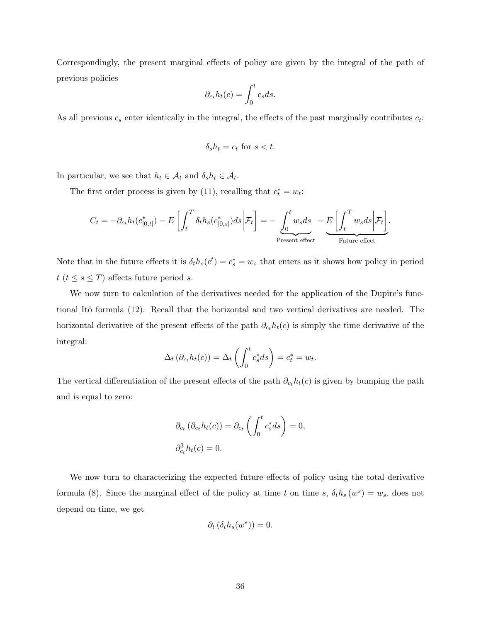Correspondingly, the present marginal effects of policy are given by the integral of the path of previous policies

$$
\partial_{c_t} h_t(c) = \int_0^t c_s ds.
$$

As all previous  $c_s$  enter identically in the integral, the effects of the past marginally contributes  $c_t$ :

$$
\delta_s h_t = c_t \text{ for } s < t.
$$

In particular, we see that  $h_t \in \mathcal{A}_t$  and  $\delta_s h_t \in \mathcal{A}_t$ .

The first order process is given by (11), recalling that  $c_t^* = w_t$ :

$$
C_t = -\partial_{c_t} h_t(c_{[0,t]}^*) - E\left[\int_t^T \delta_t h_s(c_{[0,s]}^*) ds \middle| \mathcal{F}_t\right] = -\underbrace{\int_0^t w_s ds}_{\text{Present effect}} - \underbrace{E\left[\int_t^T w_s ds \middle| \mathcal{F}_t\right]}_{\text{Future effect}}.
$$

Note that in the future effects it is  $\delta_t h_s(c^t) = c_s^* = w_s$  that enters as it shows how policy in period  $t$  ( $t \leq s \leq T$ ) affects future period s.

We now turn to calculation of the derivatives needed for the application of the Dupire's functional Itô formula (12). Recall that the horizontal and two vertical derivatives are needed. The horizontal derivative of the present effects of the path  $\partial_{c_t} h_t(c)$  is simply the time derivative of the integral:

$$
\Delta_t\left(\partial_{c_t}h_t(c)\right) = \Delta_t\left(\int_0^t c_s^* ds\right) = c_t^* = w_t.
$$

The vertical differentiation of the present effects of the path  $\partial_{c_t} h_t(c)$  is given by bumping the path and is equal to zero:

$$
\partial_{c_t} (\partial_{c_t} h_t(c)) = \partial_{c_t} \left( \int_0^t c_s^* ds \right) = 0,
$$
  

$$
\partial_{c_t}^3 h_t(c) = 0.
$$

We now turn to characterizing the expected future effects of policy using the total derivative formula (8). Since the marginal effect of the policy at time t on time s,  $\delta_t h_s(w^s) = w_s$ , does not depend on time, we get

$$
\partial_t \left( \delta_t h_s(w^s) \right) = 0.
$$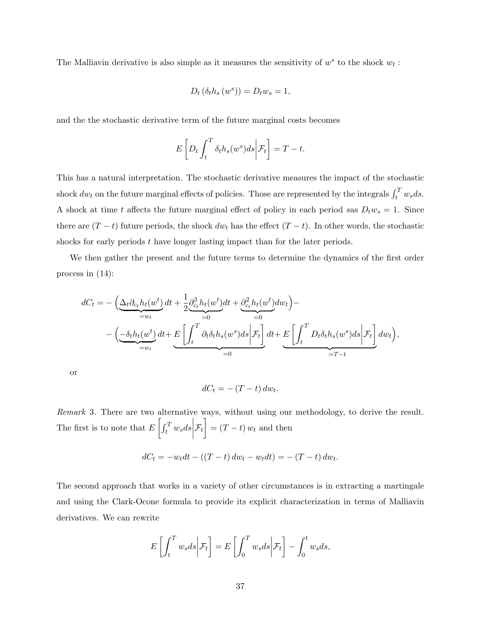The Malliavin derivative is also simple as it measures the sensitivity of  $w^s$  to the shock  $w_t$ :

$$
D_t\left(\delta_t h_s\left(w^s\right)\right) = D_t w_s = 1,
$$

and the the stochastic derivative term of the future marginal costs becomes

$$
E\left[D_t \int_t^T \delta_t h_s(w^s) ds \bigg| \mathcal{F}_t\right] = T - t.
$$

This has a natural interpretation. The stochastic derivative measures the impact of the stochastic shock  $dw_t$  on the future marginal effects of policies. Those are represented by the integrals  $\int_t^T w_s ds$ . A shock at time t affects the future marginal effect of policy in each period sas  $D_t w_s = 1$ . Since there are  $(T - t)$  future periods, the shock  $dw_t$  has the effect  $(T - t)$ . In other words, the stochastic shocks for early periods  $t$  have longer lasting impact than for the later periods.

We then gather the present and the future terms to determine the dynamics of the first order process in (14):

$$
dC_t = -\left(\underbrace{\Delta_t \partial_{c_t} h_t(w^t)}_{=w_t} dt + \frac{1}{2} \underbrace{\partial_{c_t}^3 h_t(w^t)}_{=0} dt + \underbrace{\partial_{c_t}^2 h_t(w^t)}_{=0} dw_t\right) - \left(\underbrace{-\delta_t h_t(w^t)}_{=w_t} dt + \underbrace{E\left[\int_t^T \partial_t \delta_t h_s(w^s) ds \Big| \mathcal{F}_t\right]}_{=0} dt + \underbrace{E\left[\int_t^T D_t \delta_t h_s(w^s) ds \Big| \mathcal{F}_t\right]}_{=T-t} dw_t\right),
$$

or

$$
dC_t = -(T-t) \, dw_t.
$$

Remark 3. There are two alternative ways, without using our methodology, to derive the result. The first is to note that  $E\left[\int_t^T w_s ds\right]$  $\mathcal{F}_t\Big] = (T-t) \, w_t$  and then

$$
dC_t = -w_t dt - ((T - t) dw_t - w_t dt) = -(T - t) dw_t.
$$

The second approach that works in a variety of other circumstances is in extracting a martingale and using the Clark-Ocone formula to provide its explicit characterization in terms of Malliavin derivatives. We can rewrite

$$
E\left[\int_t^T w_s ds \bigg| \mathcal{F}_t\right] = E\left[\int_0^T w_s ds \bigg| \mathcal{F}_t\right] - \int_0^t w_s ds,
$$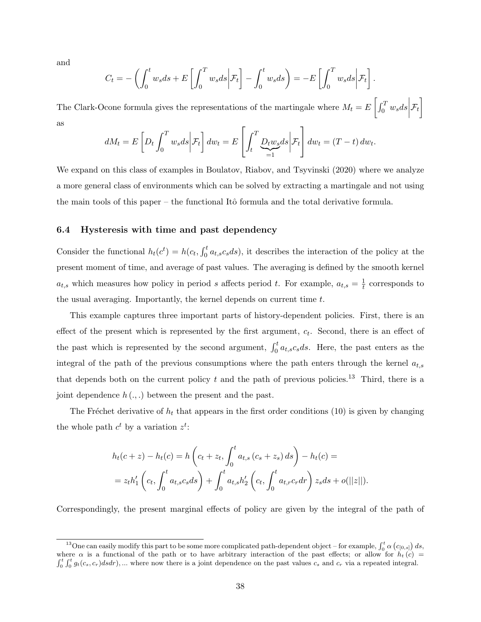and

$$
C_t = -\left(\int_0^t w_s ds + E\left[\int_0^T w_s ds \middle| \mathcal{F}_t\right] - \int_0^t w_s ds\right) = -E\left[\int_0^T w_s ds \middle| \mathcal{F}_t\right].
$$

The Clark-Ocone formula gives the representations of the martingale where  $M_t = E \left[ \int_0^T w_s ds \right]$  $\mathcal{F}_t\Big]$ as

$$
dM_t = E\left[D_t \int_0^T w_s ds \middle| \mathcal{F}_t\right] dw_t = E\left[\int_t^T \underbrace{D_t w_s}_{=1} ds \middle| \mathcal{F}_t\right] dw_t = (T - t) \, dw_t
$$

.

We expand on this class of examples in Boulatov, Riabov, and Tsyvinski (2020) where we analyze a more general class of environments which can be solved by extracting a martingale and not using the main tools of this paper – the functional Itô formula and the total derivative formula.

### 6.4 Hysteresis with time and past dependency

Consider the functional  $h_t(c^t) = h(c_t, \int_0^t a_{t,s} c_s ds)$ , it describes the interaction of the policy at the present moment of time, and average of past values. The averaging is defined by the smooth kernel  $a_{t,s}$  which measures how policy in period s affects period t. For example,  $a_{t,s} = \frac{1}{t}$  $\frac{1}{t}$  corresponds to the usual averaging. Importantly, the kernel depends on current time t.

This example captures three important parts of history-dependent policies. First, there is an effect of the present which is represented by the first argument,  $c_t$ . Second, there is an effect of the past which is represented by the second argument,  $\int_0^t a_{t,s} c_s ds$ . Here, the past enters as the integral of the path of the previous consumptions where the path enters through the kernel  $a_{t,s}$ that depends both on the current policy  $t$  and the path of previous policies.<sup>13</sup> Third, there is a joint dependence  $h(.)$  between the present and the past.

The Fréchet derivative of  $h_t$  that appears in the first order conditions (10) is given by changing the whole path  $c^t$  by a variation  $z^t$ :

$$
h_t(c+z) - h_t(c) = h\left(c_t + z_t, \int_0^t a_{t,s} (c_s + z_s) ds\right) - h_t(c) =
$$
  
=  $z_t h'_1 \left(c_t, \int_0^t a_{t,s} c_s ds\right) + \int_0^t a_{t,s} h'_2 \left(c_t, \int_0^t a_{t,r} c_r dr\right) z_s ds + o(||z||).$ 

Correspondingly, the present marginal effects of policy are given by the integral of the path of

<sup>&</sup>lt;sup>13</sup>One can easily modify this part to be some more complicated path-dependent object – for example,  $\int_0^t \alpha \left(c_{[0,s]}\right) ds$ , where  $\alpha$  is a functional of the path or to have arbitrary interaction of the past effects; or allow for  $h_t(c)$  $\int_0^t \int_0^t g_t(c_s, c_r) ds dr$ , ... where now there is a joint dependence on the past values  $c_s$  and  $c_r$  via a repeated integral.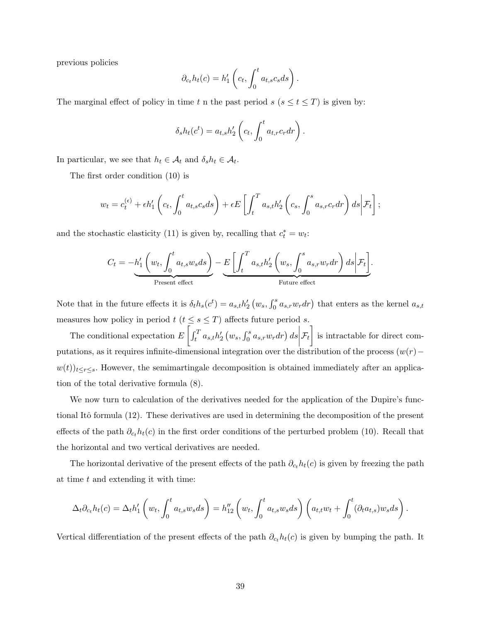previous policies

$$
\partial_{c_t} h_t(c) = h'_1 \left( c_t, \int_0^t a_{t,s} c_s ds \right).
$$

The marginal effect of policy in time t n the past period  $s$  ( $s \le t \le T$ ) is given by:

$$
\delta_s h_t(c^t) = a_{t,s} h_2' \left( c_t, \int_0^t a_{t,r} c_r dr \right).
$$

In particular, we see that  $h_t \in \mathcal{A}_t$  and  $\delta_s h_t \in \mathcal{A}_t$ .

The first order condition (10) is

$$
w_t = c_t^{(\epsilon)} + \epsilon h_1' \left( c_t, \int_0^t a_{t,s} c_s ds \right) + \epsilon E \left[ \int_t^T a_{s,t} h_2' \left( c_s, \int_0^s a_{s,r} c_r dr \right) ds \middle| \mathcal{F}_t \right];
$$

and the stochastic elasticity (11) is given by, recalling that  $c_t^* = w_t$ :

$$
C_t = -h'_1 \left( w_t, \int_0^t a_{t,s} w_s ds \right) - \underbrace{E \left[ \int_t^T a_{s,t} h'_2 \left( w_s, \int_0^s a_{s,r} w_r dr \right) ds \middle| \mathcal{F}_t \right]}_{\text{Fruure effect}}.
$$

Note that in the future effects it is  $\delta_t h_s(c^t) = a_{s,t} h'_2(u_s, \int_0^s a_{s,r} w_r dr)$  that enters as the kernel  $a_{s,t}$ measures how policy in period  $t$  ( $t \leq s \leq T$ ) affects future period s.

The conditional expectation  $E\left[\int_t^T a_{s,t} h_2'(w_s, \int_0^s a_{s,r}w_r dr)\ ds\right]$  $\mathcal{F}_t$  is intractable for direct computations, as it requires infinite-dimensional integration over the distribution of the process  $(w(r)$ −  $w(t))_{t\leq r\leq s}$ . However, the semimartingale decomposition is obtained immediately after an application of the total derivative formula (8).

We now turn to calculation of the derivatives needed for the application of the Dupire's functional Itô formula (12). These derivatives are used in determining the decomposition of the present effects of the path  $\partial_{ct}h_t(c)$  in the first order conditions of the perturbed problem (10). Recall that the horizontal and two vertical derivatives are needed.

The horizontal derivative of the present effects of the path  $\partial_{c_t} h_t(c)$  is given by freezing the path at time  $t$  and extending it with time:

$$
\Delta_t \partial_{c_t} h_t(c) = \Delta_t h'_1 \left( w_t, \int_0^t a_{t,s} w_s ds \right) = h''_{12} \left( w_t, \int_0^t a_{t,s} w_s ds \right) \left( a_{t,t} w_t + \int_0^t (\partial_t a_{t,s}) w_s ds \right).
$$

Vertical differentiation of the present effects of the path  $\partial_{c_t} h_t(c)$  is given by bumping the path. It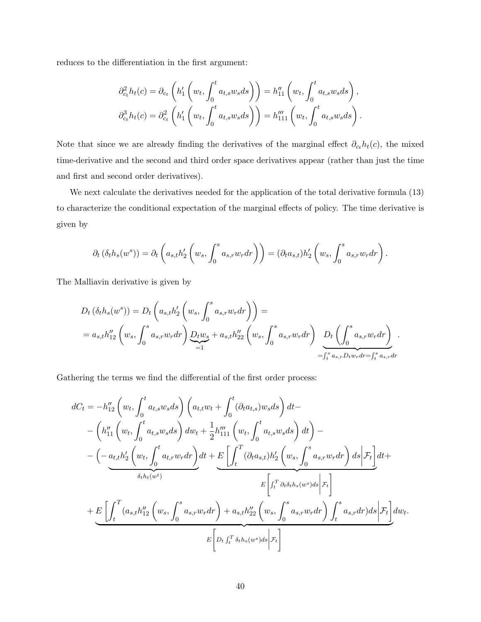reduces to the differentiation in the first argument:

$$
\partial_{c_t}^2 h_t(c) = \partial_{c_t} \left( h'_1 \left( w_t, \int_0^t a_{t,s} w_s ds \right) \right) = h''_{11} \left( w_t, \int_0^t a_{t,s} w_s ds \right),
$$
  

$$
\partial_{c_t}^3 h_t(c) = \partial_{c_t}^2 \left( h'_1 \left( w_t, \int_0^t a_{t,s} w_s ds \right) \right) = h'''_{111} \left( w_t, \int_0^t a_{t,s} w_s ds \right).
$$

Note that since we are already finding the derivatives of the marginal effect  $\partial_{c_t} h_t(c)$ , the mixed time-derivative and the second and third order space derivatives appear (rather than just the time and first and second order derivatives).

We next calculate the derivatives needed for the application of the total derivative formula (13) to characterize the conditional expectation of the marginal effects of policy. The time derivative is given by

$$
\partial_t \left( \delta_t h_s(w^s) \right) = \partial_t \left( a_{s,t} h_2' \left( w_s, \int_0^s a_{s,r} w_r dr \right) \right) = \left( \partial_t a_{s,t} \right) h_2' \left( w_s, \int_0^s a_{s,r} w_r dr \right).
$$

The Malliavin derivative is given by

$$
D_{t} (\delta_{t} h_{s}(w^{s})) = D_{t} \left( a_{s,t} h_{2} \left( w_{s}, \int_{0}^{s} a_{s,r} w_{r} dr \right) \right) =
$$
  
=  $a_{s,t} h_{12}'' \left( w_{s}, \int_{0}^{s} a_{s,r} w_{r} dr \right) \underbrace{D_{t} w_{s}}_{=1} + a_{s,t} h_{22}'' \left( w_{s}, \int_{0}^{s} a_{s,r} w_{r} dr \right) \underbrace{D_{t} \left( \int_{0}^{s} a_{s,r} w_{r} dr \right)}_{= \int_{t}^{s} a_{s,r} D_{t} w_{r} dr = \int_{t}^{s} a_{s,r} dr}$ .

Gathering the terms we find the differential of the first order process:

$$
dC_{t} = -h''_{12} \left( w_{t}, \int_{0}^{t} a_{t,s}w_{s}ds \right) \left( a_{t,t}w_{t} + \int_{0}^{t} (\partial_{t}a_{t,s})w_{s}ds \right) dt -
$$
  

$$
- \left( h''_{11} \left( w_{t}, \int_{0}^{t} a_{t,s}w_{s}ds \right) dw_{t} + \frac{1}{2}h'''_{111} \left( w_{t}, \int_{0}^{t} a_{t,s}w_{s}ds \right) dt \right) -
$$
  

$$
- \left( -a_{t,t}h'_{2} \left( w_{t}, \int_{0}^{t} a_{t,r}w_{r}dr \right) dt + \underbrace{E \left[ \int_{t}^{T} (\partial_{t}a_{s,t})h'_{2} \left( w_{s}, \int_{0}^{s} a_{s,r}w_{r}dr \right) ds \right| \mathcal{F}_{t} \right]}_{\delta_{t}h_{t}(w^{t})}
$$
  

$$
+ \underbrace{E \left[ \int_{t}^{T} (a_{s,t}h''_{12} \left( w_{s}, \int_{0}^{s} a_{s,r}w_{r}dr \right) + a_{s,t}h''_{22} \left( w_{s}, \int_{0}^{s} a_{s,r}w_{r}dr \right) \int_{t}^{s} a_{s,r}dr \right) ds \big| \mathcal{F}_{t} \right]}_{E \left[ D_{t} \int_{t}^{T} \delta_{t}h_{s}(w^{s})ds \big| \mathcal{F}_{t} \right]}
$$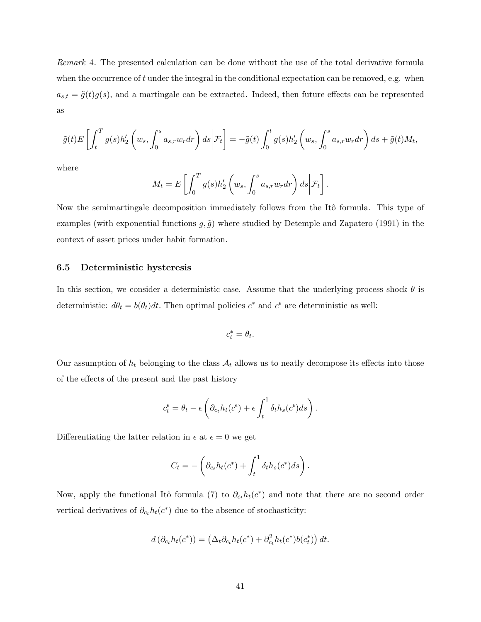Remark 4. The presented calculation can be done without the use of the total derivative formula when the occurrence of  $t$  under the integral in the conditional expectation can be removed, e.g. when  $a_{s,t} = \tilde{g}(t)g(s)$ , and a martingale can be extracted. Indeed, then future effects can be represented as

$$
\tilde{g}(t)E\left[\int_t^T g(s)h'_2\left(w_s,\int_0^s a_{s,r}w_r dr\right)ds\bigg|\mathcal{F}_t\right] = -\tilde{g}(t)\int_0^t g(s)h'_2\left(w_s,\int_0^s a_{s,r}w_r dr\right)ds + \tilde{g}(t)M_t,
$$

where

$$
M_t = E\left[\int_0^T g(s)h'_2\left(w_s, \int_0^s a_{s,r}w_r dr\right) ds \middle| \mathcal{F}_t\right].
$$

Now the semimartingale decomposition immediately follows from the Itô formula. This type of examples (with exponential functions  $g, \tilde{g}$ ) where studied by Detemple and Zapatero (1991) in the context of asset prices under habit formation.

### 6.5 Deterministic hysteresis

In this section, we consider a deterministic case. Assume that the underlying process shock  $\theta$  is deterministic:  $d\theta_t = b(\theta_t)dt$ . Then optimal policies  $c^*$  and  $c^{\epsilon}$  are deterministic as well:

$$
c_t^*=\theta_t.
$$

Our assumption of  $h_t$  belonging to the class  $A_t$  allows us to neatly decompose its effects into those of the effects of the present and the past history

$$
c_t^{\epsilon} = \theta_t - \epsilon \left( \partial_{c_t} h_t(c^{\epsilon}) + \epsilon \int_t^1 \delta_t h_s(c^{\epsilon}) ds \right).
$$

Differentiating the latter relation in  $\epsilon$  at  $\epsilon = 0$  we get

$$
C_t = -\left(\partial_{c_t} h_t(c^*) + \int_t^1 \delta_t h_s(c^*) ds\right).
$$

Now, apply the functional Itô formula (7) to  $\partial_{c_t} h_t(c^*)$  and note that there are no second order vertical derivatives of  $\partial_{c_t} h_t(c^*)$  due to the absence of stochasticity:

$$
d\left(\partial_{c_t} h_t(c^*)\right) = \left(\Delta_t \partial_{c_t} h_t(c^*) + \partial_{c_t}^2 h_t(c^*) b(c_t^*)\right) dt.
$$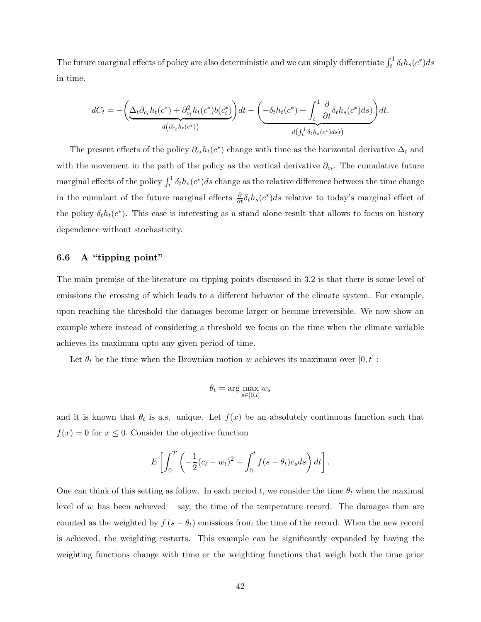The future marginal effects of policy are also deterministic and we can simply differentiate  $\int_t^1 \delta_t h_s(c^*) ds$ in time.

$$
dC_t = -\left(\underbrace{\Delta_t \partial_{c_t} h_t(c^*) + \partial_{c_t}^2 h_t(c^*) b(c_t^*)}_{d(\partial_{c_t} h_t(c^*))}\right) dt - \left(\underbrace{-\delta_t h_t(c^*) + \int_t^1 \frac{\partial}{\partial t} \delta_t h_s(c^*) ds}_{d\left(\int_t^1 \delta_t h_s(c^*) ds\right)}\right) dt.
$$

The present effects of the policy  $\partial_{c_t} h_t(c^*)$  change with time as the horizontal derivative  $\Delta_t$  and with the movement in the path of the policy as the vertical derivative  $\partial_{c_t}$ . The cumulative future marginal effects of the policy  $\int_t^1 \delta_t h_s(c^*)ds$  change as the relative difference between the time change in the cumulant of the future marginal effects  $\frac{\partial}{\partial t}\delta_t h_s(c^*)ds$  relative to today's marginal effect of the policy  $\delta_t h_t(c^*)$ . This case is interesting as a stand alone result that allows to focus on history dependence without stochasticity.

### 6.6 A "tipping point"

The main premise of the literature on tipping points discussed in 3.2 is that there is some level of emissions the crossing of which leads to a different behavior of the climate system. For example, upon reaching the threshold the damages become larger or become irreversible. We now show an example where instead of considering a threshold we focus on the time when the climate variable achieves its maximum upto any given period of time.

Let  $\theta_t$  be the time when the Brownian motion w achieves its maximum over  $[0, t]$ :

$$
\theta_t = \arg\max_{s\in[0,t]} w_s
$$

and it is known that  $\theta_t$  is a.s. unique. Let  $f(x)$  be an absolutely continuous function such that  $f(x) = 0$  for  $x \leq 0$ . Consider the objective function

$$
E\left[\int_0^T \left(-\frac{1}{2}(c_t-w_t)^2-\int_0^t f(s-\theta_t)c_s ds\right)dt\right].
$$

One can think of this setting as follow. In each period t, we consider the time  $\theta_t$  when the maximal level of w has been achieved – say, the time of the temperature record. The damages then are counted as the weighted by  $f(s - \theta_t)$  emissions from the time of the record. When the new record is achieved, the weighting restarts. This example can be significantly expanded by having the weighting functions change with time or the weighting functions that weigh both the time prior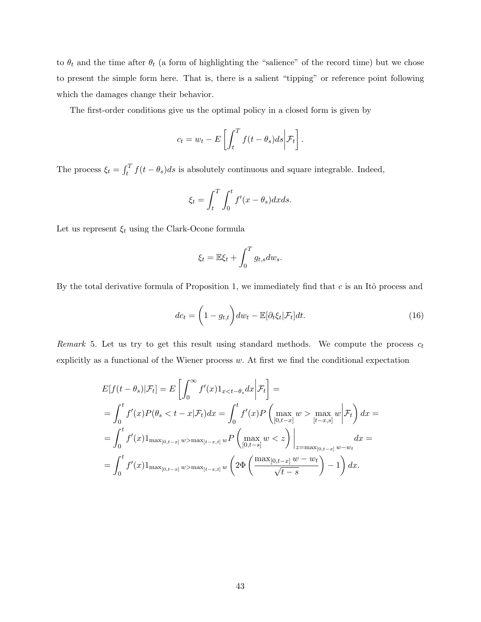to  $\theta_t$  and the time after  $\theta_t$  (a form of highlighting the "salience" of the record time) but we chose to present the simple form here. That is, there is a salient "tipping" or reference point following which the damages change their behavior.

The first-order conditions give us the optimal policy in a closed form is given by

$$
c_t = w_t - E\left[\int_t^T f(t - \theta_s)ds \middle| \mathcal{F}_t\right].
$$

The process  $\xi_t = \int_t^T f(t - \theta_s) ds$  is absolutely continuous and square integrable. Indeed,

$$
\xi_t = \int_t^T \int_0^t f'(x - \theta_s) dx ds.
$$

Let us represent  $\xi_t$  using the Clark-Ocone formula

$$
\xi_t = \mathbb{E}\xi_t + \int_0^T g_{t,s} dw_s.
$$

By the total derivative formula of Proposition 1, we immediately find that  $c$  is an Itô process and

$$
dc_t = \left(1 - g_{t,t}\right) dw_t - \mathbb{E}[\partial_t \xi_t | \mathcal{F}_t] dt.
$$
\n(16)

Remark 5. Let us try to get this result using standard methods. We compute the process  $c_t$ explicitly as a functional of the Wiener process  $w$ . At first we find the conditional expectation

$$
E[f(t - \theta_s)|\mathcal{F}_t] = E\left[\int_0^\infty f'(x)1_{x < t - \theta_s} dx \middle| \mathcal{F}_t\right] =
$$
  
\n
$$
= \int_0^t f'(x)P(\theta_s < t - x|\mathcal{F}_t)dx = \int_0^t f'(x)P\left(\max_{[0, t - x]} w > \max_{[t - x, s]} w \middle| \mathcal{F}_t\right)dx =
$$
  
\n
$$
= \int_0^t f'(x)1_{\max_{[0, t - x]} w > \max_{[t - x, t]} w}P\left(\max_{[0, t - s]} w < z\right)\Big|_{z = \max_{[0, t - x]} w - w_t} dx =
$$
  
\n
$$
= \int_0^t f'(x)1_{\max_{[0, t - x]} w > \max_{[t - x, t]} w}\left(2\Phi\left(\frac{\max_{[0, t - x]} w - w_t}{\sqrt{t - s}}\right) - 1\right) dx.
$$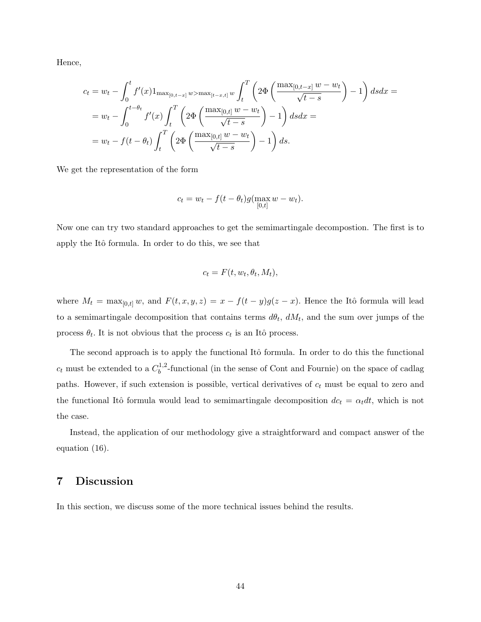Hence,

$$
c_{t} = w_{t} - \int_{0}^{t} f'(x) 1_{\max_{[0,t-x]} w > \max_{[t-x,t]} w} \int_{t}^{T} \left( 2\Phi\left(\frac{\max_{[0,t-x]} w - w_{t}}{\sqrt{t-s}}\right) - 1 \right) ds dx =
$$
  
= 
$$
w_{t} - \int_{0}^{t-\theta_{t}} f'(x) \int_{t}^{T} \left( 2\Phi\left(\frac{\max_{[0,t]} w - w_{t}}{\sqrt{t-s}}\right) - 1 \right) ds dx =
$$
  
= 
$$
w_{t} - f(t - \theta_{t}) \int_{t}^{T} \left( 2\Phi\left(\frac{\max_{[0,t]} w - w_{t}}{\sqrt{t-s}}\right) - 1 \right) ds.
$$

We get the representation of the form

$$
c_t = w_t - f(t - \theta_t)g(\max_{[0,t]} w - w_t).
$$

Now one can try two standard approaches to get the semimartingale decompostion. The first is to apply the Itô formula. In order to do this, we see that

$$
c_t = F(t, w_t, \theta_t, M_t),
$$

where  $M_t = \max_{[0,t]} w$ , and  $F(t, x, y, z) = x - f(t - y)g(z - x)$ . Hence the Itô formula will lead to a semimartingale decomposition that contains terms  $d\theta_t$ ,  $dM_t$ , and the sum over jumps of the process  $\theta_t$ . It is not obvious that the process  $c_t$  is an Itô process.

The second approach is to apply the functional Itô formula. In order to do this the functional  $c_t$  must be extended to a  $C_b^{1,2}$  $b<sup>1,2</sup>$ -functional (in the sense of Cont and Fournie) on the space of cadlag paths. However, if such extension is possible, vertical derivatives of  $c_t$  must be equal to zero and the functional Itô formula would lead to semimartingale decomposition  $dc_t = \alpha_t dt$ , which is not the case.

Instead, the application of our methodology give a straightforward and compact answer of the equation (16).

### 7 Discussion

In this section, we discuss some of the more technical issues behind the results.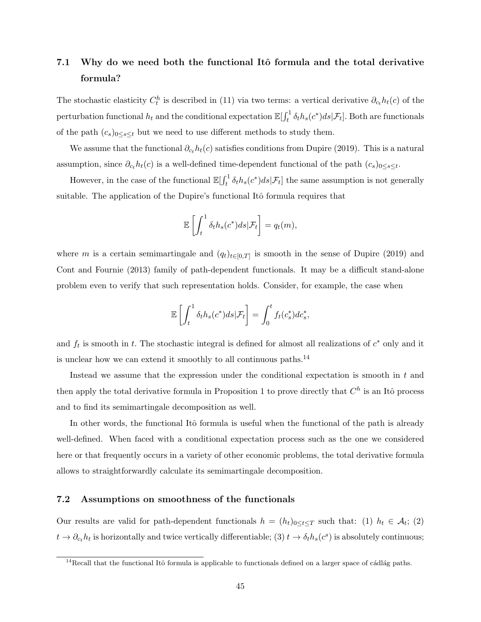# 7.1 Why do we need both the functional Itô formula and the total derivative formula?

The stochastic elasticity  $C_t^h$  is described in (11) via two terms: a vertical derivative  $\partial_{c_t} h_t(c)$  of the perturbation functional  $h_t$  and the conditional expectation  $\mathbb{E}[\int_t^1 \delta_t h_s(c^*) ds | \mathcal{F}_t]$ . Both are functionals of the path  $(c_s)_{0\leq s\leq t}$  but we need to use different methods to study them.

We assume that the functional  $\partial_{c}h_t(c)$  satisfies conditions from Dupire (2019). This is a natural assumption, since  $\partial_{c_t} h_t(c)$  is a well-defined time-dependent functional of the path  $(c_s)_{0 \le s \le t}$ .

However, in the case of the functional  $\mathbb{E}[\int_t^1 \delta_t h_s(c^*)ds|\mathcal{F}_t]$  the same assumption is not generally suitable. The application of the Dupire's functional Itô formula requires that

$$
\mathbb{E}\left[\int_t^1 \delta_t h_s(c^*)ds|\mathcal{F}_t\right] = q_t(m),
$$

where m is a certain semimartingale and  $(q_t)_{t\in[0,T]}$  is smooth in the sense of Dupire (2019) and Cont and Fournie (2013) family of path-dependent functionals. It may be a difficult stand-alone problem even to verify that such representation holds. Consider, for example, the case when

$$
\mathbb{E}\left[\int_t^1 \delta_t h_s(c^*)ds|\mathcal{F}_t\right] = \int_0^t f_t(c_s^*)dc_s^*,
$$

and  $f_t$  is smooth in t. The stochastic integral is defined for almost all realizations of  $c^*$  only and it is unclear how we can extend it smoothly to all continuous paths.<sup>14</sup>

Instead we assume that the expression under the conditional expectation is smooth in  $t$  and then apply the total derivative formula in Proposition 1 to prove directly that  $C<sup>h</sup>$  is an Itô process and to find its semimartingale decomposition as well.

In other words, the functional Itô formula is useful when the functional of the path is already well-defined. When faced with a conditional expectation process such as the one we considered here or that frequently occurs in a variety of other economic problems, the total derivative formula allows to straightforwardly calculate its semimartingale decomposition.

### 7.2 Assumptions on smoothness of the functionals

Our results are valid for path-dependent functionals  $h = (h_t)_{0 \le t \le T}$  such that: (1)  $h_t \in \mathcal{A}_t$ ; (2)  $t \to \partial_{c_t} h_t$  is horizontally and twice vertically differentiable; (3)  $t \to \delta_t h_s(c^s)$  is absolutely continuous;

 $14$ Recall that the functional Itô formula is applicable to functionals defined on a larger space of cádlág paths.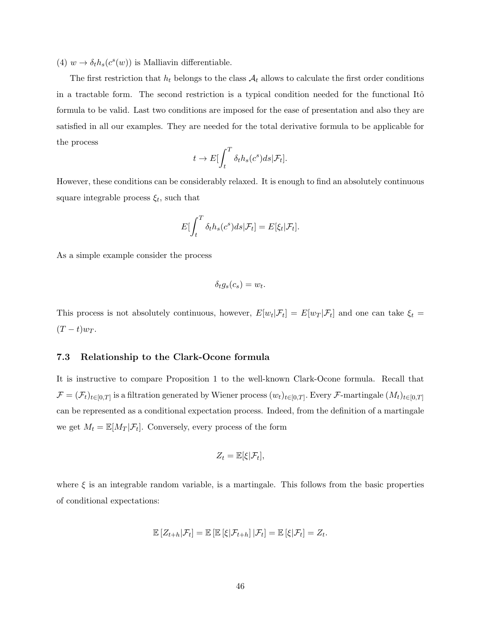(4)  $w \to \delta_t h_s(c^s(w))$  is Malliavin differentiable.

The first restriction that  $h_t$  belongs to the class  $A_t$  allows to calculate the first order conditions in a tractable form. The second restriction is a typical condition needed for the functional Itô formula to be valid. Last two conditions are imposed for the ease of presentation and also they are satisfied in all our examples. They are needed for the total derivative formula to be applicable for the process

$$
t \to E[\int_t^T \delta_t h_s(c^s) ds | \mathcal{F}_t].
$$

However, these conditions can be considerably relaxed. It is enough to find an absolutely continuous square integrable process  $\xi_t$ , such that

$$
E\left[\int_t^T \delta_t h_s(c^s) ds | \mathcal{F}_t\right] = E[\xi_t | \mathcal{F}_t].
$$

As a simple example consider the process

$$
\delta_t g_s(c_s) = w_t.
$$

This process is not absolutely continuous, however,  $E[w_t|\mathcal{F}_t] = E[w_T|\mathcal{F}_t]$  and one can take  $\xi_t =$  $(T-t)w_T$ .

### 7.3 Relationship to the Clark-Ocone formula

It is instructive to compare Proposition 1 to the well-known Clark-Ocone formula. Recall that  $\mathcal{F} = (\mathcal{F}_t)_{t \in [0,T]}$  is a filtration generated by Wiener process  $(w_t)_{t \in [0,T]}$ . Every F-martingale  $(M_t)_{t \in [0,T]}$ can be represented as a conditional expectation process. Indeed, from the definition of a martingale we get  $M_t = \mathbb{E}[M_T|\mathcal{F}_t]$ . Conversely, every process of the form

$$
Z_t = \mathbb{E}[\xi|\mathcal{F}_t],
$$

where  $\xi$  is an integrable random variable, is a martingale. This follows from the basic properties of conditional expectations:

$$
\mathbb{E}\left[Z_{t+h}|\mathcal{F}_t\right] = \mathbb{E}\left[\mathbb{E}\left[\xi|\mathcal{F}_{t+h}\right]|\mathcal{F}_t\right] = \mathbb{E}\left[\xi|\mathcal{F}_t\right] = Z_t.
$$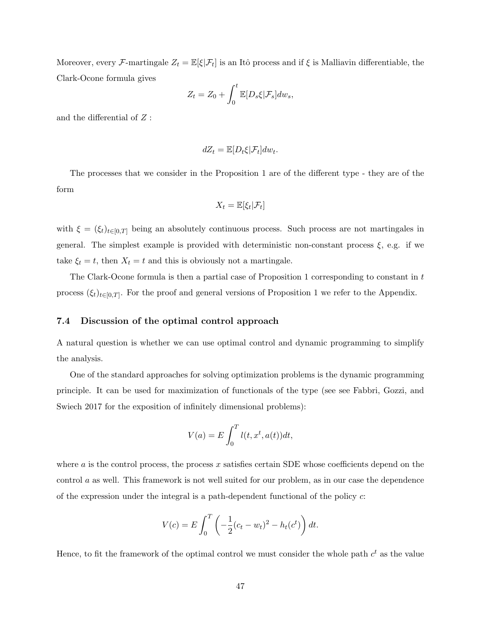Moreover, every F-martingale  $Z_t = \mathbb{E}[\xi|\mathcal{F}_t]$  is an Itô process and if  $\xi$  is Malliavin differentiable, the Clark-Ocone formula gives

$$
Z_t = Z_0 + \int_0^t \mathbb{E}[D_s \xi | \mathcal{F}_s] dw_s,
$$

and the differential of Z :

$$
dZ_t = \mathbb{E}[D_t \xi | \mathcal{F}_t] dw_t.
$$

The processes that we consider in the Proposition 1 are of the different type - they are of the form

$$
X_t = \mathbb{E}[\xi_t | \mathcal{F}_t]
$$

with  $\xi = (\xi_t)_{t \in [0,T]}$  being an absolutely continuous process. Such process are not martingales in general. The simplest example is provided with deterministic non-constant process  $\xi$ , e.g. if we take  $\xi_t = t$ , then  $X_t = t$  and this is obviously not a martingale.

The Clark-Ocone formula is then a partial case of Proposition 1 corresponding to constant in  $t$ process  $(\xi_t)_{t\in[0,T]}$ . For the proof and general versions of Proposition 1 we refer to the Appendix.

### 7.4 Discussion of the optimal control approach

A natural question is whether we can use optimal control and dynamic programming to simplify the analysis.

One of the standard approaches for solving optimization problems is the dynamic programming principle. It can be used for maximization of functionals of the type (see see Fabbri, Gozzi, and Swiech 2017 for the exposition of infinitely dimensional problems):

$$
V(a) = E \int_0^T l(t, x^t, a(t)) dt,
$$

where  $\alpha$  is the control process, the process  $x$  satisfies certain SDE whose coefficients depend on the control a as well. This framework is not well suited for our problem, as in our case the dependence of the expression under the integral is a path-dependent functional of the policy c:

$$
V(c) = E \int_0^T \left( -\frac{1}{2} (c_t - w_t)^2 - h_t(c^t) \right) dt.
$$

Hence, to fit the framework of the optimal control we must consider the whole path  $c<sup>t</sup>$  as the value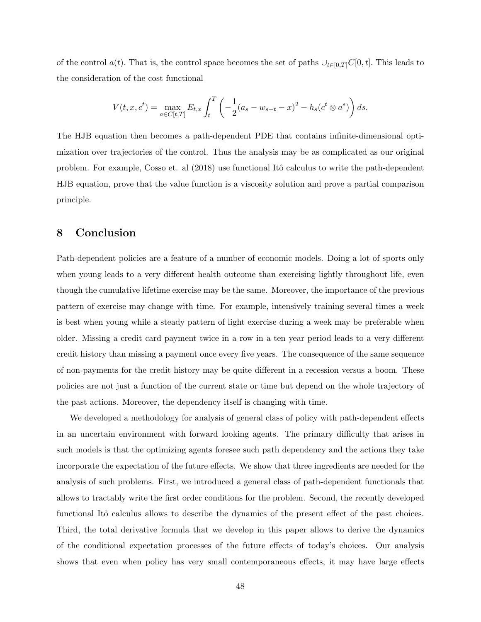of the control  $a(t)$ . That is, the control space becomes the set of paths  $\cup_{t\in[0,T]}C[0,t]$ . This leads to the consideration of the cost functional

$$
V(t, x, c^t) = \max_{a \in C[t, T]} E_{t, x} \int_t^T \left( -\frac{1}{2} (a_s - w_{s-t} - x)^2 - h_s (c^t \otimes a^s) \right) ds.
$$

The HJB equation then becomes a path-dependent PDE that contains infinite-dimensional optimization over trajectories of the control. Thus the analysis may be as complicated as our original problem. For example, Cosso et. al (2018) use functional Itô calculus to write the path-dependent HJB equation, prove that the value function is a viscosity solution and prove a partial comparison principle.

# 8 Conclusion

Path-dependent policies are a feature of a number of economic models. Doing a lot of sports only when young leads to a very different health outcome than exercising lightly throughout life, even though the cumulative lifetime exercise may be the same. Moreover, the importance of the previous pattern of exercise may change with time. For example, intensively training several times a week is best when young while a steady pattern of light exercise during a week may be preferable when older. Missing a credit card payment twice in a row in a ten year period leads to a very different credit history than missing a payment once every five years. The consequence of the same sequence of non-payments for the credit history may be quite different in a recession versus a boom. These policies are not just a function of the current state or time but depend on the whole trajectory of the past actions. Moreover, the dependency itself is changing with time.

We developed a methodology for analysis of general class of policy with path-dependent effects in an uncertain environment with forward looking agents. The primary difficulty that arises in such models is that the optimizing agents foresee such path dependency and the actions they take incorporate the expectation of the future effects. We show that three ingredients are needed for the analysis of such problems. First, we introduced a general class of path-dependent functionals that allows to tractably write the first order conditions for the problem. Second, the recently developed functional Itô calculus allows to describe the dynamics of the present effect of the past choices. Third, the total derivative formula that we develop in this paper allows to derive the dynamics of the conditional expectation processes of the future effects of today's choices. Our analysis shows that even when policy has very small contemporaneous effects, it may have large effects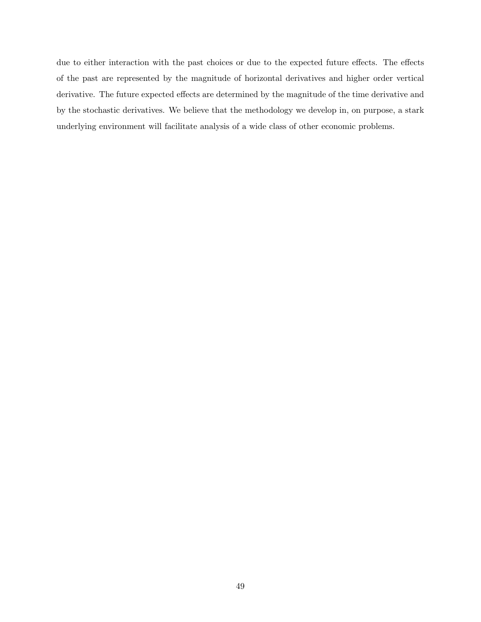due to either interaction with the past choices or due to the expected future effects. The effects of the past are represented by the magnitude of horizontal derivatives and higher order vertical derivative. The future expected effects are determined by the magnitude of the time derivative and by the stochastic derivatives. We believe that the methodology we develop in, on purpose, a stark underlying environment will facilitate analysis of a wide class of other economic problems.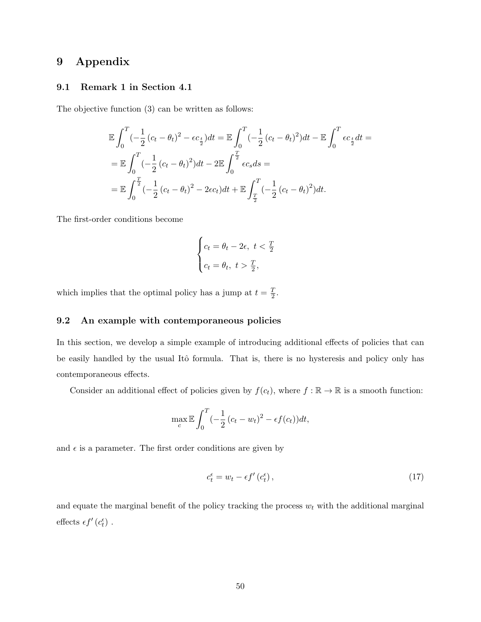# 9 Appendix

### 9.1 Remark 1 in Section 4.1

The objective function (3) can be written as follows:

$$
\mathbb{E} \int_0^T \left(-\frac{1}{2} (c_t - \theta_t)^2 - \epsilon c_{\frac{t}{2}}\right) dt = \mathbb{E} \int_0^T \left(-\frac{1}{2} (c_t - \theta_t)^2\right) dt - \mathbb{E} \int_0^T \epsilon c_{\frac{t}{2}} dt =
$$
\n
$$
= \mathbb{E} \int_0^T \left(-\frac{1}{2} (c_t - \theta_t)^2\right) dt - 2 \mathbb{E} \int_0^{\frac{T}{2}} \epsilon c_s ds =
$$
\n
$$
= \mathbb{E} \int_0^{\frac{T}{2}} \left(-\frac{1}{2} (c_t - \theta_t)^2 - 2\epsilon c_t\right) dt + \mathbb{E} \int_{\frac{T}{2}}^T \left(-\frac{1}{2} (c_t - \theta_t)^2\right) dt.
$$

The first-order conditions become

$$
\begin{cases} c_t = \theta_t - 2\epsilon, \ t < \frac{T}{2} \\ c_t = \theta_t, \ t > \frac{T}{2}, \end{cases}
$$

which implies that the optimal policy has a jump at  $t = \frac{T}{2}$  $\frac{1}{2}$ .

### 9.2 An example with contemporaneous policies

In this section, we develop a simple example of introducing additional effects of policies that can be easily handled by the usual Itô formula. That is, there is no hysteresis and policy only has contemporaneous effects.

Consider an additional effect of policies given by  $f(c_t)$ , where  $f : \mathbb{R} \to \mathbb{R}$  is a smooth function:

$$
\max_{c} \mathbb{E} \int_0^T \left(-\frac{1}{2} \left(c_t - w_t\right)^2 - \epsilon f(c_t)\right) dt,
$$

and  $\epsilon$  is a parameter. The first order conditions are given by

$$
c_t^{\epsilon} = w_t - \epsilon f'(c_t^{\epsilon}), \qquad (17)
$$

and equate the marginal benefit of the policy tracking the process  $w_t$  with the additional marginal effects  $\epsilon f'\left(c_t^{\epsilon}\right)$ .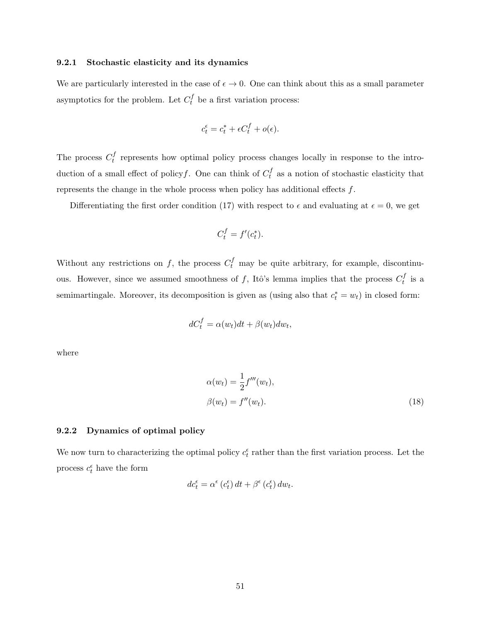### 9.2.1 Stochastic elasticity and its dynamics

We are particularly interested in the case of  $\epsilon \to 0$ . One can think about this as a small parameter asymptotics for the problem. Let  $C_t^f$  be a first variation process:

$$
c_t^{\epsilon} = c_t^* + \epsilon C_t^f + o(\epsilon).
$$

The process  $C_t^f$  $t_t^{\prime}$  represents how optimal policy process changes locally in response to the introduction of a small effect of policy f. One can think of  $C_t^f$  $t \atop t$  as a notion of stochastic elasticity that represents the change in the whole process when policy has additional effects  $f$ .

Differentiating the first order condition (17) with respect to  $\epsilon$  and evaluating at  $\epsilon = 0$ , we get

$$
C_t^f = f'(c_t^*).
$$

Without any restrictions on f, the process  $C_t^f$  may be quite arbitrary, for example, discontinuous. However, since we assumed smoothness of f, Itô's lemma implies that the process  $C_t^f$  $t^{J}$  is a semimartingale. Moreover, its decomposition is given as (using also that  $c_t^* = w_t$ ) in closed form:

$$
dC_t^f = \alpha(w_t)dt + \beta(w_t)dw_t,
$$

where

$$
\alpha(w_t) = \frac{1}{2} f'''(w_t),
$$
  

$$
\beta(w_t) = f''(w_t).
$$
 (18)

#### 9.2.2 Dynamics of optimal policy

We now turn to characterizing the optimal policy  $c_t^{\epsilon}$  rather than the first variation process. Let the process  $c_t^{\epsilon}$  have the form

$$
dc_{t}^{\epsilon} = \alpha^{\epsilon} (c_{t}^{\epsilon}) dt + \beta^{\epsilon} (c_{t}^{\epsilon}) dw_{t}.
$$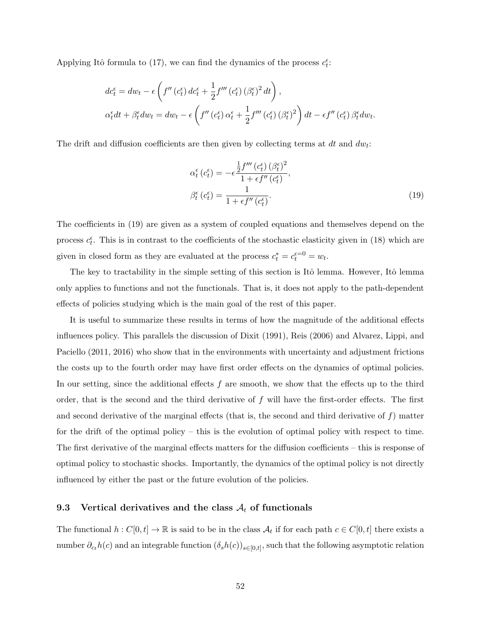Applying Itô formula to (17), we can find the dynamics of the process  $c_t^{\epsilon}$ :

$$
dc_t^{\epsilon} = dw_t - \epsilon \left( f''(c_t^{\epsilon}) d c_t^{\epsilon} + \frac{1}{2} f'''(c_t^{\epsilon}) (\beta_t^{\epsilon})^2 dt \right),
$$
  

$$
\alpha_t^{\epsilon} dt + \beta_t^{\epsilon} dw_t = dw_t - \epsilon \left( f''(c_t^{\epsilon}) \alpha_t^{\epsilon} + \frac{1}{2} f'''(c_t^{\epsilon}) (\beta_t^{\epsilon})^2 \right) dt - \epsilon f''(c_t^{\epsilon}) \beta_t^{\epsilon} dw_t.
$$

The drift and diffusion coefficients are then given by collecting terms at  $dt$  and  $dw_t$ :

$$
\alpha_t^{\epsilon} (c_t^{\epsilon}) = -\epsilon \frac{\frac{1}{2} f''' (c_t^{\epsilon}) (\beta_t^{\epsilon})^2}{1 + \epsilon f'' (c_t^{\epsilon})},
$$
  

$$
\beta_t^{\epsilon} (c_t^{\epsilon}) = \frac{1}{1 + \epsilon f'' (c_t^{\epsilon})}.
$$
 (19)

The coefficients in (19) are given as a system of coupled equations and themselves depend on the process  $c_t^{\epsilon}$ . This is in contrast to the coefficients of the stochastic elasticity given in (18) which are given in closed form as they are evaluated at the process  $c_t^* = c_t^{\epsilon=0} = w_t$ .

The key to tractability in the simple setting of this section is Itô lemma. However, Itô lemma only applies to functions and not the functionals. That is, it does not apply to the path-dependent effects of policies studying which is the main goal of the rest of this paper.

It is useful to summarize these results in terms of how the magnitude of the additional effects influences policy. This parallels the discussion of Dixit (1991), Reis (2006) and Alvarez, Lippi, and Paciello (2011, 2016) who show that in the environments with uncertainty and adjustment frictions the costs up to the fourth order may have first order effects on the dynamics of optimal policies. In our setting, since the additional effects  $f$  are smooth, we show that the effects up to the third order, that is the second and the third derivative of  $f$  will have the first-order effects. The first and second derivative of the marginal effects (that is, the second and third derivative of  $f$ ) matter for the drift of the optimal policy – this is the evolution of optimal policy with respect to time. The first derivative of the marginal effects matters for the diffusion coefficients – this is response of optimal policy to stochastic shocks. Importantly, the dynamics of the optimal policy is not directly influenced by either the past or the future evolution of the policies.

### 9.3 Vertical derivatives and the class  $A_t$  of functionals

The functional  $h: C[0, t] \to \mathbb{R}$  is said to be in the class  $\mathcal{A}_t$  if for each path  $c \in C[0, t]$  there exists a number  $\partial_{ct}h(c)$  and an integrable function  $(\delta_s h(c))_{s\in[0,t]},$  such that the following asymptotic relation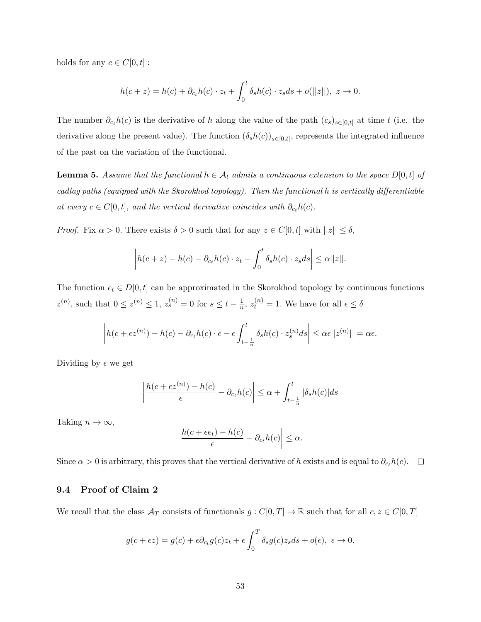holds for any  $c\in C[0,t]$  :

$$
h(c+z) = h(c) + \partial_{c_t}h(c) \cdot z_t + \int_0^t \delta_s h(c) \cdot z_s ds + o(||z||), \ z \to 0.
$$

The number  $\partial_{c_t}h(c)$  is the derivative of h along the value of the path  $(c_s)_{s\in[0,t]}$  at time t (i.e. the derivative along the present value). The function  $(\delta_s h(c))_{s \in [0,t]}$ , represents the integrated influence of the past on the variation of the functional.

**Lemma 5.** Assume that the functional  $h \in A_t$  admits a continuous extension to the space  $D[0, t]$  of cadlag paths (equipped with the Skorokhod topology). Then the functional h is vertically differentiable at every  $c \in C[0, t]$ , and the vertical derivative coincides with  $\partial_{c_t} h(c)$ .

*Proof.* Fix  $\alpha > 0$ . There exists  $\delta > 0$  such that for any  $z \in C[0, t]$  with  $||z|| \leq \delta$ ,

$$
\left| h(c+z) - h(c) - \partial_{ct} h(c) \cdot z_t - \int_0^t \delta_s h(c) \cdot z_s ds \right| \leq \alpha ||z||.
$$

The function  $e_t \in D[0, t]$  can be approximated in the Skorokhod topology by continuous functions  $z^{(n)}$ , such that  $0 \leq z^{(n)} \leq 1$ ,  $z_s^{(n)} = 0$  for  $s \leq t - \frac{1}{n}$  $\frac{1}{n}$ ,  $z_t^{(n)} = 1$ . We have for all  $\epsilon \leq \delta$ 

$$
\left|h(c+\epsilon z^{(n)})-h(c)-\partial_{ct}h(c)\cdot\epsilon-\epsilon\int_{t-\frac{1}{n}}^t\delta_sh(c)\cdot z_s^{(n)}ds\right|\leq\alpha\epsilon||z^{(n)}||=\alpha\epsilon.
$$

Dividing by  $\epsilon$  we get

$$
\left| \frac{h(c + \epsilon z^{(n)}) - h(c)}{\epsilon} - \partial_{c_t} h(c) \right| \le \alpha + \int_{t - \frac{1}{n}}^t |\delta_s h(c)| ds
$$

Taking  $n \to \infty$ ,

$$
\left|\frac{h(c+\epsilon e_t)-h(c)}{\epsilon}-\partial_{c_t}h(c)\right|\leq\alpha.
$$

Since  $\alpha > 0$  is arbitrary, this proves that the vertical derivative of h exists and is equal to  $\partial_{ct}h(c)$ .  $\Box$ 

### 9.4 Proof of Claim 2

We recall that the class  $\mathcal{A}_T$  consists of functionals  $g: C[0,T] \to \mathbb{R}$  such that for all  $c, z \in C[0,T]$ 

$$
g(c+\epsilon z) = g(c) + \epsilon \partial_{c} g(c) z_t + \epsilon \int_0^T \delta_s g(c) z_s ds + o(\epsilon), \ \epsilon \to 0.
$$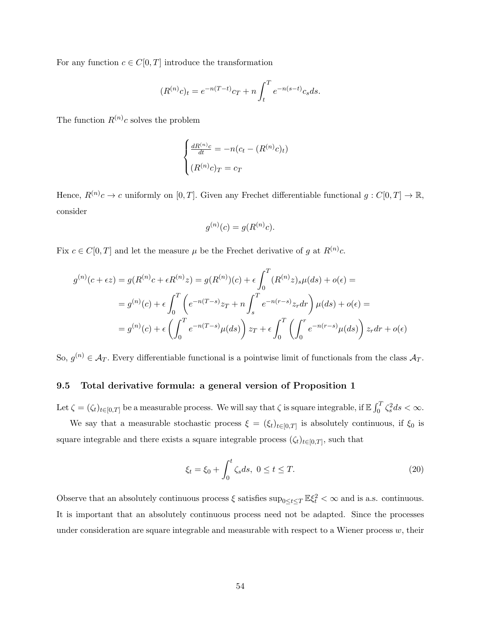For any function  $c \in C[0,T]$  introduce the transformation

$$
(R^{(n)}c)_t = e^{-n(T-t)}c_T + n \int_t^T e^{-n(s-t)}c_s ds.
$$

The function  $R^{(n)}c$  solves the problem

$$
\begin{cases} \frac{dR^{(n)}c}{dt} = -n(c_t - (R^{(n)}c)_t) \\ (R^{(n)}c)_T = c_T \end{cases}
$$

Hence,  $R^{(n)}c \to c$  uniformly on  $[0,T]$ . Given any Frechet differentiable functional  $g: C[0,T] \to \mathbb{R}$ , consider

$$
g^{(n)}(c) = g(R^{(n)}c).
$$

Fix  $c \in C[0,T]$  and let the measure  $\mu$  be the Frechet derivative of g at  $R^{(n)}c$ .

$$
g^{(n)}(c+\epsilon z) = g(R^{(n)}c + \epsilon R^{(n)}z) = g(R^{(n)})(c) + \epsilon \int_0^T (R^{(n)}z)_s \mu(ds) + o(\epsilon) =
$$
  

$$
= g^{(n)}(c) + \epsilon \int_0^T \left( e^{-n(T-s)}z_T + n \int_s^T e^{-n(r-s)}z_r dr \right) \mu(ds) + o(\epsilon) =
$$
  

$$
= g^{(n)}(c) + \epsilon \left( \int_0^T e^{-n(T-s)}\mu(ds) \right) z_T + \epsilon \int_0^T \left( \int_0^r e^{-n(r-s)}\mu(ds) \right) z_r dr + o(\epsilon)
$$

So,  $g^{(n)} \in \mathcal{A}_T$ . Every differentiable functional is a pointwise limit of functionals from the class  $\mathcal{A}_T$ .

### 9.5 Total derivative formula: a general version of Proposition 1

Let  $\zeta = (\zeta_t)_{t \in [0,T]}$  be a measurable process. We will say that  $\zeta$  is square integrable, if  $\mathbb{E} \int_0^T \zeta_s^2 ds < \infty$ .

We say that a measurable stochastic process  $\xi = (\xi_t)_{t \in [0,T]}$  is absolutely continuous, if  $\xi_0$  is square integrable and there exists a square integrable process  $(\zeta_t)_{t\in[0,T]},$  such that

$$
\xi_t = \xi_0 + \int_0^t \zeta_s ds, \ 0 \le t \le T. \tag{20}
$$

Observe that an absolutely continuous process  $\xi$  satisfies  $\sup_{0\leq t\leq T}\mathbb{E}\xi_t^2 < \infty$  and is a.s. continuous. It is important that an absolutely continuous process need not be adapted. Since the processes under consideration are square integrable and measurable with respect to a Wiener process  $w$ , their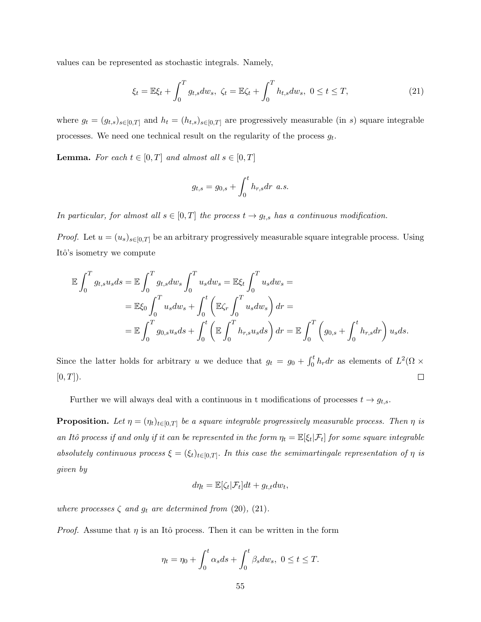values can be represented as stochastic integrals. Namely,

$$
\xi_t = \mathbb{E}\xi_t + \int_0^T g_{t,s} dw_s, \ \zeta_t = \mathbb{E}\zeta_t + \int_0^T h_{t,s} dw_s, \ 0 \le t \le T,\tag{21}
$$

where  $g_t = (g_{t,s})_{s \in [0,T]}$  and  $h_t = (h_{t,s})_{s \in [0,T]}$  are progressively measurable (in s) square integrable processes. We need one technical result on the regularity of the process  $g_t$ .

**Lemma.** For each  $t \in [0, T]$  and almost all  $s \in [0, T]$ 

$$
g_{t,s} = g_{0,s} + \int_0^t h_{r,s} dr \ a.s.
$$

In particular, for almost all  $s \in [0, T]$  the process  $t \to g_{t,s}$  has a continuous modification.

*Proof.* Let  $u = (u_s)_{s \in [0,T]}$  be an arbitrary progressively measurable square integrable process. Using Itô's isometry we compute

$$
\mathbb{E} \int_0^T g_{t,s} u_s ds = \mathbb{E} \int_0^T g_{t,s} dw_s \int_0^T u_s dw_s = \mathbb{E} \xi_t \int_0^T u_s dw_s =
$$
  
=  $\mathbb{E} \xi_0 \int_0^T u_s dw_s + \int_0^t \left( \mathbb{E} \zeta_r \int_0^T u_s dw_s \right) dr =$   
=  $\mathbb{E} \int_0^T g_{0,s} u_s ds + \int_0^t \left( \mathbb{E} \int_0^T h_{r,s} u_s ds \right) dr = \mathbb{E} \int_0^T \left( g_{0,s} + \int_0^t h_{r,s} dr \right) u_s ds.$ 

Since the latter holds for arbitrary u we deduce that  $g_t = g_0 + \int_0^t h_r dr$  as elements of  $L^2(\Omega \times$  $[0, T]$ ).  $\Box$ 

Further we will always deal with a continuous in t modifications of processes  $t \rightarrow g_{t,s}$ .

**Proposition.** Let  $\eta = (\eta_t)_{t \in [0,T]}$  be a square integrable progressively measurable process. Then  $\eta$  is an Itô process if and only if it can be represented in the form  $\eta_t = \mathbb{E}[\xi_t|\mathcal{F}_t]$  for some square integrable absolutely continuous process  $\xi = (\xi_t)_{t \in [0,T]}$ . In this case the semimartingale representation of  $\eta$  is given by

$$
d\eta_t = \mathbb{E}[\zeta_t|\mathcal{F}_t]dt + g_{t,t}dw_t,
$$

where processes  $\zeta$  and  $g_t$  are determined from (20), (21).

*Proof.* Assume that  $\eta$  is an Itô process. Then it can be written in the form

$$
\eta_t = \eta_0 + \int_0^t \alpha_s ds + \int_0^t \beta_s dw_s, \ 0 \le t \le T.
$$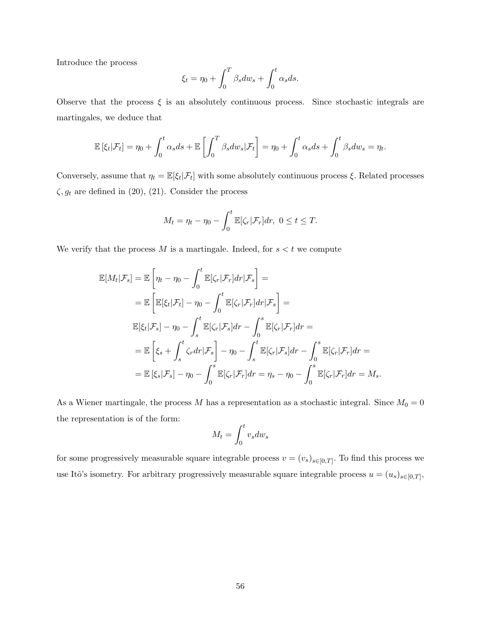Introduce the process

$$
\xi_t = \eta_0 + \int_0^T \beta_s dw_s + \int_0^t \alpha_s ds.
$$

Observe that the process  $\xi$  is an absolutely continuous process. Since stochastic integrals are martingales, we deduce that

$$
\mathbb{E}[\xi_t|\mathcal{F}_t] = \eta_0 + \int_0^t \alpha_s ds + \mathbb{E}\left[\int_0^T \beta_s dw_s|\mathcal{F}_t\right] = \eta_0 + \int_0^t \alpha_s ds + \int_0^t \beta_s dw_s = \eta_t.
$$

Conversely, assume that  $\eta_t = \mathbb{E}[\xi_t | \mathcal{F}_t]$  with some absolutely continuous process  $\xi$ . Related processes  $\zeta, g_t$  are defined in (20), (21). Consider the process

$$
M_t = \eta_t - \eta_0 - \int_0^t \mathbb{E}[\zeta_r | \mathcal{F}_r] dr, \ 0 \le t \le T.
$$

We verify that the process  $M$  is a martingale. Indeed, for  $s < t$  we compute

$$
\mathbb{E}[M_t|\mathcal{F}_s] = \mathbb{E}\left[\eta_t - \eta_0 - \int_0^t \mathbb{E}[\zeta_r|\mathcal{F}_r]dr|\mathcal{F}_s\right] =
$$
\n
$$
= \mathbb{E}\left[\mathbb{E}[\xi_t|\mathcal{F}_t] - \eta_0 - \int_0^t \mathbb{E}[\zeta_r|\mathcal{F}_r]dr|\mathcal{F}_s\right] =
$$
\n
$$
\mathbb{E}[\xi_t|\mathcal{F}_s] - \eta_0 - \int_s^t \mathbb{E}[\zeta_r|\mathcal{F}_s]dr - \int_0^s \mathbb{E}[\zeta_r|\mathcal{F}_r]dr =
$$
\n
$$
= \mathbb{E}\left[\xi_s + \int_s^t \zeta_r dr|\mathcal{F}_s\right] - \eta_0 - \int_s^t \mathbb{E}[\zeta_r|\mathcal{F}_s]dr - \int_0^s \mathbb{E}[\zeta_r|\mathcal{F}_r]dr =
$$
\n
$$
= \mathbb{E}[\xi_s|\mathcal{F}_s] - \eta_0 - \int_0^s \mathbb{E}[\zeta_r|\mathcal{F}_r]dr = \eta_s - \eta_0 - \int_0^s \mathbb{E}[\zeta_r|\mathcal{F}_r]dr = M_s.
$$

As a Wiener martingale, the process  $M$  has a representation as a stochastic integral. Since  $M_0 = 0$ the representation is of the form:

$$
M_t = \int_0^t v_s dw_s
$$

for some progressively measurable square integrable process  $v = (v_s)_{s \in [0,T]}$ . To find this process we use Itô's isometry. For arbitrary progressively measurable square integrable process  $u = (u_s)_{s \in [0,T]},$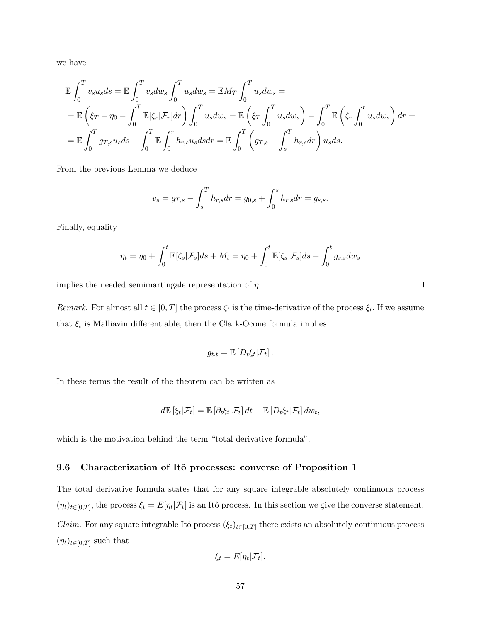we have

$$
\mathbb{E}\int_{0}^{T}v_{s}u_{s}ds = \mathbb{E}\int_{0}^{T}v_{s}dw_{s}\int_{0}^{T}u_{s}dw_{s} = \mathbb{E}M_{T}\int_{0}^{T}u_{s}dw_{s} =
$$
\n
$$
= \mathbb{E}\left(\xi_{T} - \eta_{0} - \int_{0}^{T}\mathbb{E}[\zeta_{r}|\mathcal{F}_{r}]dr\right)\int_{0}^{T}u_{s}dw_{s} = \mathbb{E}\left(\xi_{T}\int_{0}^{T}u_{s}dw_{s}\right) - \int_{0}^{T}\mathbb{E}\left(\zeta_{r}\int_{0}^{T}u_{s}dw_{s}\right)dr =
$$
\n
$$
= \mathbb{E}\int_{0}^{T}g_{T,s}u_{s}ds - \int_{0}^{T}\mathbb{E}\int_{0}^{T}h_{r,s}u_{s}dsdr = \mathbb{E}\int_{0}^{T}\left(g_{T,s} - \int_{s}^{T}h_{r,s}dr\right)u_{s}ds.
$$

From the previous Lemma we deduce

$$
v_s = g_{T,s} - \int_s^T h_{r,s} dr = g_{0,s} + \int_0^s h_{r,s} dr = g_{s,s}.
$$

Finally, equality

$$
\eta_t = \eta_0 + \int_0^t \mathbb{E}[\zeta_s | \mathcal{F}_s] ds + M_t = \eta_0 + \int_0^t \mathbb{E}[\zeta_s | \mathcal{F}_s] ds + \int_0^t g_{s,s} dw_s
$$

 $\Box$ 

implies the needed semimartingale representation of  $\eta$ .

Remark. For almost all  $t \in [0, T]$  the process  $\zeta_t$  is the time-derivative of the process  $\xi_t$ . If we assume that  $\xi_t$  is Malliavin differentiable, then the Clark-Ocone formula implies

$$
g_{t,t} = \mathbb{E}\left[D_t \xi_t | \mathcal{F}_t\right].
$$

In these terms the result of the theorem can be written as

$$
d\mathbb{E} [\xi_t | \mathcal{F}_t] = \mathbb{E} [\partial_t \xi_t | \mathcal{F}_t] dt + \mathbb{E} [D_t \xi_t | \mathcal{F}_t] dw_t,
$$

which is the motivation behind the term "total derivative formula".

### 9.6 Characterization of Itô processes: converse of Proposition 1

The total derivative formula states that for any square integrable absolutely continuous process  $(\eta_t)_{t\in[0,T]},$  the process  $\xi_t = E[\eta_t|\mathcal{F}_t]$  is an Itô process. In this section we give the converse statement. *Claim.* For any square integrable Itô process  $(\xi_t)_{t\in[0,T]}$  there exists an absolutely continuous process  $(\eta_t)_{t\in[0,T]}$  such that

$$
\xi_t = E[\eta_t|\mathcal{F}_t].
$$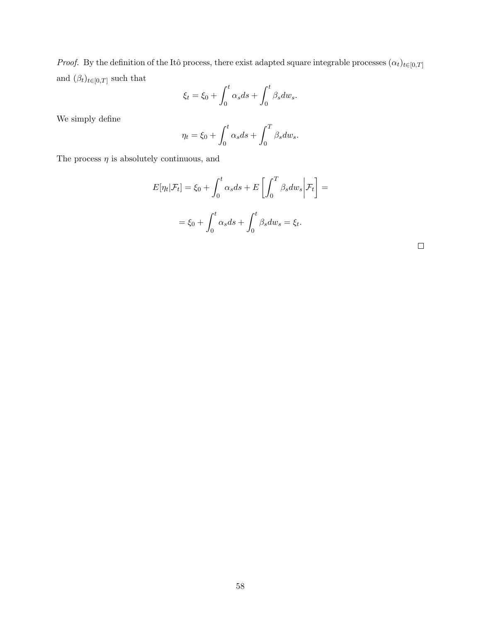*Proof.* By the definition of the Itô process, there exist adapted square integrable processes  $(\alpha_t)_{t\in[0,T]}$ and  $(\beta_t)_{t \in [0,T]}$  such that

$$
\xi_t = \xi_0 + \int_0^t \alpha_s ds + \int_0^t \beta_s dw_s.
$$

We simply define

$$
\eta_t = \xi_0 + \int_0^t \alpha_s ds + \int_0^T \beta_s dw_s.
$$

The process  $\eta$  is absolutely continuous, and

$$
E[\eta_t|\mathcal{F}_t] = \xi_0 + \int_0^t \alpha_s ds + E\left[\int_0^T \beta_s dw_s \middle| \mathcal{F}_t\right] =
$$
  

$$
= \xi_0 + \int_0^t \alpha_s ds + \int_0^t \beta_s dw_s = \xi_t.
$$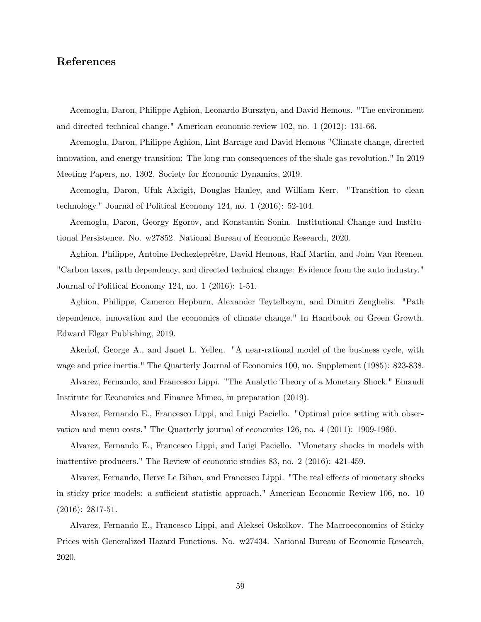# References

Acemoglu, Daron, Philippe Aghion, Leonardo Bursztyn, and David Hemous. "The environment and directed technical change." American economic review 102, no. 1 (2012): 131-66.

Acemoglu, Daron, Philippe Aghion, Lint Barrage and David Hemous "Climate change, directed innovation, and energy transition: The long-run consequences of the shale gas revolution." In 2019 Meeting Papers, no. 1302. Society for Economic Dynamics, 2019.

Acemoglu, Daron, Ufuk Akcigit, Douglas Hanley, and William Kerr. "Transition to clean technology." Journal of Political Economy 124, no. 1 (2016): 52-104.

Acemoglu, Daron, Georgy Egorov, and Konstantin Sonin. Institutional Change and Institutional Persistence. No. w27852. National Bureau of Economic Research, 2020.

Aghion, Philippe, Antoine Dechezleprêtre, David Hemous, Ralf Martin, and John Van Reenen. "Carbon taxes, path dependency, and directed technical change: Evidence from the auto industry." Journal of Political Economy 124, no. 1 (2016): 1-51.

Aghion, Philippe, Cameron Hepburn, Alexander Teytelboym, and Dimitri Zenghelis. "Path dependence, innovation and the economics of climate change." In Handbook on Green Growth. Edward Elgar Publishing, 2019.

Akerlof, George A., and Janet L. Yellen. "A near-rational model of the business cycle, with wage and price inertia." The Quarterly Journal of Economics 100, no. Supplement (1985): 823-838.

Alvarez, Fernando, and Francesco Lippi. "The Analytic Theory of a Monetary Shock." Einaudi Institute for Economics and Finance Mimeo, in preparation (2019).

Alvarez, Fernando E., Francesco Lippi, and Luigi Paciello. "Optimal price setting with observation and menu costs." The Quarterly journal of economics 126, no. 4 (2011): 1909-1960.

Alvarez, Fernando E., Francesco Lippi, and Luigi Paciello. "Monetary shocks in models with inattentive producers." The Review of economic studies 83, no. 2 (2016): 421-459.

Alvarez, Fernando, Herve Le Bihan, and Francesco Lippi. "The real effects of monetary shocks in sticky price models: a sufficient statistic approach." American Economic Review 106, no. 10 (2016): 2817-51.

Alvarez, Fernando E., Francesco Lippi, and Aleksei Oskolkov. The Macroeconomics of Sticky Prices with Generalized Hazard Functions. No. w27434. National Bureau of Economic Research, 2020.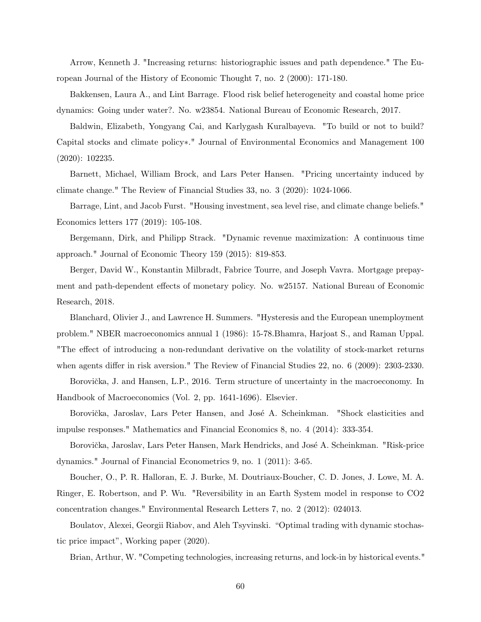Arrow, Kenneth J. "Increasing returns: historiographic issues and path dependence." The European Journal of the History of Economic Thought 7, no. 2 (2000): 171-180.

Bakkensen, Laura A., and Lint Barrage. Flood risk belief heterogeneity and coastal home price dynamics: Going under water?. No. w23854. National Bureau of Economic Research, 2017.

Baldwin, Elizabeth, Yongyang Cai, and Karlygash Kuralbayeva. "To build or not to build? Capital stocks and climate policy∗." Journal of Environmental Economics and Management 100 (2020): 102235.

Barnett, Michael, William Brock, and Lars Peter Hansen. "Pricing uncertainty induced by climate change." The Review of Financial Studies 33, no. 3 (2020): 1024-1066.

Barrage, Lint, and Jacob Furst. "Housing investment, sea level rise, and climate change beliefs." Economics letters 177 (2019): 105-108.

Bergemann, Dirk, and Philipp Strack. "Dynamic revenue maximization: A continuous time approach." Journal of Economic Theory 159 (2015): 819-853.

Berger, David W., Konstantin Milbradt, Fabrice Tourre, and Joseph Vavra. Mortgage prepayment and path-dependent effects of monetary policy. No. w25157. National Bureau of Economic Research, 2018.

Blanchard, Olivier J., and Lawrence H. Summers. "Hysteresis and the European unemployment problem." NBER macroeconomics annual 1 (1986): 15-78.Bhamra, Harjoat S., and Raman Uppal. "The effect of introducing a non-redundant derivative on the volatility of stock-market returns when agents differ in risk aversion." The Review of Financial Studies 22, no. 6 (2009): 2303-2330.

Borovička, J. and Hansen, L.P., 2016. Term structure of uncertainty in the macroeconomy. In Handbook of Macroeconomics (Vol. 2, pp. 1641-1696). Elsevier.

Borovička, Jaroslav, Lars Peter Hansen, and José A. Scheinkman. "Shock elasticities and impulse responses." Mathematics and Financial Economics 8, no. 4 (2014): 333-354.

Borovička, Jaroslav, Lars Peter Hansen, Mark Hendricks, and José A. Scheinkman. "Risk-price dynamics." Journal of Financial Econometrics 9, no. 1 (2011): 3-65.

Boucher, O., P. R. Halloran, E. J. Burke, M. Doutriaux-Boucher, C. D. Jones, J. Lowe, M. A. Ringer, E. Robertson, and P. Wu. "Reversibility in an Earth System model in response to CO2 concentration changes." Environmental Research Letters 7, no. 2 (2012): 024013.

Boulatov, Alexei, Georgii Riabov, and Aleh Tsyvinski. "Optimal trading with dynamic stochastic price impact", Working paper (2020).

Brian, Arthur, W. "Competing technologies, increasing returns, and lock-in by historical events."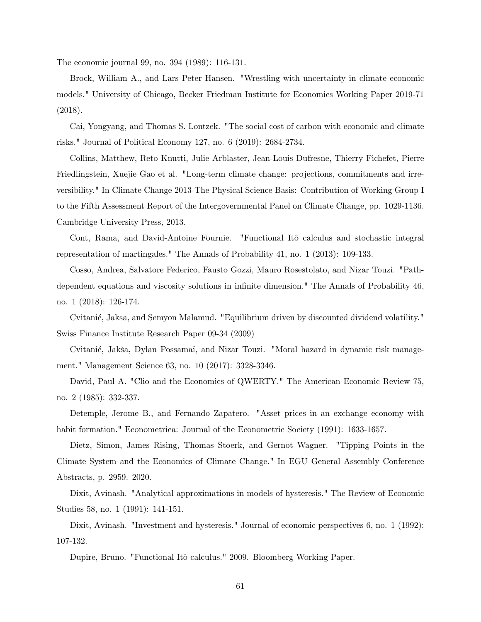The economic journal 99, no. 394 (1989): 116-131.

Brock, William A., and Lars Peter Hansen. "Wrestling with uncertainty in climate economic models." University of Chicago, Becker Friedman Institute for Economics Working Paper 2019-71 (2018).

Cai, Yongyang, and Thomas S. Lontzek. "The social cost of carbon with economic and climate risks." Journal of Political Economy 127, no. 6 (2019): 2684-2734.

Collins, Matthew, Reto Knutti, Julie Arblaster, Jean-Louis Dufresne, Thierry Fichefet, Pierre Friedlingstein, Xuejie Gao et al. "Long-term climate change: projections, commitments and irreversibility." In Climate Change 2013-The Physical Science Basis: Contribution of Working Group I to the Fifth Assessment Report of the Intergovernmental Panel on Climate Change, pp. 1029-1136. Cambridge University Press, 2013.

Cont, Rama, and David-Antoine Fournie. "Functional Itô calculus and stochastic integral representation of martingales." The Annals of Probability 41, no. 1 (2013): 109-133.

Cosso, Andrea, Salvatore Federico, Fausto Gozzi, Mauro Rosestolato, and Nizar Touzi. "Pathdependent equations and viscosity solutions in infinite dimension." The Annals of Probability 46, no. 1 (2018): 126-174.

Cvitanić, Jaksa, and Semyon Malamud. "Equilibrium driven by discounted dividend volatility." Swiss Finance Institute Research Paper 09-34 (2009)

Cvitanić, Jakša, Dylan Possamaï, and Nizar Touzi. "Moral hazard in dynamic risk management." Management Science 63, no. 10 (2017): 3328-3346.

David, Paul A. "Clio and the Economics of QWERTY." The American Economic Review 75, no. 2 (1985): 332-337.

Detemple, Jerome B., and Fernando Zapatero. "Asset prices in an exchange economy with habit formation." Econometrica: Journal of the Econometric Society (1991): 1633-1657.

Dietz, Simon, James Rising, Thomas Stoerk, and Gernot Wagner. "Tipping Points in the Climate System and the Economics of Climate Change." In EGU General Assembly Conference Abstracts, p. 2959. 2020.

Dixit, Avinash. "Analytical approximations in models of hysteresis." The Review of Economic Studies 58, no. 1 (1991): 141-151.

Dixit, Avinash. "Investment and hysteresis." Journal of economic perspectives 6, no. 1 (1992): 107-132.

Dupire, Bruno. "Functional Itô calculus." 2009. Bloomberg Working Paper.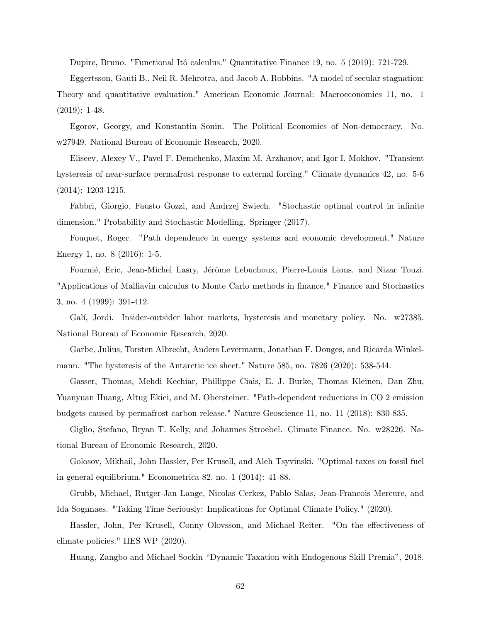Dupire, Bruno. "Functional Itô calculus." Quantitative Finance 19, no. 5 (2019): 721-729.

Eggertsson, Gauti B., Neil R. Mehrotra, and Jacob A. Robbins. "A model of secular stagnation: Theory and quantitative evaluation." American Economic Journal: Macroeconomics 11, no. 1 (2019): 1-48.

Egorov, Georgy, and Konstantin Sonin. The Political Economics of Non-democracy. No. w27949. National Bureau of Economic Research, 2020.

Eliseev, Alexey V., Pavel F. Demchenko, Maxim M. Arzhanov, and Igor I. Mokhov. "Transient hysteresis of near-surface permafrost response to external forcing." Climate dynamics 42, no. 5-6 (2014): 1203-1215.

Fabbri, Giorgio, Fausto Gozzi, and Andrzej Swiech. "Stochastic optimal control in infinite dimension." Probability and Stochastic Modelling. Springer (2017).

Fouquet, Roger. "Path dependence in energy systems and economic development." Nature Energy 1, no. 8 (2016): 1-5.

Fournié, Eric, Jean-Michel Lasry, Jérôme Lebuchoux, Pierre-Louis Lions, and Nizar Touzi. "Applications of Malliavin calculus to Monte Carlo methods in finance." Finance and Stochastics 3, no. 4 (1999): 391-412.

Galí, Jordi. Insider-outsider labor markets, hysteresis and monetary policy. No. w27385. National Bureau of Economic Research, 2020.

Garbe, Julius, Torsten Albrecht, Anders Levermann, Jonathan F. Donges, and Ricarda Winkelmann. "The hysteresis of the Antarctic ice sheet." Nature 585, no. 7826 (2020): 538-544.

Gasser, Thomas, Mehdi Kechiar, Phillippe Ciais, E. J. Burke, Thomas Kleinen, Dan Zhu, Yuanyuan Huang, Altug Ekici, and M. Obersteiner. "Path-dependent reductions in CO 2 emission budgets caused by permafrost carbon release." Nature Geoscience 11, no. 11 (2018): 830-835.

Giglio, Stefano, Bryan T. Kelly, and Johannes Stroebel. Climate Finance. No. w28226. National Bureau of Economic Research, 2020.

Golosov, Mikhail, John Hassler, Per Krusell, and Aleh Tsyvinski. "Optimal taxes on fossil fuel in general equilibrium." Econometrica 82, no. 1 (2014): 41-88.

Grubb, Michael, Rutger-Jan Lange, Nicolas Cerkez, Pablo Salas, Jean-Francois Mercure, and Ida Sognnaes. "Taking Time Seriously: Implications for Optimal Climate Policy." (2020).

Hassler, John, Per Krusell, Conny Olovsson, and Michael Reiter. "On the effectiveness of climate policies." IIES WP (2020).

Huang, Zangbo and Michael Sockin "Dynamic Taxation with Endogenous Skill Premia", 2018.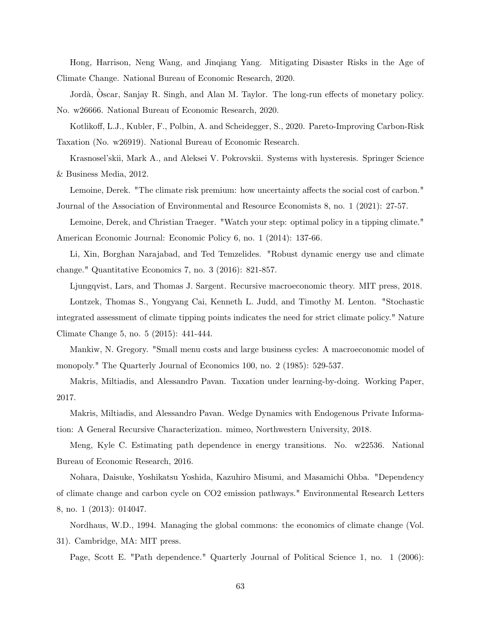Hong, Harrison, Neng Wang, and Jinqiang Yang. Mitigating Disaster Risks in the Age of Climate Change. National Bureau of Economic Research, 2020.

Jordà, Oscar, Sanjay R. Singh, and Alan M. Taylor. The long-run effects of monetary policy. No. w26666. National Bureau of Economic Research, 2020.

Kotlikoff, L.J., Kubler, F., Polbin, A. and Scheidegger, S., 2020. Pareto-Improving Carbon-Risk Taxation (No. w26919). National Bureau of Economic Research.

Krasnosel'skii, Mark A., and Aleksei V. Pokrovskii. Systems with hysteresis. Springer Science & Business Media, 2012.

Lemoine, Derek. "The climate risk premium: how uncertainty affects the social cost of carbon." Journal of the Association of Environmental and Resource Economists 8, no. 1 (2021): 27-57.

Lemoine, Derek, and Christian Traeger. "Watch your step: optimal policy in a tipping climate." American Economic Journal: Economic Policy 6, no. 1 (2014): 137-66.

Li, Xin, Borghan Narajabad, and Ted Temzelides. "Robust dynamic energy use and climate change." Quantitative Economics 7, no. 3 (2016): 821-857.

Ljungqvist, Lars, and Thomas J. Sargent. Recursive macroeconomic theory. MIT press, 2018.

Lontzek, Thomas S., Yongyang Cai, Kenneth L. Judd, and Timothy M. Lenton. "Stochastic integrated assessment of climate tipping points indicates the need for strict climate policy." Nature Climate Change 5, no. 5 (2015): 441-444.

Mankiw, N. Gregory. "Small menu costs and large business cycles: A macroeconomic model of monopoly." The Quarterly Journal of Economics 100, no. 2 (1985): 529-537.

Makris, Miltiadis, and Alessandro Pavan. Taxation under learning-by-doing. Working Paper, 2017.

Makris, Miltiadis, and Alessandro Pavan. Wedge Dynamics with Endogenous Private Information: A General Recursive Characterization. mimeo, Northwestern University, 2018.

Meng, Kyle C. Estimating path dependence in energy transitions. No. w22536. National Bureau of Economic Research, 2016.

Nohara, Daisuke, Yoshikatsu Yoshida, Kazuhiro Misumi, and Masamichi Ohba. "Dependency of climate change and carbon cycle on CO2 emission pathways." Environmental Research Letters 8, no. 1 (2013): 014047.

Nordhaus, W.D., 1994. Managing the global commons: the economics of climate change (Vol. 31). Cambridge, MA: MIT press.

Page, Scott E. "Path dependence." Quarterly Journal of Political Science 1, no. 1 (2006):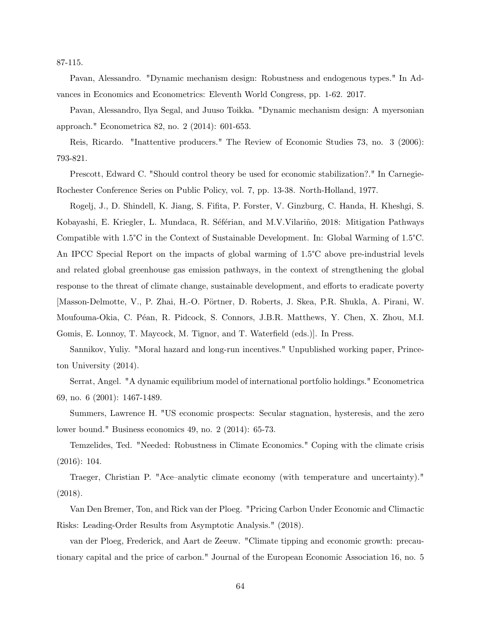87-115.

Pavan, Alessandro. "Dynamic mechanism design: Robustness and endogenous types." In Advances in Economics and Econometrics: Eleventh World Congress, pp. 1-62. 2017.

Pavan, Alessandro, Ilya Segal, and Juuso Toikka. "Dynamic mechanism design: A myersonian approach." Econometrica 82, no. 2 (2014): 601-653.

Reis, Ricardo. "Inattentive producers." The Review of Economic Studies 73, no. 3 (2006): 793-821.

Prescott, Edward C. "Should control theory be used for economic stabilization?." In Carnegie-Rochester Conference Series on Public Policy, vol. 7, pp. 13-38. North-Holland, 1977.

Rogelj, J., D. Shindell, K. Jiang, S. Fifita, P. Forster, V. Ginzburg, C. Handa, H. Kheshgi, S. Kobayashi, E. Kriegler, L. Mundaca, R. Séférian, and M.V.Vilariño, 2018: Mitigation Pathways Compatible with 1.5°C in the Context of Sustainable Development. In: Global Warming of 1.5°C. An IPCC Special Report on the impacts of global warming of 1.5°C above pre-industrial levels and related global greenhouse gas emission pathways, in the context of strengthening the global response to the threat of climate change, sustainable development, and efforts to eradicate poverty [Masson-Delmotte, V., P. Zhai, H.-O. Pörtner, D. Roberts, J. Skea, P.R. Shukla, A. Pirani, W. Moufouma-Okia, C. P´ean, R. Pidcock, S. Connors, J.B.R. Matthews, Y. Chen, X. Zhou, M.I. Gomis, E. Lonnoy, T. Maycock, M. Tignor, and T. Waterfield (eds.)]. In Press.

Sannikov, Yuliy. "Moral hazard and long-run incentives." Unpublished working paper, Princeton University (2014).

Serrat, Angel. "A dynamic equilibrium model of international portfolio holdings." Econometrica 69, no. 6 (2001): 1467-1489.

Summers, Lawrence H. "US economic prospects: Secular stagnation, hysteresis, and the zero lower bound." Business economics 49, no. 2 (2014): 65-73.

Temzelides, Ted. "Needed: Robustness in Climate Economics." Coping with the climate crisis (2016): 104.

Traeger, Christian P. "Ace–analytic climate economy (with temperature and uncertainty)." (2018).

Van Den Bremer, Ton, and Rick van der Ploeg. "Pricing Carbon Under Economic and Climactic Risks: Leading-Order Results from Asymptotic Analysis." (2018).

van der Ploeg, Frederick, and Aart de Zeeuw. "Climate tipping and economic growth: precautionary capital and the price of carbon." Journal of the European Economic Association 16, no. 5